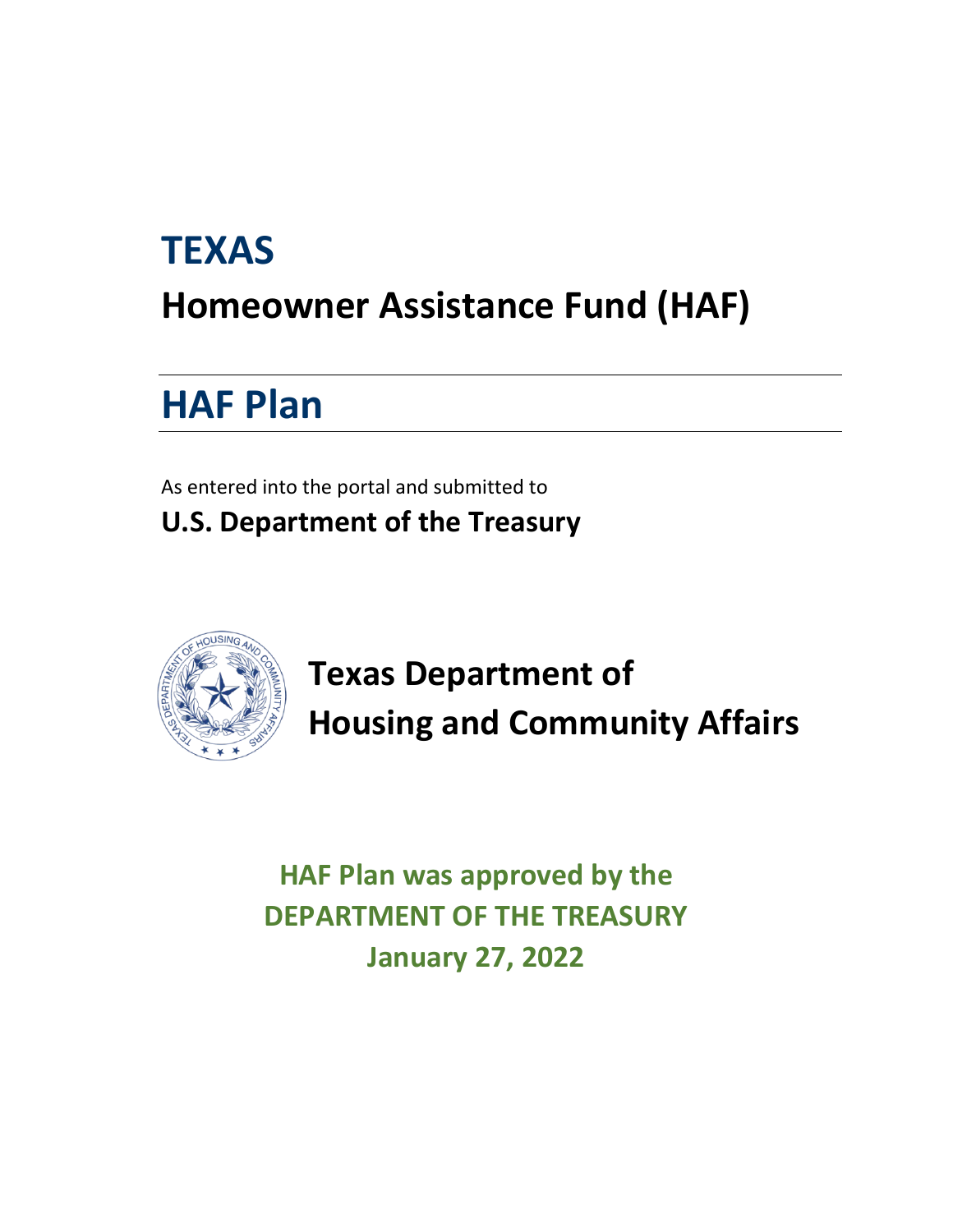# **TEXAS Homeowner Assistance Fund (HAF)**

# **HAF Plan**

As entered into the portal and submitted to **U.S. Department of the Treasury**



**Texas Department of Housing and Community Affairs**

**HAF Plan was approved by the DEPARTMENT OF THE TREASURY January 27, 2022**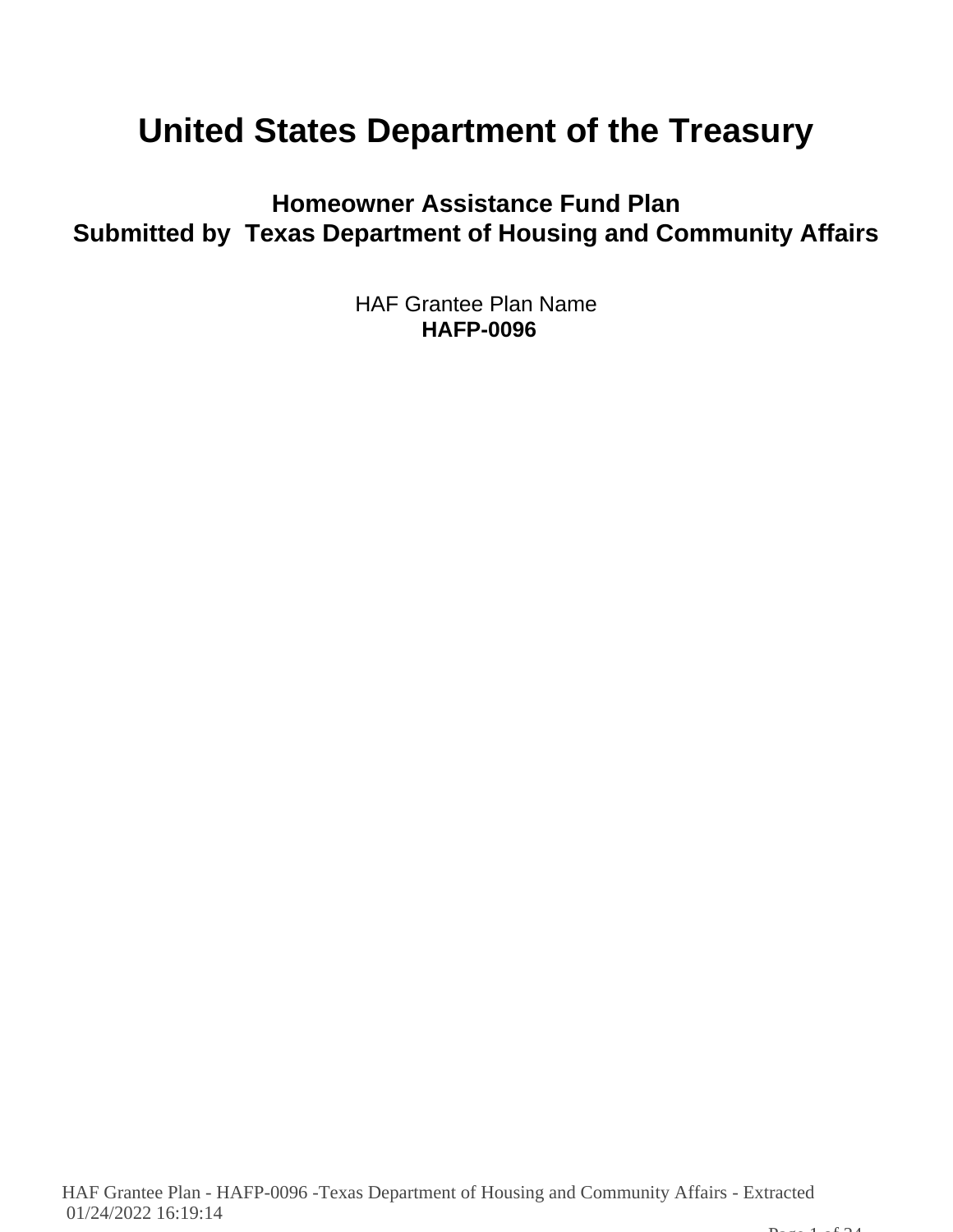# **United States Department of the Treasury**

**Homeowner Assistance Fund Plan Submitted by Texas Department of Housing and Community Affairs**

> HAF Grantee Plan Name **HAFP-0096**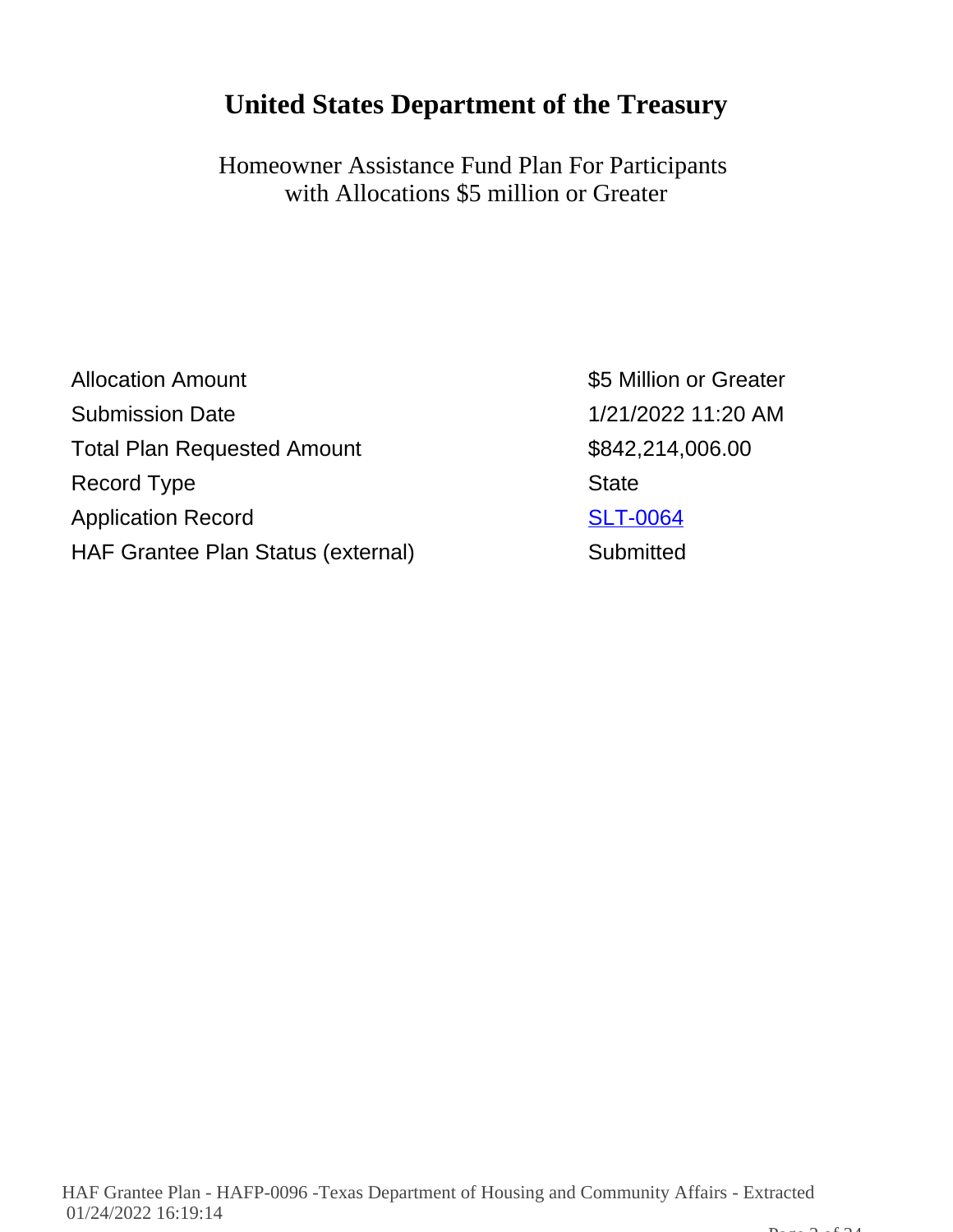# **United States Department of the Treasury**

Homeowner Assistance Fund Plan For Participants with Allocations \$5 million or Greater

| <b>Allocation Amount</b>           | \$5 M        |
|------------------------------------|--------------|
| <b>Submission Date</b>             | 1/21/2       |
| <b>Total Plan Requested Amount</b> | \$842        |
| Record Type                        | <b>State</b> |
| <b>Application Record</b>          | <b>SLT-</b>  |
| HAF Grantee Plan Status (external) | Subm         |

\$5 Million or Greater 1/21/2022 11:20 AM  $$842,214,006.00$ **SLT-0064** ) Submitted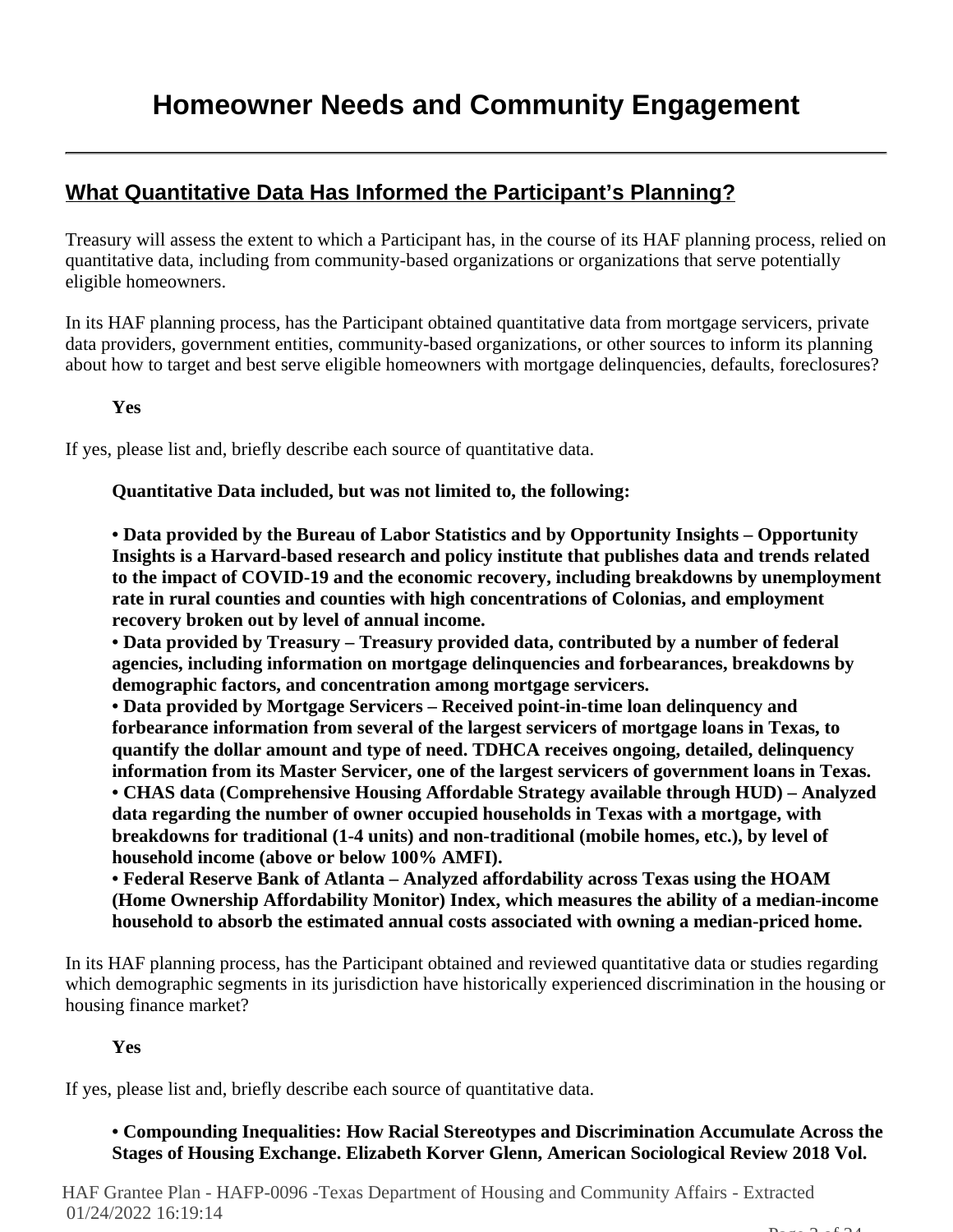# **What Quantitative Data Has Informed the Participant's Planning?**

Treasury will assess the extent to which a Participant has, in the course of its HAF planning process, relied on quantitative data, including from community-based organizations or organizations that serve potentially eligible homeowners.

In its HAF planning process, has the Participant obtained quantitative data from mortgage servicers, private data providers, government entities, community-based organizations, or other sources to inform its planning about how to target and best serve eligible homeowners with mortgage delinquencies, defaults, foreclosures?

**Yes**

If yes, please list and, briefly describe each source of quantitative data.

#### **Quantitative Data included, but was not limited to, the following:**

**• Data provided by the Bureau of Labor Statistics and by Opportunity Insights – Opportunity Insights is a Harvard-based research and policy institute that publishes data and trends related to the impact of COVID-19 and the economic recovery, including breakdowns by unemployment rate in rural counties and counties with high concentrations of Colonias, and employment recovery broken out by level of annual income.**

**• Data provided by Treasury – Treasury provided data, contributed by a number of federal agencies, including information on mortgage delinquencies and forbearances, breakdowns by demographic factors, and concentration among mortgage servicers.**

**• Data provided by Mortgage Servicers – Received point-in-time loan delinquency and forbearance information from several of the largest servicers of mortgage loans in Texas, to quantify the dollar amount and type of need. TDHCA receives ongoing, detailed, delinquency information from its Master Servicer, one of the largest servicers of government loans in Texas. • CHAS data (Comprehensive Housing Affordable Strategy available through HUD) – Analyzed data regarding the number of owner occupied households in Texas with a mortgage, with breakdowns for traditional (1-4 units) and non-traditional (mobile homes, etc.), by level of household income (above or below 100% AMFI).**

**• Federal Reserve Bank of Atlanta – Analyzed affordability across Texas using the HOAM (Home Ownership Affordability Monitor) Index, which measures the ability of a median-income household to absorb the estimated annual costs associated with owning a median-priced home.**

In its HAF planning process, has the Participant obtained and reviewed quantitative data or studies regarding which demographic segments in its jurisdiction have historically experienced discrimination in the housing or housing finance market?

#### **Yes**

If yes, please list and, briefly describe each source of quantitative data.

# **• Compounding Inequalities: How Racial Stereotypes and Discrimination Accumulate Across the Stages of Housing Exchange. Elizabeth Korver Glenn, American Sociological Review 2018 Vol.**

HAF Grantee Plan - HAFP-0096 -Texas Department of Housing and Community Affairs - Extracted 01/24/2022 16:19:14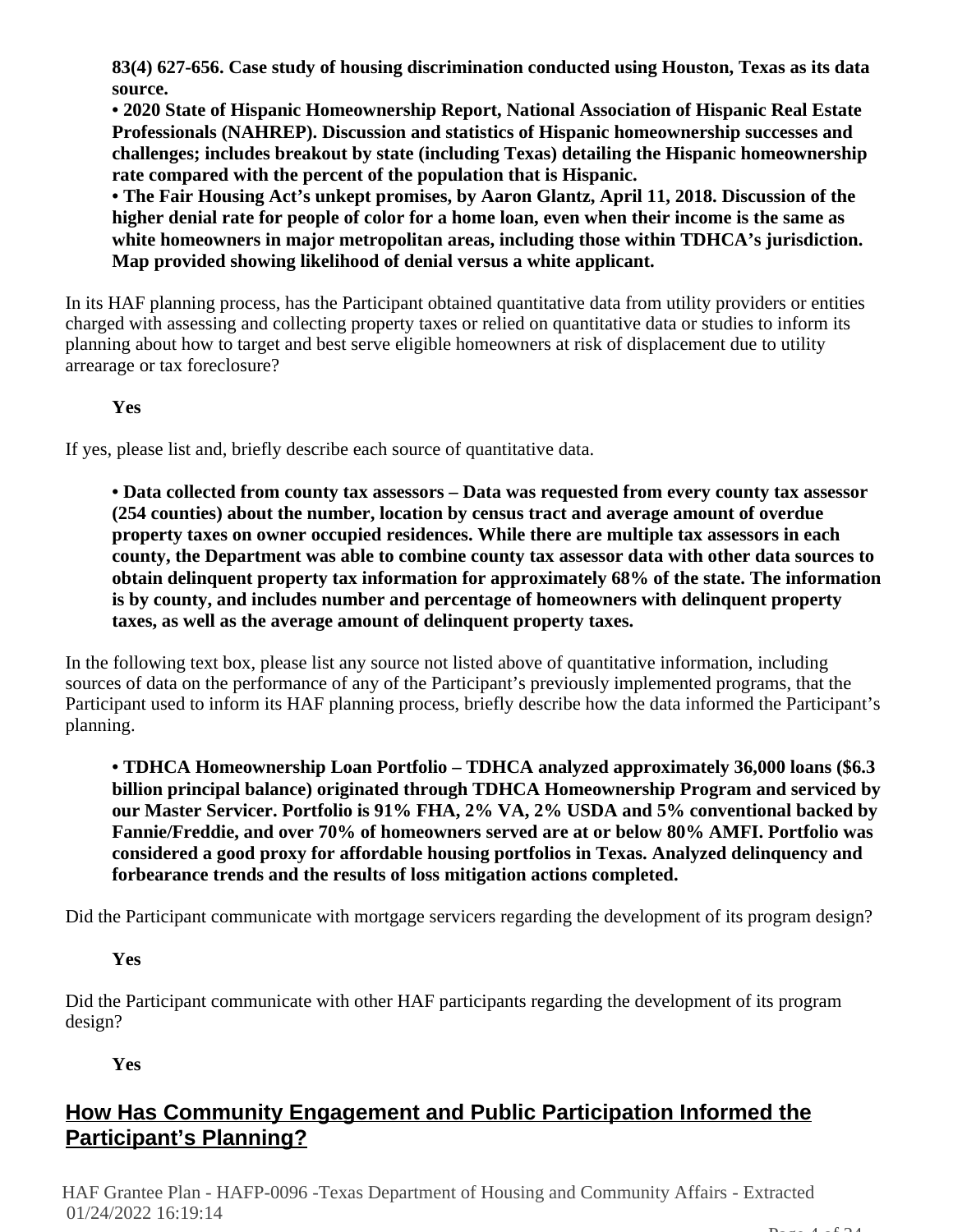**83(4) 627-656. Case study of housing discrimination conducted using Houston, Texas as its data source.**

**• 2020 State of Hispanic Homeownership Report, National Association of Hispanic Real Estate Professionals (NAHREP). Discussion and statistics of Hispanic homeownership successes and challenges; includes breakout by state (including Texas) detailing the Hispanic homeownership rate compared with the percent of the population that is Hispanic.**

**• The Fair Housing Act's unkept promises, by Aaron Glantz, April 11, 2018. Discussion of the higher denial rate for people of color for a home loan, even when their income is the same as white homeowners in major metropolitan areas, including those within TDHCA's jurisdiction. Map provided showing likelihood of denial versus a white applicant.**

In its HAF planning process, has the Participant obtained quantitative data from utility providers or entities charged with assessing and collecting property taxes or relied on quantitative data or studies to inform its planning about how to target and best serve eligible homeowners at risk of displacement due to utility arrearage or tax foreclosure?

**Yes**

If yes, please list and, briefly describe each source of quantitative data.

**• Data collected from county tax assessors – Data was requested from every county tax assessor (254 counties) about the number, location by census tract and average amount of overdue property taxes on owner occupied residences. While there are multiple tax assessors in each county, the Department was able to combine county tax assessor data with other data sources to obtain delinquent property tax information for approximately 68% of the state. The information is by county, and includes number and percentage of homeowners with delinquent property taxes, as well as the average amount of delinquent property taxes.**

In the following text box, please list any source not listed above of quantitative information, including sources of data on the performance of any of the Participant's previously implemented programs, that the Participant used to inform its HAF planning process, briefly describe how the data informed the Participant's planning.

**• TDHCA Homeownership Loan Portfolio – TDHCA analyzed approximately 36,000 loans (\$6.3 billion principal balance) originated through TDHCA Homeownership Program and serviced by our Master Servicer. Portfolio is 91% FHA, 2% VA, 2% USDA and 5% conventional backed by Fannie/Freddie, and over 70% of homeowners served are at or below 80% AMFI. Portfolio was considered a good proxy for affordable housing portfolios in Texas. Analyzed delinquency and forbearance trends and the results of loss mitigation actions completed.**

Did the Participant communicate with mortgage servicers regarding the development of its program design?

**Yes**

Did the Participant communicate with other HAF participants regarding the development of its program design?

**Yes**

# **How Has Community Engagement and Public Participation Informed the Participant's Planning?**

HAF Grantee Plan - HAFP-0096 -Texas Department of Housing and Community Affairs - Extracted 01/24/2022 16:19:14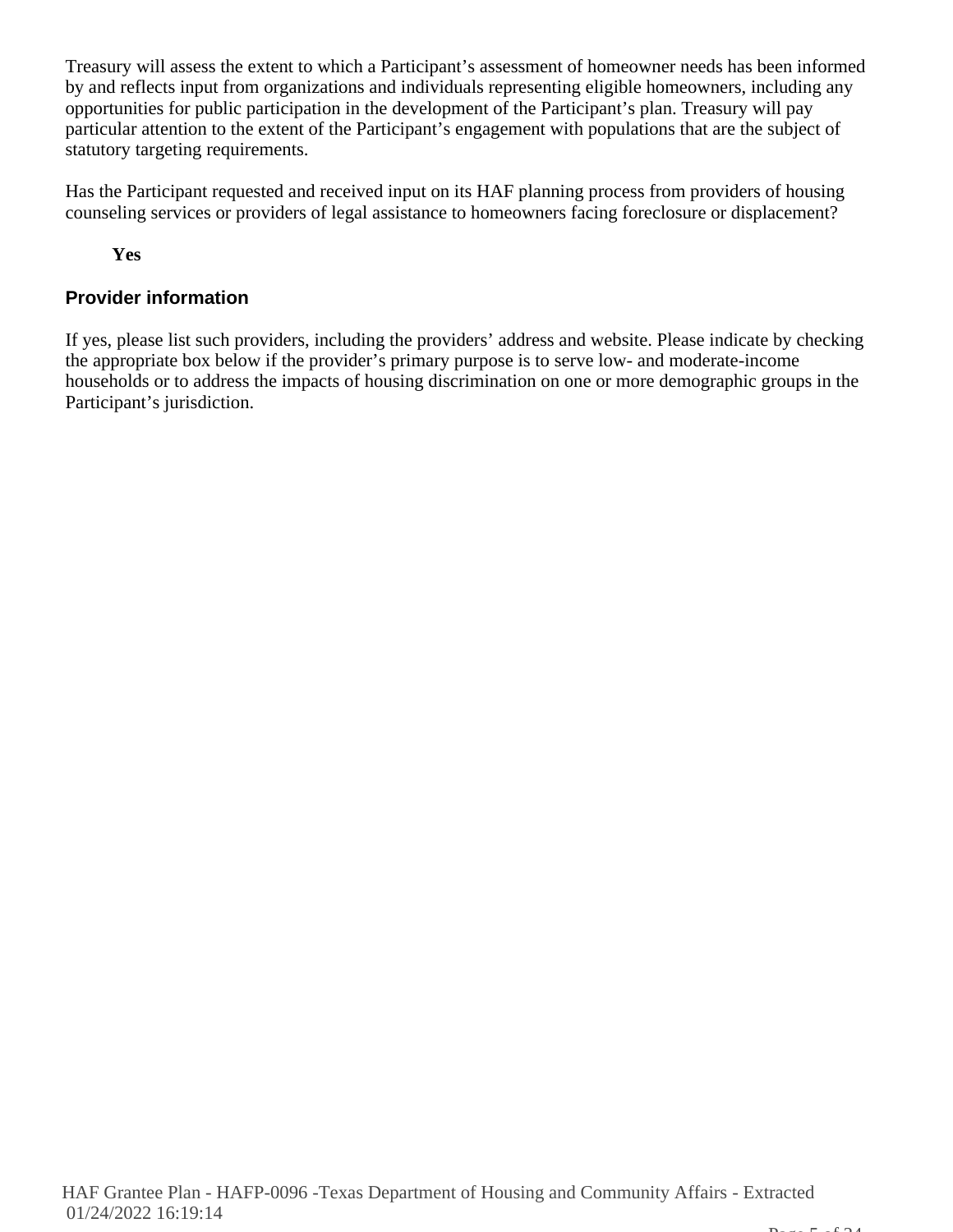Treasury will assess the extent to which a Participant's assessment of homeowner needs has been informed by and reflects input from organizations and individuals representing eligible homeowners, including any opportunities for public participation in the development of the Participant's plan. Treasury will pay particular attention to the extent of the Participant's engagement with populations that are the subject of statutory targeting requirements.

Has the Participant requested and received input on its HAF planning process from providers of housing counseling services or providers of legal assistance to homeowners facing foreclosure or displacement?

**Yes**

# **Provider information**

If yes, please list such providers, including the providers' address and website. Please indicate by checking the appropriate box below if the provider's primary purpose is to serve low- and moderate-income households or to address the impacts of housing discrimination on one or more demographic groups in the Participant's jurisdiction.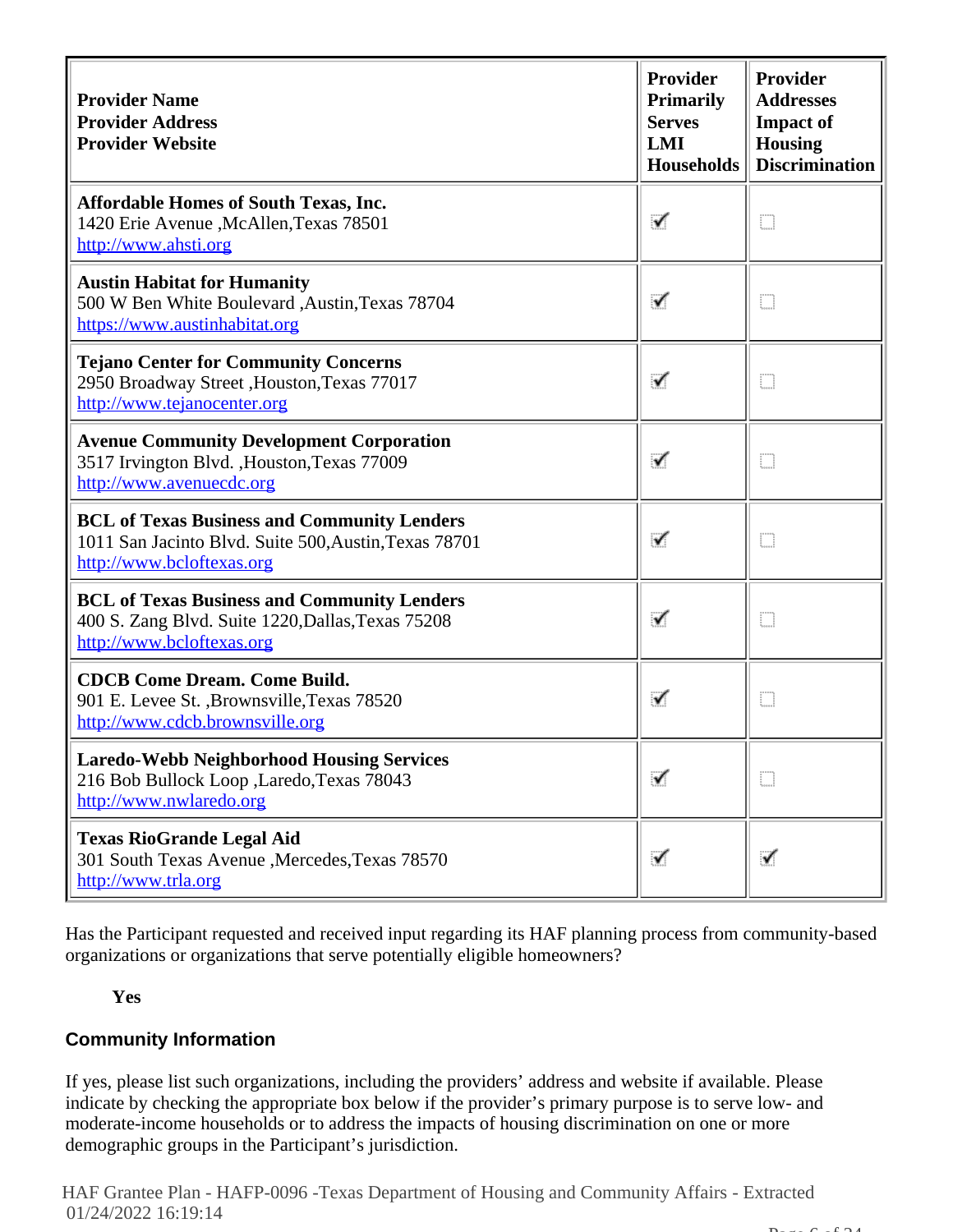| <b>Provider Name</b><br><b>Provider Address</b><br><b>Provider Website</b>                                                               | <b>Provider</b><br><b>Primarily</b><br><b>Serves</b><br>LMI<br><b>Households</b> | Provider<br><b>Addresses</b><br><b>Impact of</b><br><b>Housing</b><br><b>Discrimination</b> |
|------------------------------------------------------------------------------------------------------------------------------------------|----------------------------------------------------------------------------------|---------------------------------------------------------------------------------------------|
| <b>Affordable Homes of South Texas, Inc.</b><br>1420 Erie Avenue , McAllen, Texas 78501<br>http://www.ahsti.org                          | ✓                                                                                | O                                                                                           |
| <b>Austin Habitat for Humanity</b><br>500 W Ben White Boulevard ,Austin,Texas 78704<br>https://www.austinhabitat.org                     | ✓                                                                                | O                                                                                           |
| <b>Tejano Center for Community Concerns</b><br>2950 Broadway Street , Houston, Texas 77017<br>http://www.tejanocenter.org                | ✓                                                                                | D                                                                                           |
| <b>Avenue Community Development Corporation</b><br>3517 Irvington Blvd., Houston, Texas 77009<br>http://www.avenuecdc.org                | ✓                                                                                | D                                                                                           |
| <b>BCL of Texas Business and Community Lenders</b><br>1011 San Jacinto Blvd. Suite 500, Austin, Texas 78701<br>http://www.bcloftexas.org | ✓                                                                                | O                                                                                           |
| <b>BCL of Texas Business and Community Lenders</b><br>400 S. Zang Blvd. Suite 1220, Dallas, Texas 75208<br>http://www.bcloftexas.org     | ✓                                                                                | Ð                                                                                           |
| <b>CDCB Come Dream. Come Build.</b><br>901 E. Levee St., Brownsville, Texas 78520<br>http://www.cdcb.brownsville.org                     | ✓                                                                                | O                                                                                           |
| <b>Laredo-Webb Neighborhood Housing Services</b><br>216 Bob Bullock Loop , Laredo, Texas 78043<br>http://www.nwlaredo.org                |                                                                                  | D                                                                                           |
| <b>Texas RioGrande Legal Aid</b><br>301 South Texas Avenue , Mercedes, Texas 78570<br>http://www.trla.org                                | ✓                                                                                | ✓                                                                                           |

Has the Participant requested and received input regarding its HAF planning process from community-based organizations or organizations that serve potentially eligible homeowners?

#### **Yes**

# **Community Information**

If yes, please list such organizations, including the providers' address and website if available. Please indicate by checking the appropriate box below if the provider's primary purpose is to serve low- and moderate-income households or to address the impacts of housing discrimination on one or more demographic groups in the Participant's jurisdiction.

HAF Grantee Plan - HAFP-0096 -Texas Department of Housing and Community Affairs - Extracted 01/24/2022 16:19:14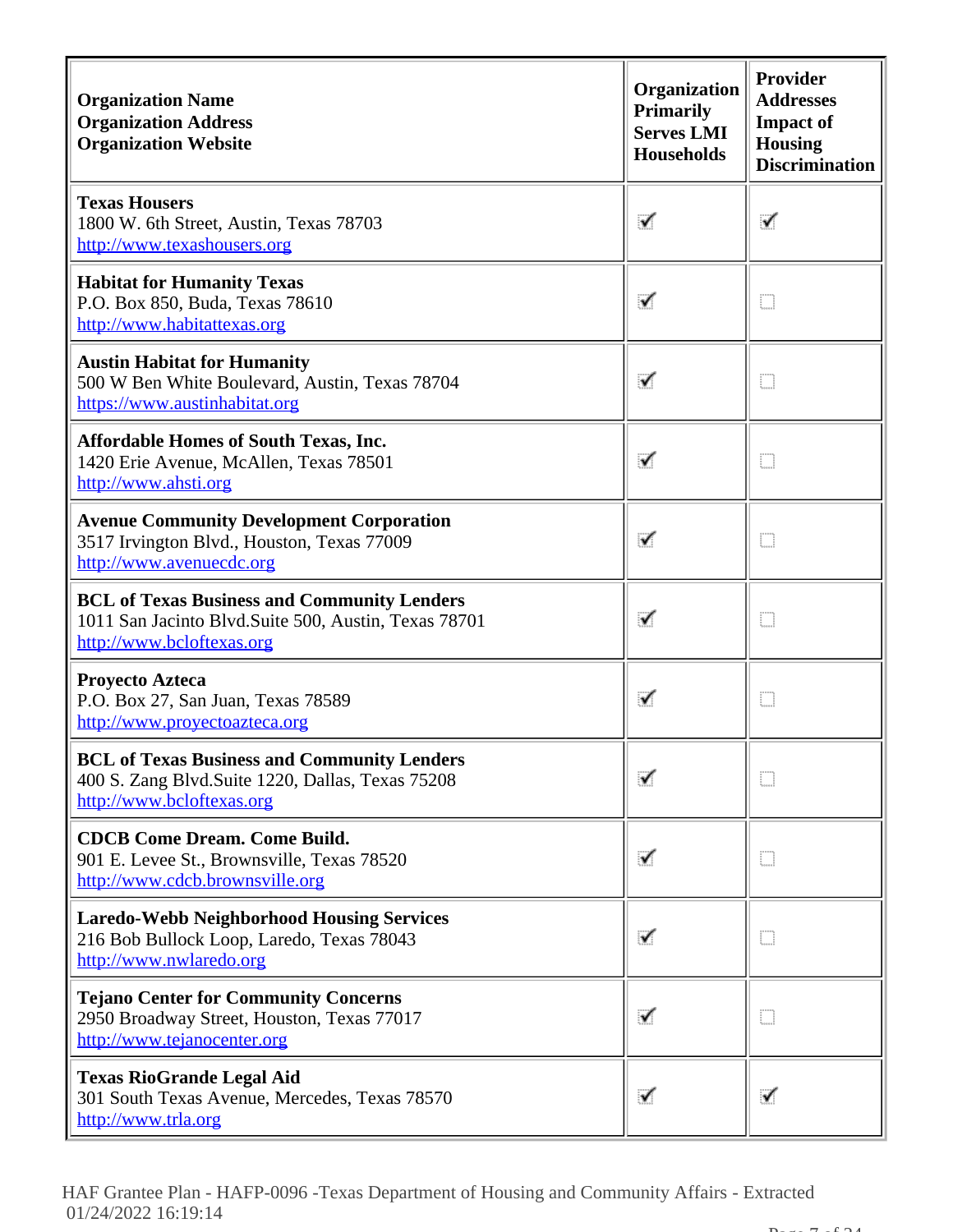| <b>Organization Name</b><br><b>Organization Address</b><br><b>Organization Website</b>                                                  | Organization<br><b>Primarily</b><br><b>Serves LMI</b><br><b>Households</b> | <b>Provider</b><br><b>Addresses</b><br><b>Impact of</b><br><b>Housing</b><br><b>Discrimination</b> |
|-----------------------------------------------------------------------------------------------------------------------------------------|----------------------------------------------------------------------------|----------------------------------------------------------------------------------------------------|
| <b>Texas Housers</b><br>1800 W. 6th Street, Austin, Texas 78703<br>http://www.texashousers.org                                          | ✓                                                                          | ✓                                                                                                  |
| <b>Habitat for Humanity Texas</b><br>P.O. Box 850, Buda, Texas 78610<br>http://www.habitattexas.org                                     | ✓                                                                          | m                                                                                                  |
| <b>Austin Habitat for Humanity</b><br>500 W Ben White Boulevard, Austin, Texas 78704<br>https://www.austinhabitat.org                   | ✓                                                                          | O                                                                                                  |
| <b>Affordable Homes of South Texas, Inc.</b><br>1420 Erie Avenue, McAllen, Texas 78501<br>http://www.ahsti.org                          | ✓                                                                          | m                                                                                                  |
| <b>Avenue Community Development Corporation</b><br>3517 Irvington Blvd., Houston, Texas 77009<br>http://www.avenuecdc.org               |                                                                            | m                                                                                                  |
| <b>BCL of Texas Business and Community Lenders</b><br>1011 San Jacinto Blvd.Suite 500, Austin, Texas 78701<br>http://www.bcloftexas.org |                                                                            | m                                                                                                  |
| <b>Proyecto Azteca</b><br>P.O. Box 27, San Juan, Texas 78589<br>http://www.proyectoazteca.org                                           | √                                                                          | O                                                                                                  |
| <b>BCL of Texas Business and Community Lenders</b><br>400 S. Zang Blvd. Suite 1220, Dallas, Texas 75208<br>http://www.bcloftexas.org    | ✓                                                                          | D                                                                                                  |
| <b>CDCB Come Dream. Come Build.</b><br>901 E. Levee St., Brownsville, Texas 78520<br>http://www.cdcb.brownsville.org                    | ✓                                                                          | m                                                                                                  |
| <b>Laredo-Webb Neighborhood Housing Services</b><br>216 Bob Bullock Loop, Laredo, Texas 78043<br>http://www.nwlaredo.org                | ✓                                                                          | m                                                                                                  |
| <b>Tejano Center for Community Concerns</b><br>2950 Broadway Street, Houston, Texas 77017<br>http://www.tejanocenter.org                | ✓                                                                          | m                                                                                                  |
| <b>Texas RioGrande Legal Aid</b><br>301 South Texas Avenue, Mercedes, Texas 78570<br>http://www.trla.org                                | ✓                                                                          |                                                                                                    |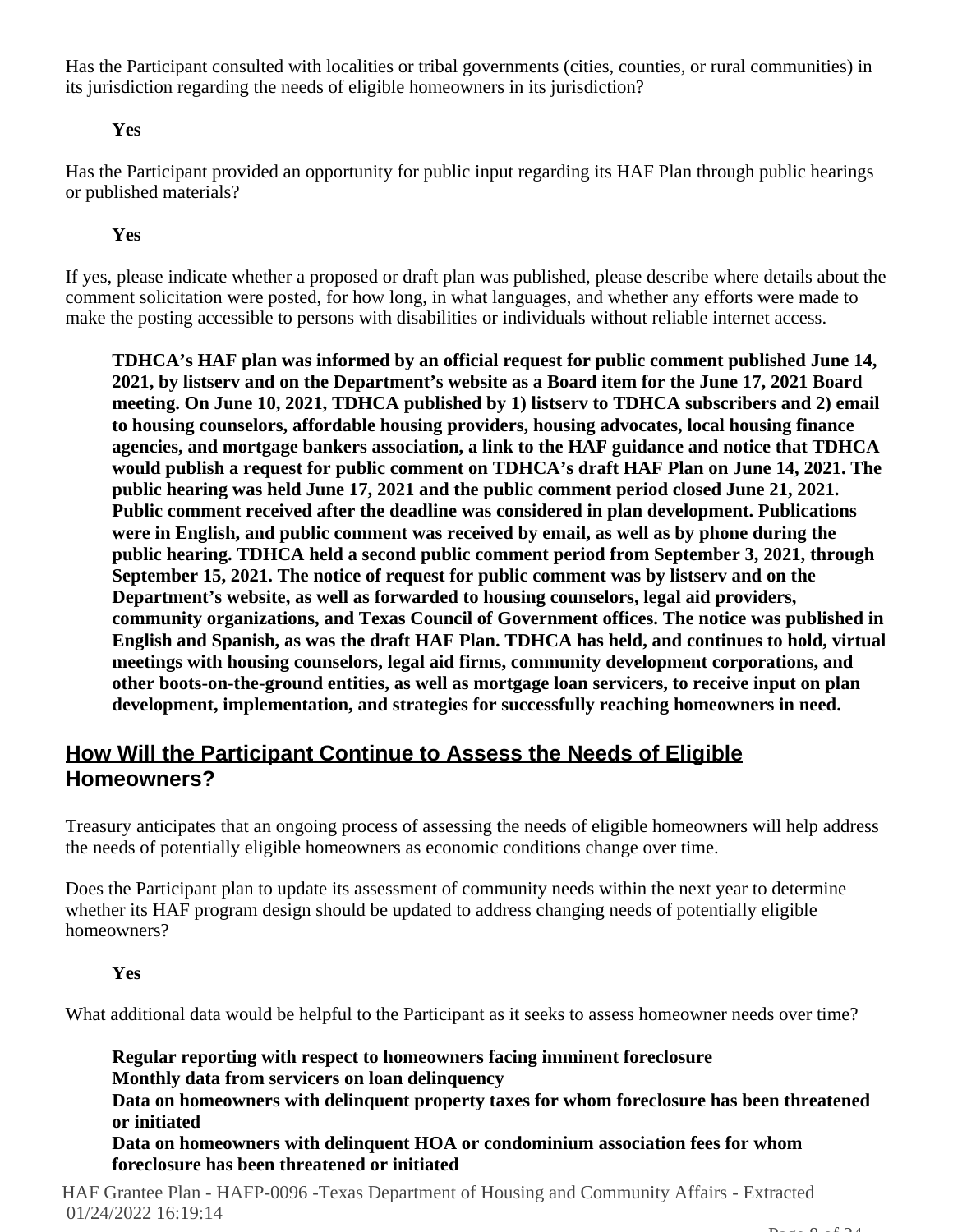Has the Participant consulted with localities or tribal governments (cities, counties, or rural communities) in its jurisdiction regarding the needs of eligible homeowners in its jurisdiction?

# **Yes**

Has the Participant provided an opportunity for public input regarding its HAF Plan through public hearings or published materials?

# **Yes**

If yes, please indicate whether a proposed or draft plan was published, please describe where details about the comment solicitation were posted, for how long, in what languages, and whether any efforts were made to make the posting accessible to persons with disabilities or individuals without reliable internet access.

**TDHCA's HAF plan was informed by an official request for public comment published June 14, 2021, by listserv and on the Department's website as a Board item for the June 17, 2021 Board meeting. On June 10, 2021, TDHCA published by 1) listserv to TDHCA subscribers and 2) email to housing counselors, affordable housing providers, housing advocates, local housing finance agencies, and mortgage bankers association, a link to the HAF guidance and notice that TDHCA would publish a request for public comment on TDHCA's draft HAF Plan on June 14, 2021. The public hearing was held June 17, 2021 and the public comment period closed June 21, 2021. Public comment received after the deadline was considered in plan development. Publications were in English, and public comment was received by email, as well as by phone during the public hearing. TDHCA held a second public comment period from September 3, 2021, through September 15, 2021. The notice of request for public comment was by listserv and on the Department's website, as well as forwarded to housing counselors, legal aid providers, community organizations, and Texas Council of Government offices. The notice was published in English and Spanish, as was the draft HAF Plan. TDHCA has held, and continues to hold, virtual meetings with housing counselors, legal aid firms, community development corporations, and other boots-on-the-ground entities, as well as mortgage loan servicers, to receive input on plan development, implementation, and strategies for successfully reaching homeowners in need.**

# **How Will the Participant Continue to Assess the Needs of Eligible Homeowners?**

Treasury anticipates that an ongoing process of assessing the needs of eligible homeowners will help address the needs of potentially eligible homeowners as economic conditions change over time.

Does the Participant plan to update its assessment of community needs within the next year to determine whether its HAF program design should be updated to address changing needs of potentially eligible homeowners?

# **Yes**

What additional data would be helpful to the Participant as it seeks to assess homeowner needs over time?

**Regular reporting with respect to homeowners facing imminent foreclosure Monthly data from servicers on loan delinquency Data on homeowners with delinquent property taxes for whom foreclosure has been threatened or initiated Data on homeowners with delinquent HOA or condominium association fees for whom foreclosure has been threatened or initiated**

HAF Grantee Plan - HAFP-0096 -Texas Department of Housing and Community Affairs - Extracted 01/24/2022 16:19:14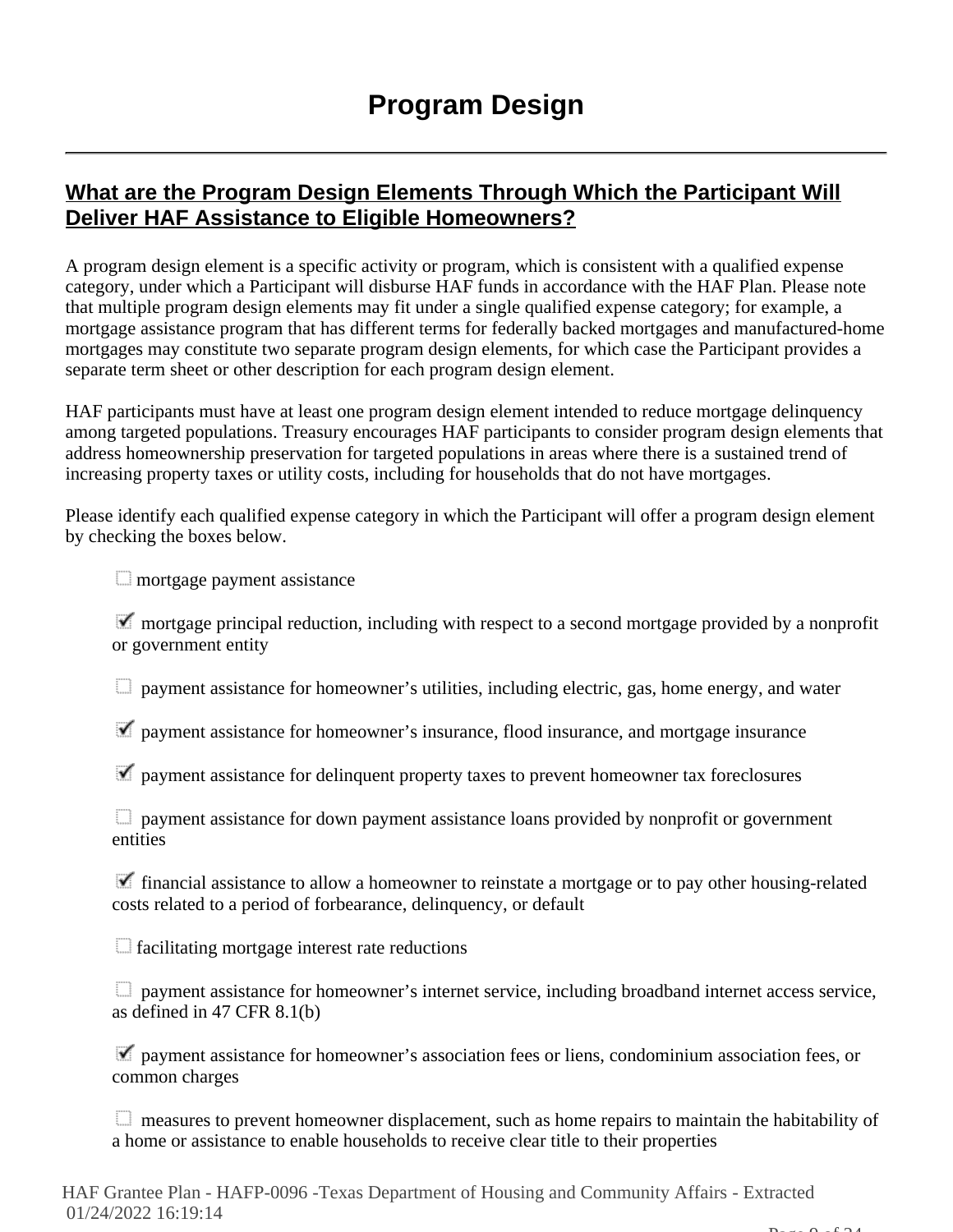# **What are the Program Design Elements Through Which the Participant Will Deliver HAF Assistance to Eligible Homeowners?**

A program design element is a specific activity or program, which is consistent with a qualified expense category, under which a Participant will disburse HAF funds in accordance with the HAF Plan. Please note that multiple program design elements may fit under a single qualified expense category; for example, a mortgage assistance program that has different terms for federally backed mortgages and manufactured-home mortgages may constitute two separate program design elements, for which case the Participant provides a separate term sheet or other description for each program design element.

HAF participants must have at least one program design element intended to reduce mortgage delinquency among targeted populations. Treasury encourages HAF participants to consider program design elements that address homeownership preservation for targeted populations in areas where there is a sustained trend of increasing property taxes or utility costs, including for households that do not have mortgages.

Please identify each qualified expense category in which the Participant will offer a program design element by checking the boxes below.

**mortgage payment assistance** 

 $\blacksquare$  mortgage principal reduction, including with respect to a second mortgage provided by a nonprofit or government entity

payment assistance for homeowner's utilities, including electric, gas, home energy, and water

 $\blacktriangledown$  payment assistance for homeowner's insurance, flood insurance, and mortgage insurance

 $\blacktriangledown$  payment assistance for delinquent property taxes to prevent homeowner tax foreclosures

**E** payment assistance for down payment assistance loans provided by nonprofit or government entities

 $\blacktriangledown$  financial assistance to allow a homeowner to reinstate a mortgage or to pay other housing-related costs related to a period of forbearance, delinquency, or default

facilitating mortgage interest rate reductions

 payment assistance for homeowner's internet service, including broadband internet access service, as defined in 47 CFR 8.1(b)

 $\blacktriangledown$  payment assistance for homeowner's association fees or liens, condominium association fees, or common charges

measures to prevent homeowner displacement, such as home repairs to maintain the habitability of a home or assistance to enable households to receive clear title to their properties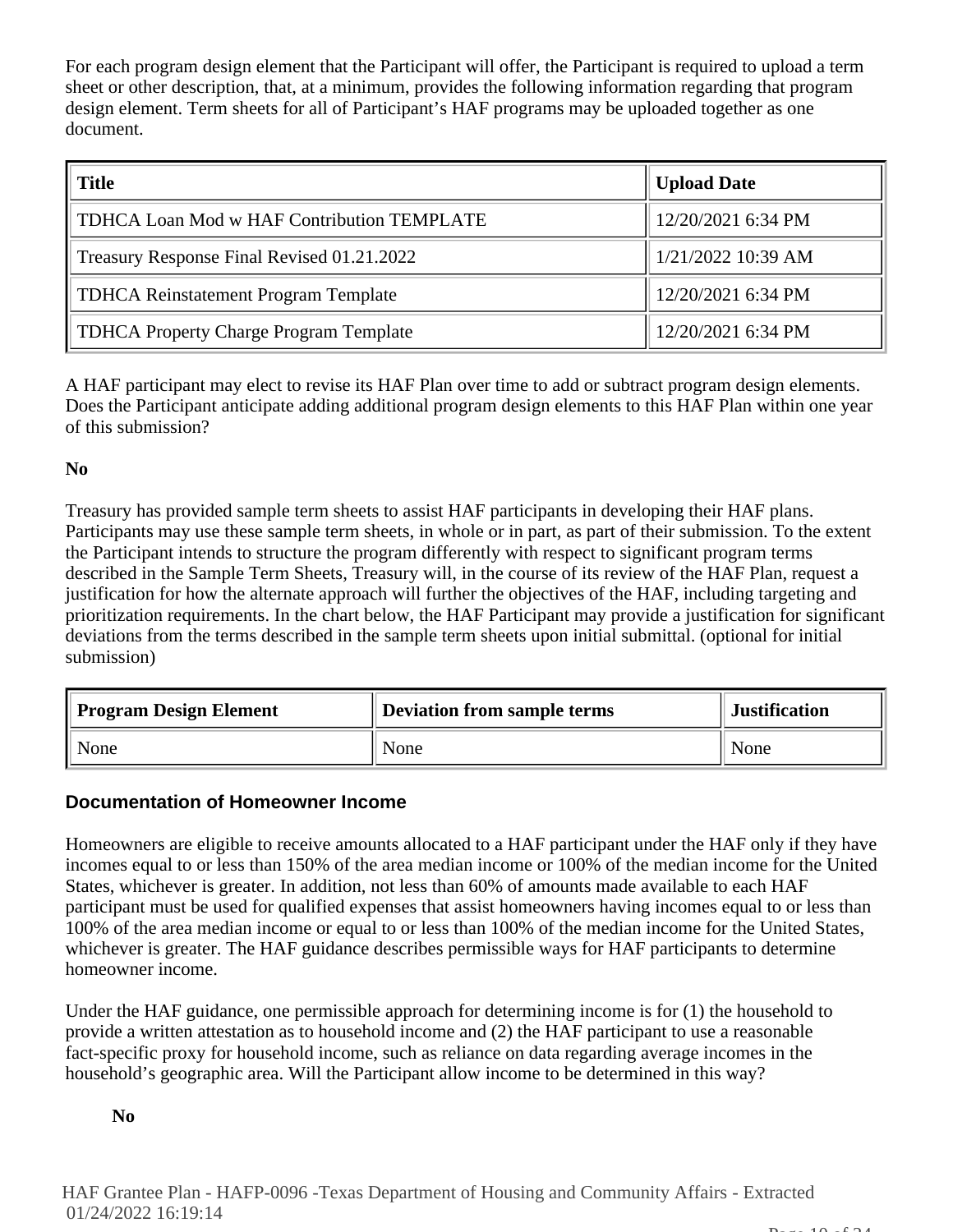For each program design element that the Participant will offer, the Participant is required to upload a term sheet or other description, that, at a minimum, provides the following information regarding that program design element. Term sheets for all of Participant's HAF programs may be uploaded together as one document.

| <b>Title</b>                                  | <b>Upload Date</b>   |
|-----------------------------------------------|----------------------|
| TDHCA Loan Mod w HAF Contribution TEMPLATE    | 12/20/2021 6:34 PM   |
| Treasury Response Final Revised 01.21.2022    | $1/21/2022$ 10:39 AM |
| <b>TDHCA Reinstatement Program Template</b>   | 12/20/2021 6:34 PM   |
| <b>TDHCA Property Charge Program Template</b> | 12/20/2021 6:34 PM   |

A HAF participant may elect to revise its HAF Plan over time to add or subtract program design elements. Does the Participant anticipate adding additional program design elements to this HAF Plan within one year of this submission?

# **No**

Treasury has provided sample term sheets to assist HAF participants in developing their HAF plans. Participants may use these sample term sheets, in whole or in part, as part of their submission. To the extent the Participant intends to structure the program differently with respect to significant program terms described in the Sample Term Sheets, Treasury will, in the course of its review of the HAF Plan, request a justification for how the alternate approach will further the objectives of the HAF, including targeting and prioritization requirements. In the chart below, the HAF Participant may provide a justification for significant deviations from the terms described in the sample term sheets upon initial submittal. (optional for initial submission)

| <b>Program Design Element</b> | Deviation from sample terms | <b>Justification</b> |
|-------------------------------|-----------------------------|----------------------|
| None                          | None                        | None                 |

# **Documentation of Homeowner Income**

Homeowners are eligible to receive amounts allocated to a HAF participant under the HAF only if they have incomes equal to or less than 150% of the area median income or 100% of the median income for the United States, whichever is greater. In addition, not less than 60% of amounts made available to each HAF participant must be used for qualified expenses that assist homeowners having incomes equal to or less than 100% of the area median income or equal to or less than 100% of the median income for the United States, whichever is greater. The HAF guidance describes permissible ways for HAF participants to determine homeowner income.

Under the HAF guidance, one permissible approach for determining income is for (1) the household to provide a written attestation as to household income and (2) the HAF participant to use a reasonable fact-specific proxy for household income, such as reliance on data regarding average incomes in the household's geographic area. Will the Participant allow income to be determined in this way?

# **No**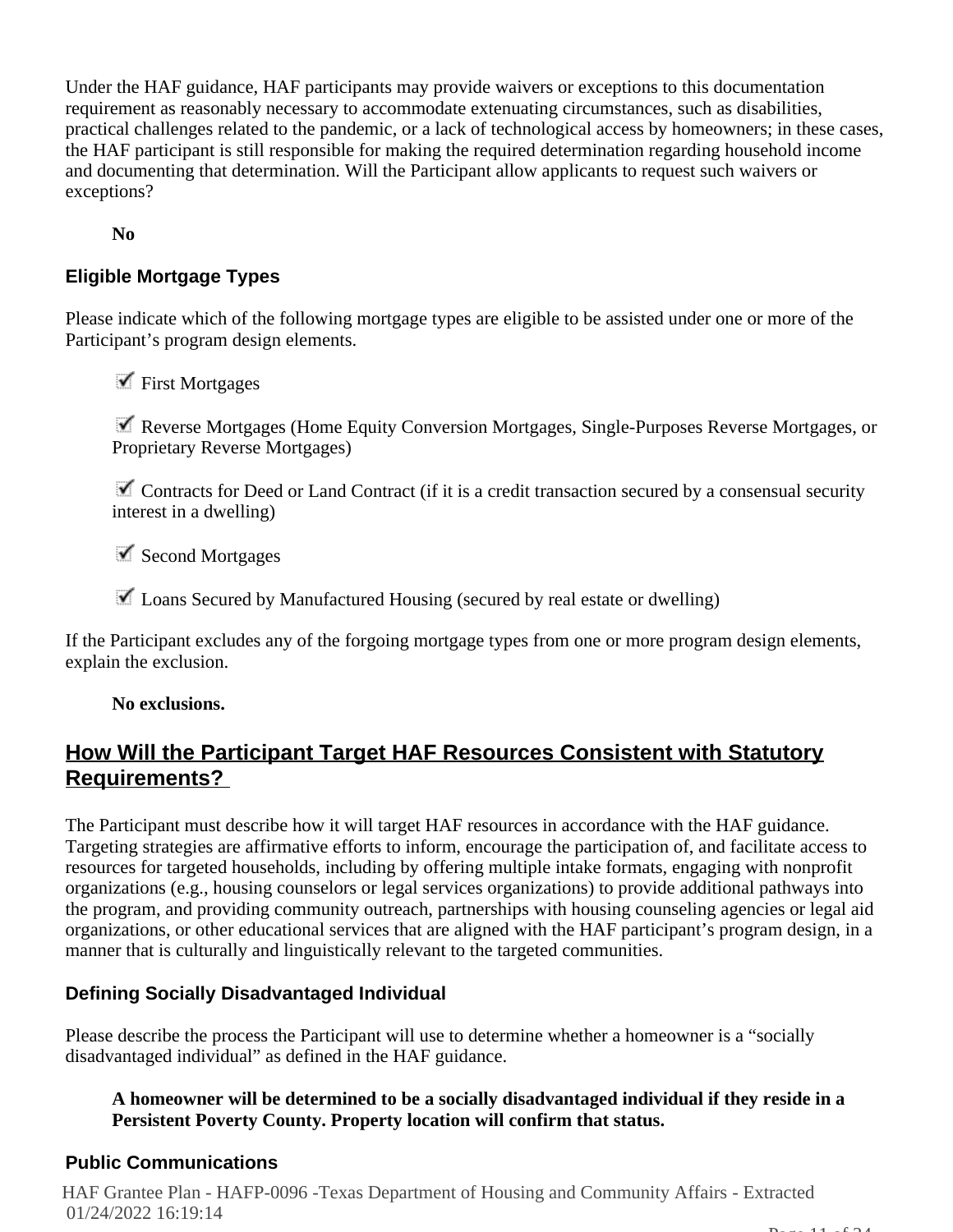Under the HAF guidance, HAF participants may provide waivers or exceptions to this documentation requirement as reasonably necessary to accommodate extenuating circumstances, such as disabilities, practical challenges related to the pandemic, or a lack of technological access by homeowners; in these cases, the HAF participant is still responsible for making the required determination regarding household income and documenting that determination. Will the Participant allow applicants to request such waivers or exceptions?

**No**

# **Eligible Mortgage Types**

Please indicate which of the following mortgage types are eligible to be assisted under one or more of the Participant's program design elements.

 $\blacktriangledown$  First Mortgages

 Reverse Mortgages (Home Equity Conversion Mortgages, Single-Purposes Reverse Mortgages, or Proprietary Reverse Mortgages)

 $\blacksquare$  Contracts for Deed or Land Contract (if it is a credit transaction secured by a consensual security interest in a dwelling)

 $\checkmark$  Second Mortgages

 $\blacktriangleright$  Loans Secured by Manufactured Housing (secured by real estate or dwelling)

If the Participant excludes any of the forgoing mortgage types from one or more program design elements, explain the exclusion.

#### **No exclusions.**

# **How Will the Participant Target HAF Resources Consistent with Statutory Requirements?**

The Participant must describe how it will target HAF resources in accordance with the HAF guidance. Targeting strategies are affirmative efforts to inform, encourage the participation of, and facilitate access to resources for targeted households, including by offering multiple intake formats, engaging with nonprofit organizations (e.g., housing counselors or legal services organizations) to provide additional pathways into the program, and providing community outreach, partnerships with housing counseling agencies or legal aid organizations, or other educational services that are aligned with the HAF participant's program design, in a manner that is culturally and linguistically relevant to the targeted communities.

# **Defining Socially Disadvantaged Individual**

Please describe the process the Participant will use to determine whether a homeowner is a "socially disadvantaged individual" as defined in the HAF guidance.

# **A homeowner will be determined to be a socially disadvantaged individual if they reside in a Persistent Poverty County. Property location will confirm that status.**

# **Public Communications**

HAF Grantee Plan - HAFP-0096 -Texas Department of Housing and Community Affairs - Extracted 01/24/2022 16:19:14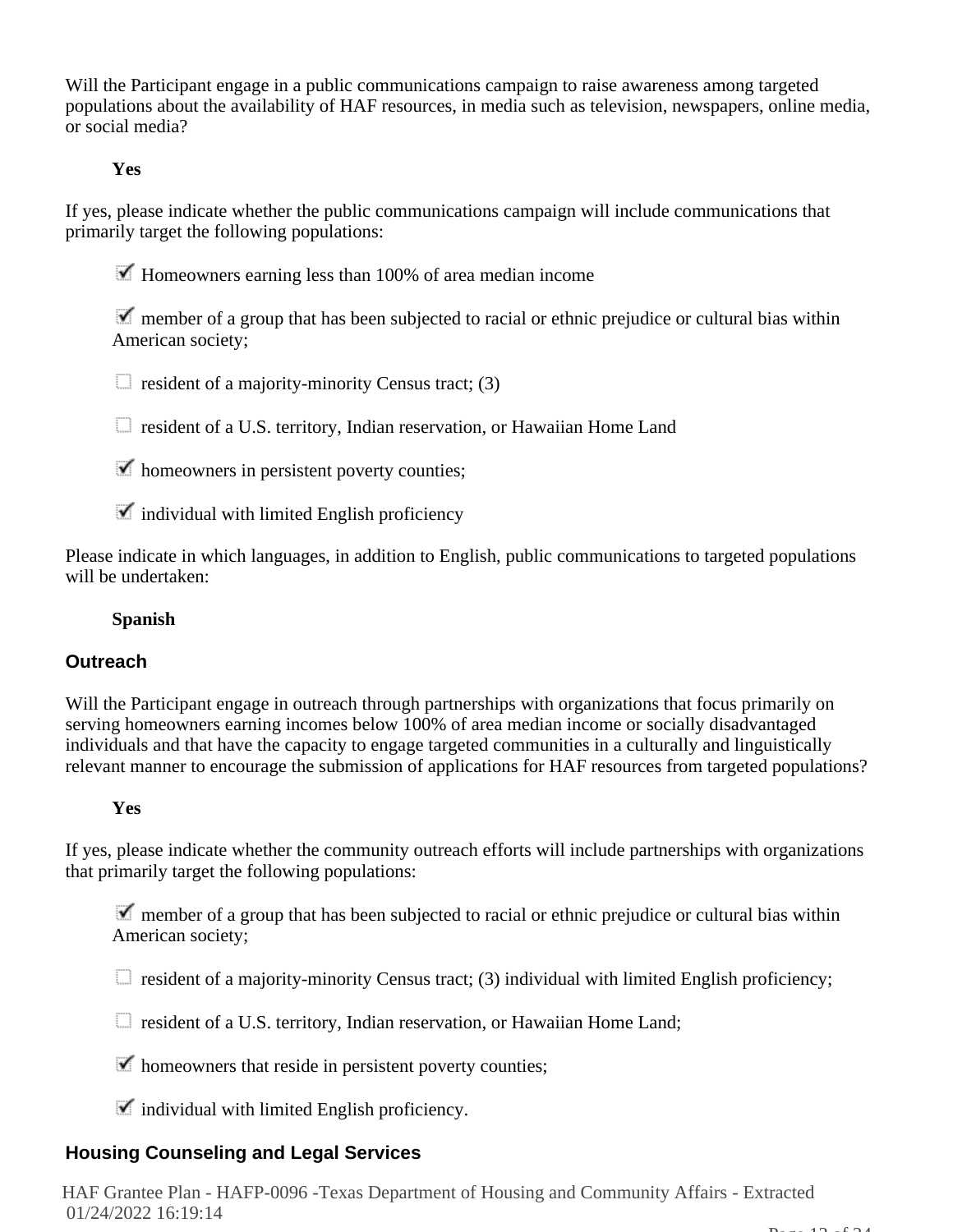Will the Participant engage in a public communications campaign to raise awareness among targeted populations about the availability of HAF resources, in media such as television, newspapers, online media, or social media?

# **Yes**

If yes, please indicate whether the public communications campaign will include communications that primarily target the following populations:

 $\blacktriangleright$  Homeowners earning less than 100% of area median income

 member of a group that has been subjected to racial or ethnic prejudice or cultural bias within American society;

 $\Box$  resident of a majority-minority Census tract; (3)

resident of a U.S. territory, Indian reservation, or Hawaiian Home Land

 $\blacktriangleright$  homeowners in persistent poverty counties;

 $\blacksquare$  individual with limited English proficiency

Please indicate in which languages, in addition to English, public communications to targeted populations will be undertaken:

#### **Spanish**

#### **Outreach**

Will the Participant engage in outreach through partnerships with organizations that focus primarily on serving homeowners earning incomes below 100% of area median income or socially disadvantaged individuals and that have the capacity to engage targeted communities in a culturally and linguistically relevant manner to encourage the submission of applications for HAF resources from targeted populations?

#### **Yes**

If yes, please indicate whether the community outreach efforts will include partnerships with organizations that primarily target the following populations:

 $\blacktriangledown$  member of a group that has been subjected to racial or ethnic prejudice or cultural bias within American society;

 $\Box$  resident of a majority-minority Census tract; (3) individual with limited English proficiency;

resident of a U.S. territory, Indian reservation, or Hawaiian Home Land;

 $\blacktriangleright$  homeowners that reside in persistent poverty counties;

 $\blacktriangleright$  individual with limited English proficiency.

# **Housing Counseling and Legal Services**

HAF Grantee Plan - HAFP-0096 -Texas Department of Housing and Community Affairs - Extracted 01/24/2022 16:19:14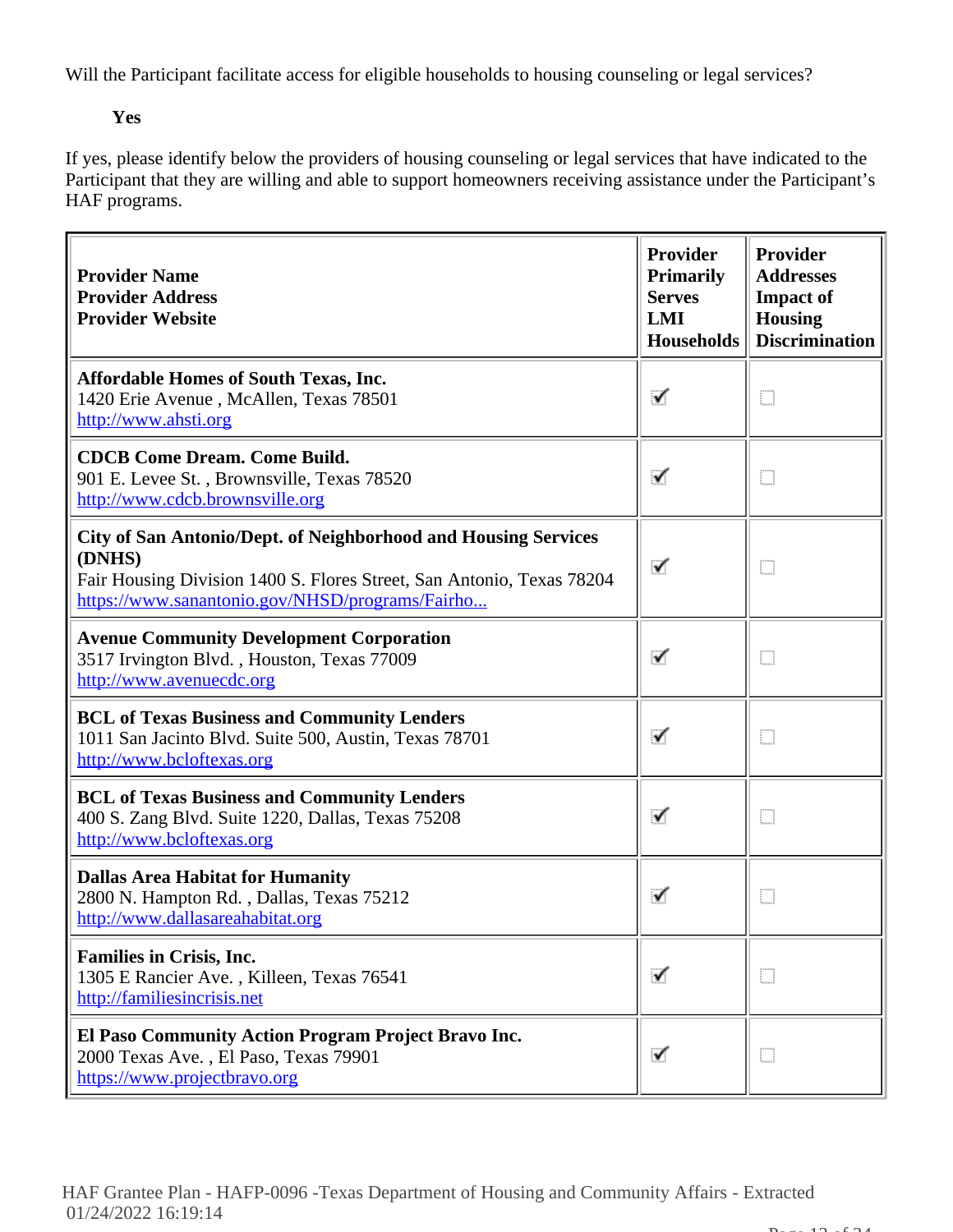Will the Participant facilitate access for eligible households to housing counseling or legal services?

# **Yes**

If yes, please identify below the providers of housing counseling or legal services that have indicated to the Participant that they are willing and able to support homeowners receiving assistance under the Participant's HAF programs.

| <b>Provider Name</b><br><b>Provider Address</b><br><b>Provider Website</b>                                                                                                                                  | Provider<br><b>Primarily</b><br><b>Serves</b><br>LMI<br><b>Households</b> | Provider<br><b>Addresses</b><br><b>Impact of</b><br><b>Housing</b><br><b>Discrimination</b> |
|-------------------------------------------------------------------------------------------------------------------------------------------------------------------------------------------------------------|---------------------------------------------------------------------------|---------------------------------------------------------------------------------------------|
| <b>Affordable Homes of South Texas, Inc.</b><br>1420 Erie Avenue, McAllen, Texas 78501<br>http://www.ahsti.org                                                                                              | ✓                                                                         | O                                                                                           |
| <b>CDCB Come Dream. Come Build.</b><br>901 E. Levee St., Brownsville, Texas 78520<br>http://www.cdcb.brownsville.org                                                                                        | ✓                                                                         | O                                                                                           |
| <b>City of San Antonio/Dept. of Neighborhood and Housing Services</b><br>(DNHS)<br>Fair Housing Division 1400 S. Flores Street, San Antonio, Texas 78204<br>https://www.sanantonio.gov/NHSD/programs/Fairho | ✓                                                                         | D                                                                                           |
| <b>Avenue Community Development Corporation</b><br>3517 Irvington Blvd., Houston, Texas 77009<br>http://www.avenuecdc.org                                                                                   | ✓                                                                         | D                                                                                           |
| <b>BCL of Texas Business and Community Lenders</b><br>1011 San Jacinto Blvd. Suite 500, Austin, Texas 78701<br>http://www.bcloftexas.org                                                                    | ✓                                                                         | m                                                                                           |
| <b>BCL of Texas Business and Community Lenders</b><br>400 S. Zang Blvd. Suite 1220, Dallas, Texas 75208<br>http://www.bcloftexas.org                                                                        | ✓                                                                         | D                                                                                           |
| <b>Dallas Area Habitat for Humanity</b><br>2800 N. Hampton Rd., Dallas, Texas 75212<br>http://www.dallasareahabitat.org                                                                                     | ✓                                                                         | O                                                                                           |
| <b>Families in Crisis, Inc.</b><br>1305 E Rancier Ave., Killeen, Texas 76541<br>http://familiesincrisis.net                                                                                                 | ✓                                                                         | D                                                                                           |
| El Paso Community Action Program Project Bravo Inc.<br>2000 Texas Ave., El Paso, Texas 79901<br>https://www.projectbravo.org                                                                                | ✓                                                                         | O                                                                                           |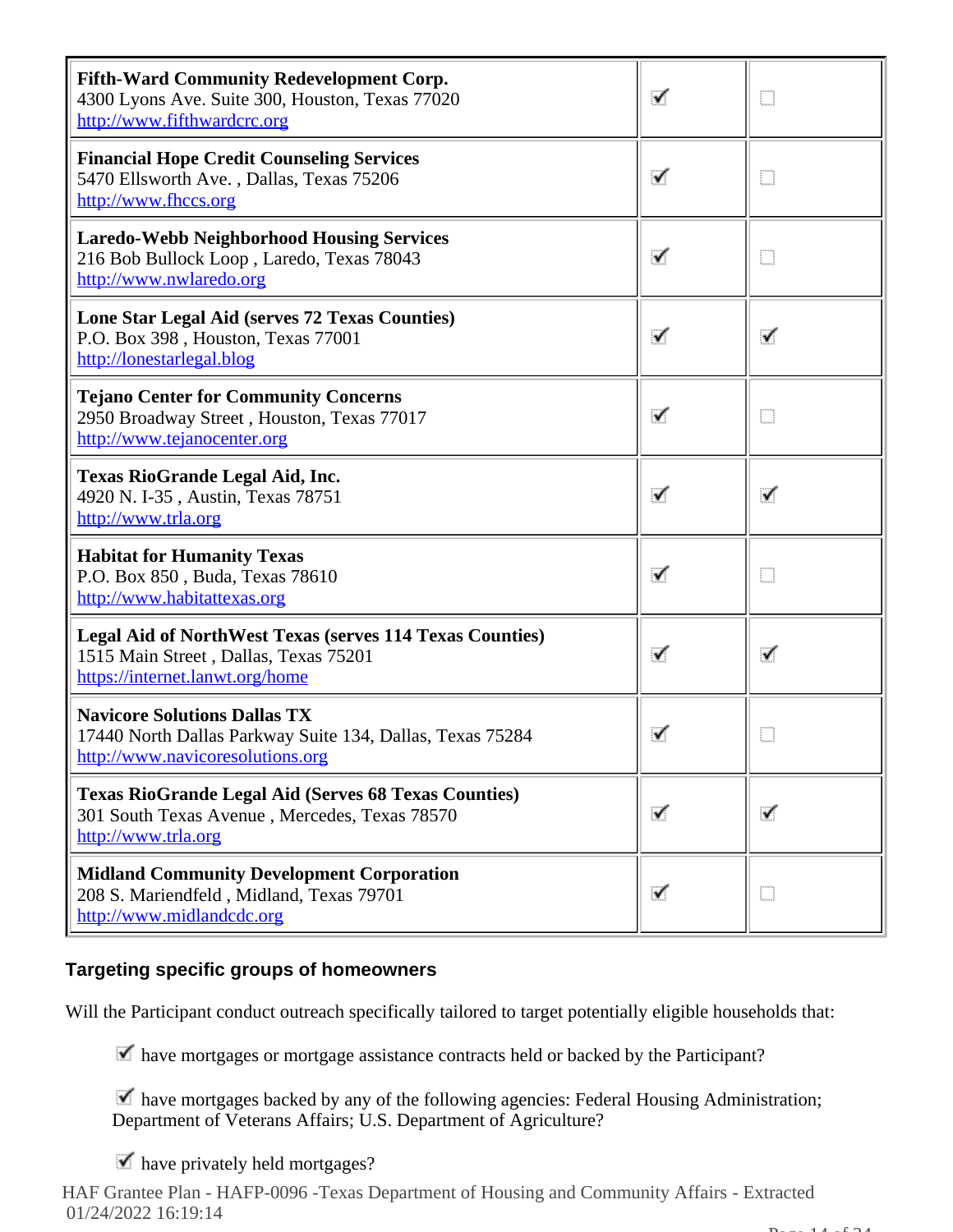| <b>Fifth-Ward Community Redevelopment Corp.</b><br>4300 Lyons Ave. Suite 300, Houston, Texas 77020<br>http://www.fifthwardcrc.org           | ✓ | m |
|---------------------------------------------------------------------------------------------------------------------------------------------|---|---|
| <b>Financial Hope Credit Counseling Services</b><br>5470 Ellsworth Ave., Dallas, Texas 75206<br>http://www.fhccs.org                        | ✓ | m |
| <b>Laredo-Webb Neighborhood Housing Services</b><br>216 Bob Bullock Loop, Laredo, Texas 78043<br>http://www.nwlaredo.org                    | ✓ | O |
| Lone Star Legal Aid (serves 72 Texas Counties)<br>P.O. Box 398, Houston, Texas 77001<br>http://lonestarlegal.blog                           | ✓ | ✓ |
| <b>Tejano Center for Community Concerns</b><br>2950 Broadway Street, Houston, Texas 77017<br>http://www.tejanocenter.org                    | ✓ | D |
| <b>Texas RioGrande Legal Aid, Inc.</b><br>4920 N. I-35, Austin, Texas 78751<br>http://www.trla.org                                          | ✓ | ✓ |
| <b>Habitat for Humanity Texas</b><br>P.O. Box 850, Buda, Texas 78610<br>http://www.habitattexas.org                                         | ✓ | D |
| <b>Legal Aid of NorthWest Texas (serves 114 Texas Counties)</b><br>1515 Main Street, Dallas, Texas 75201<br>https://internet.lanwt.org/home | ✓ | ✓ |
| <b>Navicore Solutions Dallas TX</b><br>17440 North Dallas Parkway Suite 134, Dallas, Texas 75284<br><u>http://www.navicoresolutions.org</u> | ✓ | D |
| <b>Texas RioGrande Legal Aid (Serves 68 Texas Counties)</b><br>301 South Texas Avenue, Mercedes, Texas 78570<br>http://www.trla.org         | ✓ | ✓ |
| <b>Midland Community Development Corporation</b><br>208 S. Mariendfeld, Midland, Texas 79701<br>http://www.midlandcdc.org                   | ✓ | Ð |

# **Targeting specific groups of homeowners**

Will the Participant conduct outreach specifically tailored to target potentially eligible households that:

have mortgages or mortgage assistance contracts held or backed by the Participant?

 have mortgages backed by any of the following agencies: Federal Housing Administration; Department of Veterans Affairs; U.S. Department of Agriculture?

 $\blacktriangleright$  have privately held mortgages?

HAF Grantee Plan - HAFP-0096 -Texas Department of Housing and Community Affairs - Extracted 01/24/2022 16:19:14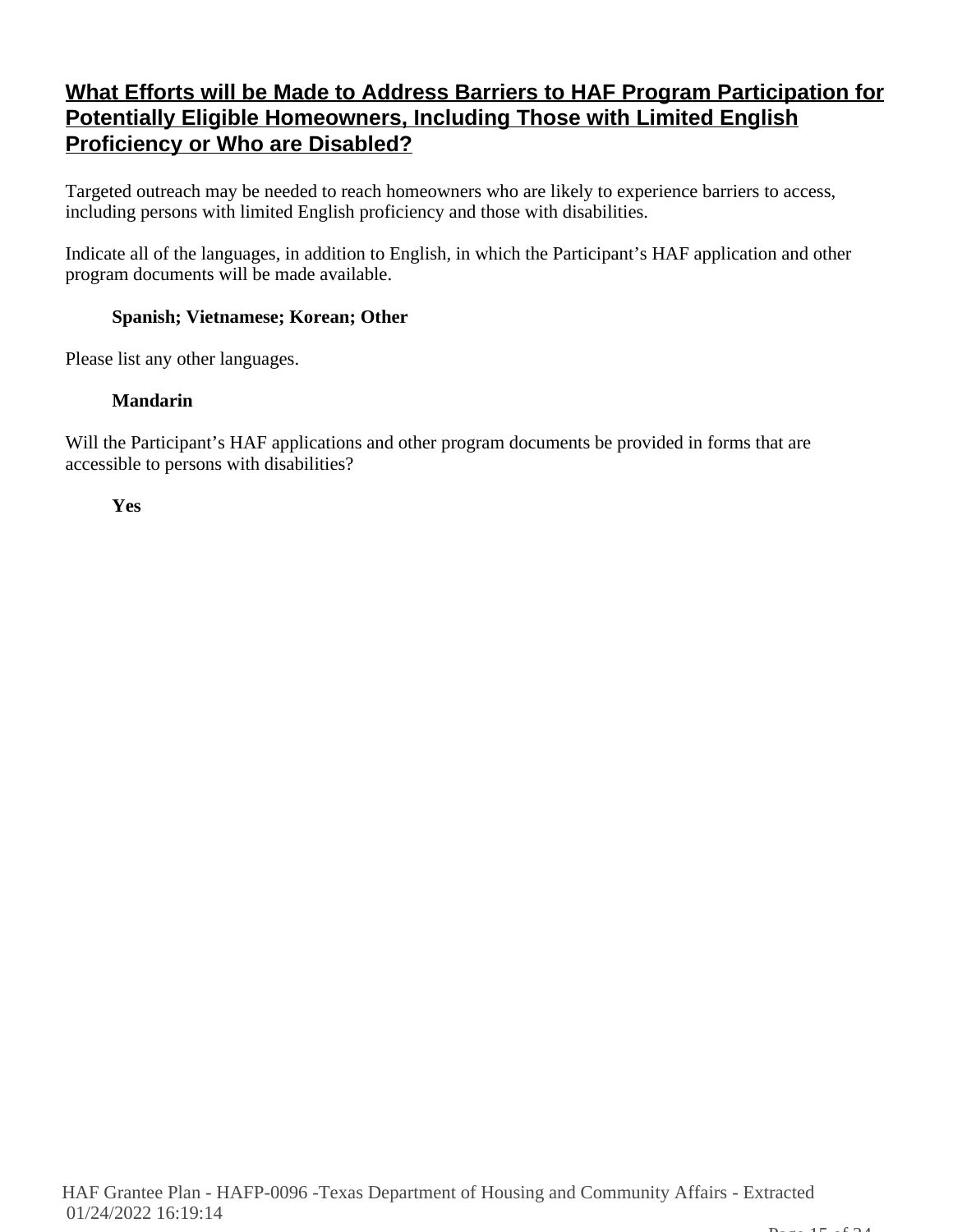# **What Efforts will be Made to Address Barriers to HAF Program Participation for Potentially Eligible Homeowners, Including Those with Limited English Proficiency or Who are Disabled?**

Targeted outreach may be needed to reach homeowners who are likely to experience barriers to access, including persons with limited English proficiency and those with disabilities.

Indicate all of the languages, in addition to English, in which the Participant's HAF application and other program documents will be made available.

# **Spanish; Vietnamese; Korean; Other**

Please list any other languages.

# **Mandarin**

Will the Participant's HAF applications and other program documents be provided in forms that are accessible to persons with disabilities?

**Yes**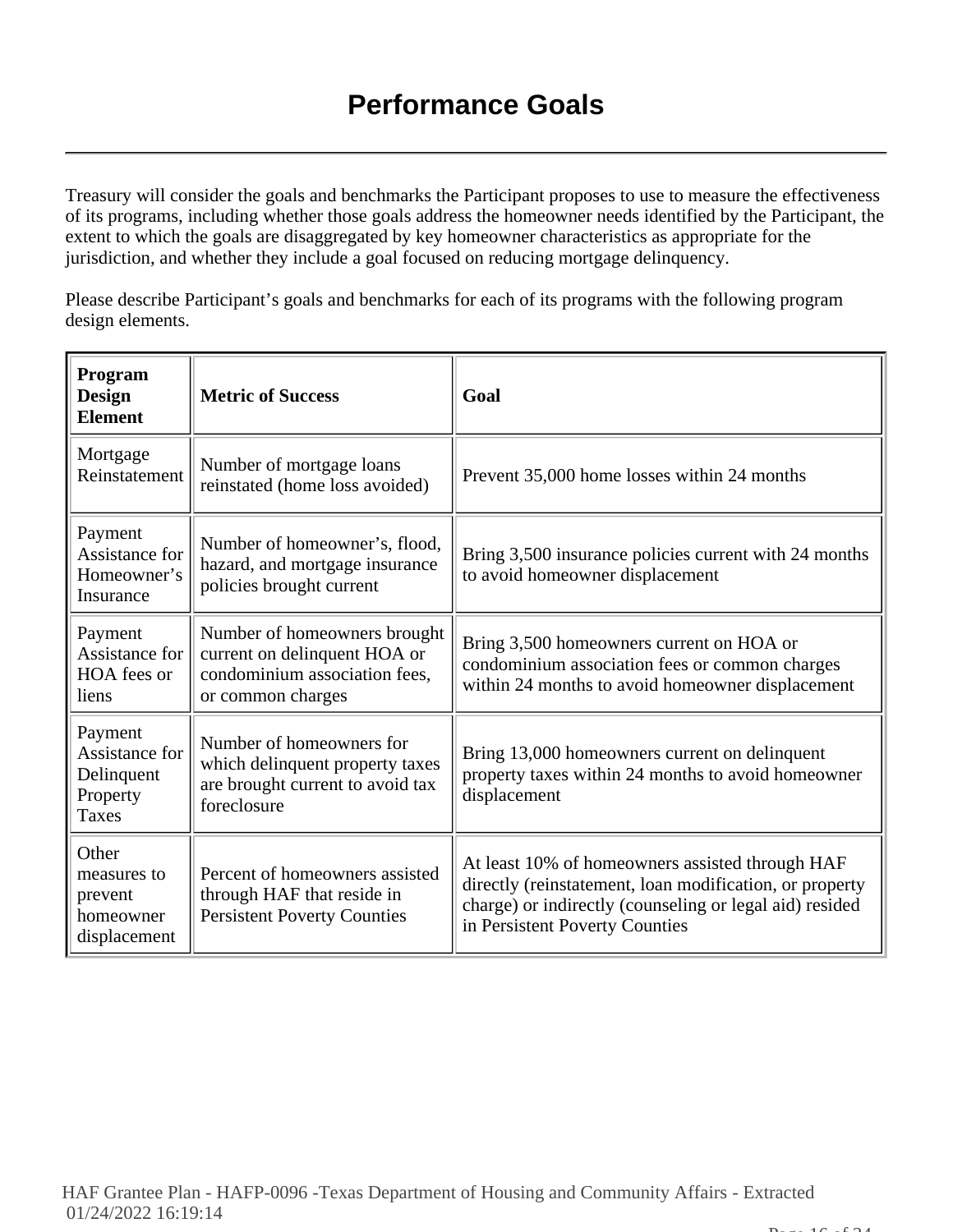Treasury will consider the goals and benchmarks the Participant proposes to use to measure the effectiveness of its programs, including whether those goals address the homeowner needs identified by the Participant, the extent to which the goals are disaggregated by key homeowner characteristics as appropriate for the jurisdiction, and whether they include a goal focused on reducing mortgage delinquency.

Please describe Participant's goals and benchmarks for each of its programs with the following program design elements.

| Program<br><b>Design</b><br><b>Element</b>                          | <b>Metric of Success</b>                                                                                           | Goal                                                                                                                                                                                                    |
|---------------------------------------------------------------------|--------------------------------------------------------------------------------------------------------------------|---------------------------------------------------------------------------------------------------------------------------------------------------------------------------------------------------------|
| Mortgage<br>Reinstatement                                           | Number of mortgage loans<br>reinstated (home loss avoided)                                                         | Prevent 35,000 home losses within 24 months                                                                                                                                                             |
| Payment<br>Assistance for<br>Homeowner's<br>Insurance               | Number of homeowner's, flood,<br>hazard, and mortgage insurance<br>policies brought current                        | Bring 3,500 insurance policies current with 24 months<br>to avoid homeowner displacement                                                                                                                |
| Payment<br>Assistance for<br>HOA fees or<br>liens                   | Number of homeowners brought<br>current on delinquent HOA or<br>condominium association fees,<br>or common charges | Bring 3,500 homeowners current on HOA or<br>condominium association fees or common charges<br>within 24 months to avoid homeowner displacement                                                          |
| Payment<br>Assistance for<br>Delinquent<br>Property<br><b>Taxes</b> | Number of homeowners for<br>which delinquent property taxes<br>are brought current to avoid tax<br>foreclosure     | Bring 13,000 homeowners current on delinquent<br>property taxes within 24 months to avoid homeowner<br>displacement                                                                                     |
| Other<br>measures to<br>prevent<br>homeowner<br>displacement        | Percent of homeowners assisted<br>through HAF that reside in<br><b>Persistent Poverty Counties</b>                 | At least 10% of homeowners assisted through HAF<br>directly (reinstatement, loan modification, or property<br>charge) or indirectly (counseling or legal aid) resided<br>in Persistent Poverty Counties |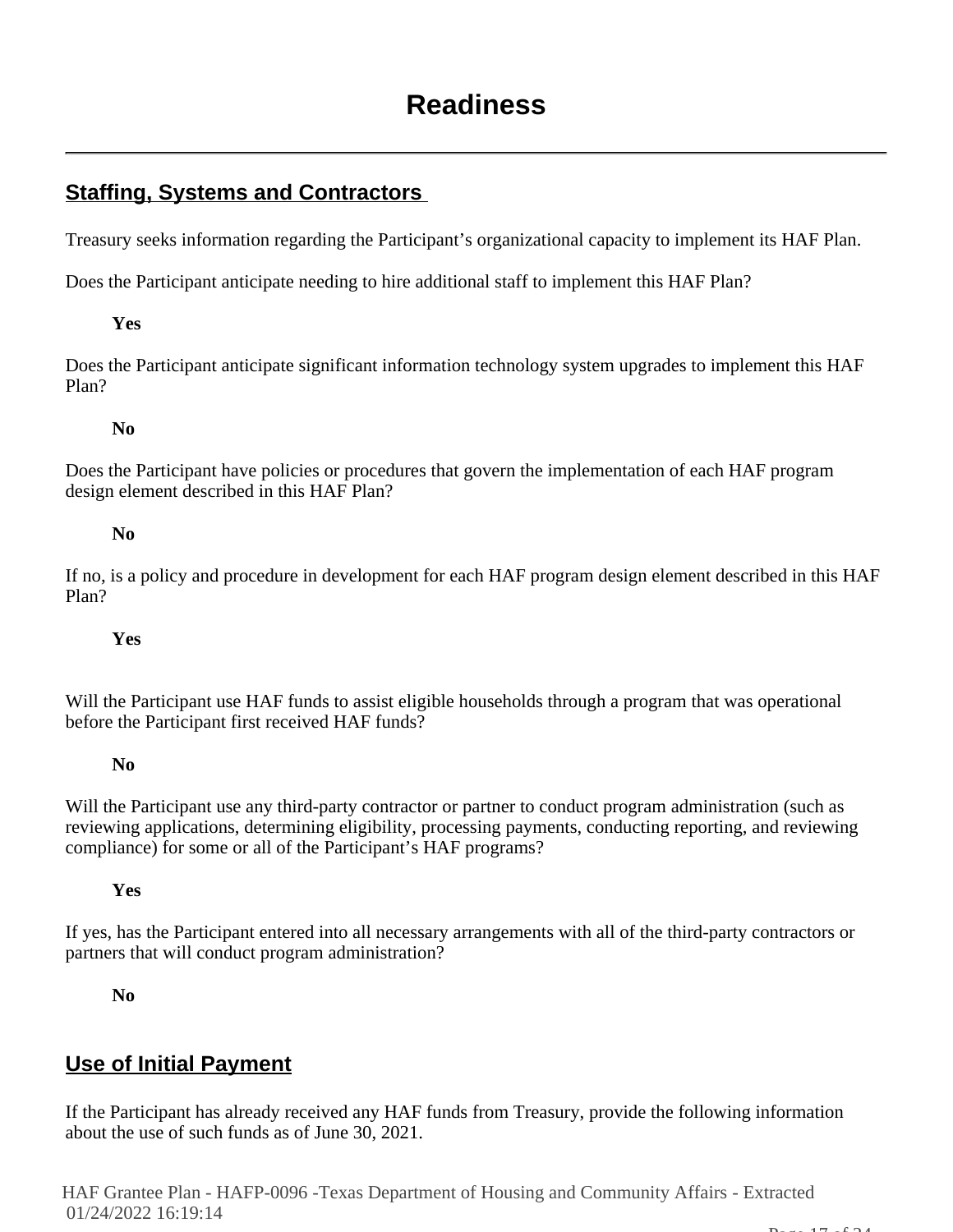# **Staffing, Systems and Contractors**

Treasury seeks information regarding the Participant's organizational capacity to implement its HAF Plan.

Does the Participant anticipate needing to hire additional staff to implement this HAF Plan?

# **Yes**

Does the Participant anticipate significant information technology system upgrades to implement this HAF Plan?

# **No**

Does the Participant have policies or procedures that govern the implementation of each HAF program design element described in this HAF Plan?

# **No**

If no, is a policy and procedure in development for each HAF program design element described in this HAF Plan?

# **Yes**

Will the Participant use HAF funds to assist eligible households through a program that was operational before the Participant first received HAF funds?

# **No**

Will the Participant use any third-party contractor or partner to conduct program administration (such as reviewing applications, determining eligibility, processing payments, conducting reporting, and reviewing compliance) for some or all of the Participant's HAF programs?

# **Yes**

If yes, has the Participant entered into all necessary arrangements with all of the third-party contractors or partners that will conduct program administration?

# **No**

# **Use of Initial Payment**

If the Participant has already received any HAF funds from Treasury, provide the following information about the use of such funds as of June 30, 2021.

HAF Grantee Plan - HAFP-0096 -Texas Department of Housing and Community Affairs - Extracted 01/24/2022 16:19:14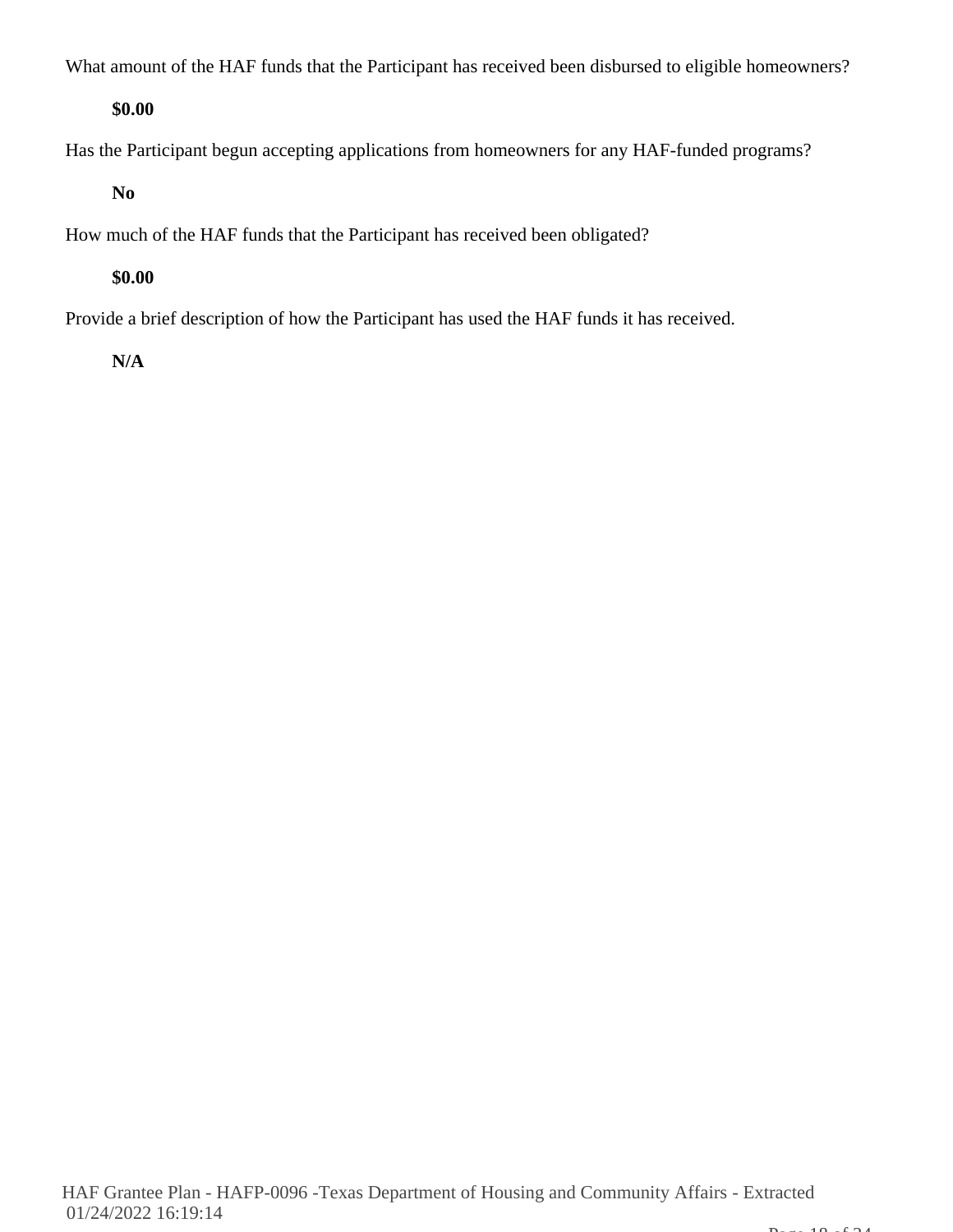What amount of the HAF funds that the Participant has received been disbursed to eligible homeowners?

# **\$0.00**

Has the Participant begun accepting applications from homeowners for any HAF-funded programs?

# **No**

How much of the HAF funds that the Participant has received been obligated?

# **\$0.00**

Provide a brief description of how the Participant has used the HAF funds it has received.

# **N/A**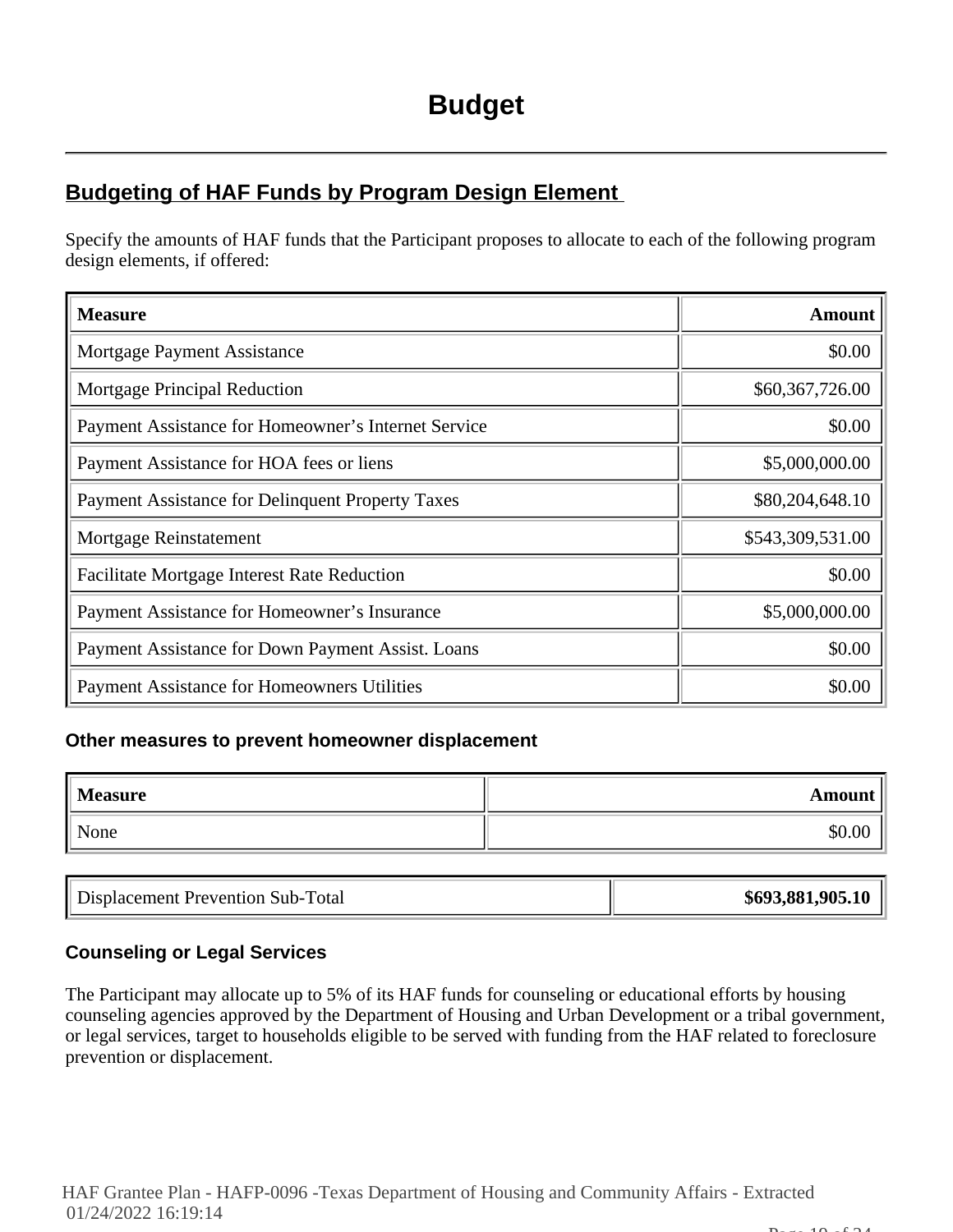# **Budgeting of HAF Funds by Program Design Element**

Specify the amounts of HAF funds that the Participant proposes to allocate to each of the following program design elements, if offered:

| <b>Measure</b>                                      | <b>Amount</b>    |
|-----------------------------------------------------|------------------|
| Mortgage Payment Assistance                         | \$0.00           |
| Mortgage Principal Reduction                        | \$60,367,726.00  |
| Payment Assistance for Homeowner's Internet Service | \$0.00           |
| Payment Assistance for HOA fees or liens            | \$5,000,000.00   |
| Payment Assistance for Delinquent Property Taxes    | \$80,204,648.10  |
| Mortgage Reinstatement                              | \$543,309,531.00 |
| <b>Facilitate Mortgage Interest Rate Reduction</b>  | \$0.00           |
| Payment Assistance for Homeowner's Insurance        | \$5,000,000.00   |
| Payment Assistance for Down Payment Assist. Loans   | \$0.00           |
| <b>Payment Assistance for Homeowners Utilities</b>  | \$0.00           |

#### **Other measures to prevent homeowner displacement**

| <b>Measure</b> | Amount |
|----------------|--------|
| None           | \$0.00 |

|  | Displacement Prevention Sub-Total | \$693,881,905.10 |
|--|-----------------------------------|------------------|
|--|-----------------------------------|------------------|

# **Counseling or Legal Services**

The Participant may allocate up to 5% of its HAF funds for counseling or educational efforts by housing counseling agencies approved by the Department of Housing and Urban Development or a tribal government, or legal services, target to households eligible to be served with funding from the HAF related to foreclosure prevention or displacement.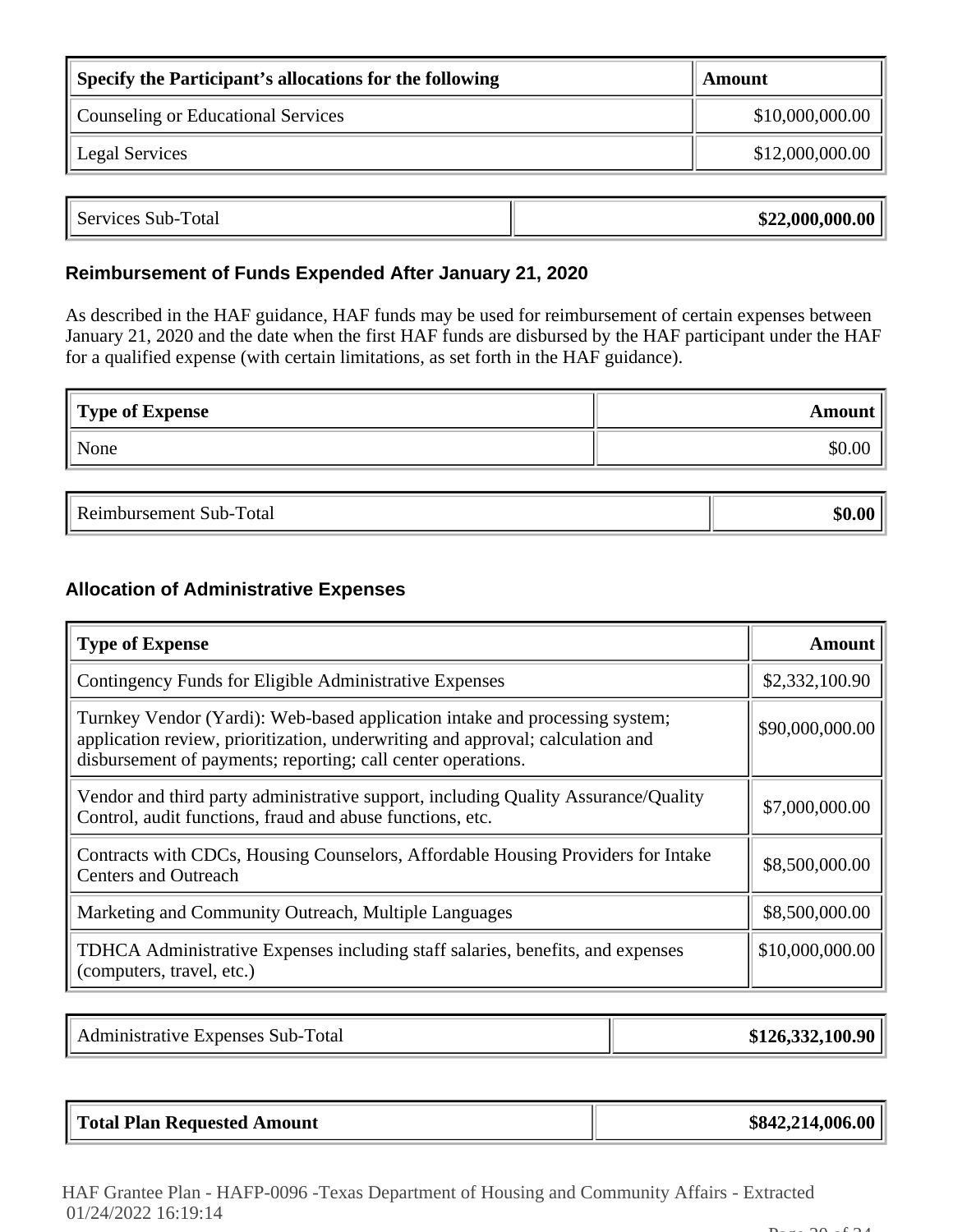| Specify the Participant's allocations for the following | Amount          |
|---------------------------------------------------------|-----------------|
| Counseling or Educational Services                      | \$10,000,000.00 |
| <b>Legal Services</b>                                   | \$12,000,000.00 |

| Services Sub-7<br>Total | \$22,000,000.00 |
|-------------------------|-----------------|
|                         |                 |

# **Reimbursement of Funds Expended After January 21, 2020**

As described in the HAF guidance, HAF funds may be used for reimbursement of certain expenses between January 21, 2020 and the date when the first HAF funds are disbursed by the HAF participant under the HAF for a qualified expense (with certain limitations, as set forth in the HAF guidance).

| Type of Expense | Amount |
|-----------------|--------|
| None            | \$0.00 |

| . .<br>отаг<br>ъ.<br>.<br>. |  |
|-----------------------------|--|
|                             |  |

# **Allocation of Administrative Expenses**

| <b>Type of Expense</b>                                                                                                                                                                                                        | Amount          |
|-------------------------------------------------------------------------------------------------------------------------------------------------------------------------------------------------------------------------------|-----------------|
| Contingency Funds for Eligible Administrative Expenses                                                                                                                                                                        | \$2,332,100.90  |
| Turnkey Vendor (Yardi): Web-based application intake and processing system;<br>application review, prioritization, underwriting and approval; calculation and<br>disbursement of payments; reporting; call center operations. | \$90,000,000.00 |
| Vendor and third party administrative support, including Quality Assurance/Quality<br>Control, audit functions, fraud and abuse functions, etc.                                                                               | \$7,000,000.00  |
| Contracts with CDCs, Housing Counselors, Affordable Housing Providers for Intake<br><b>Centers and Outreach</b>                                                                                                               | \$8,500,000.00  |
| Marketing and Community Outreach, Multiple Languages                                                                                                                                                                          | \$8,500,000.00  |
| TDHCA Administrative Expenses including staff salaries, benefits, and expenses<br>(computers, travel, etc.)                                                                                                                   | \$10,000,000.00 |

| Administrative Expenses Sub-Total | \$126,332,100.90 |
|-----------------------------------|------------------|
|-----------------------------------|------------------|

| Total Plan Requested Amount | \$842,214,006.00 |
|-----------------------------|------------------|
|-----------------------------|------------------|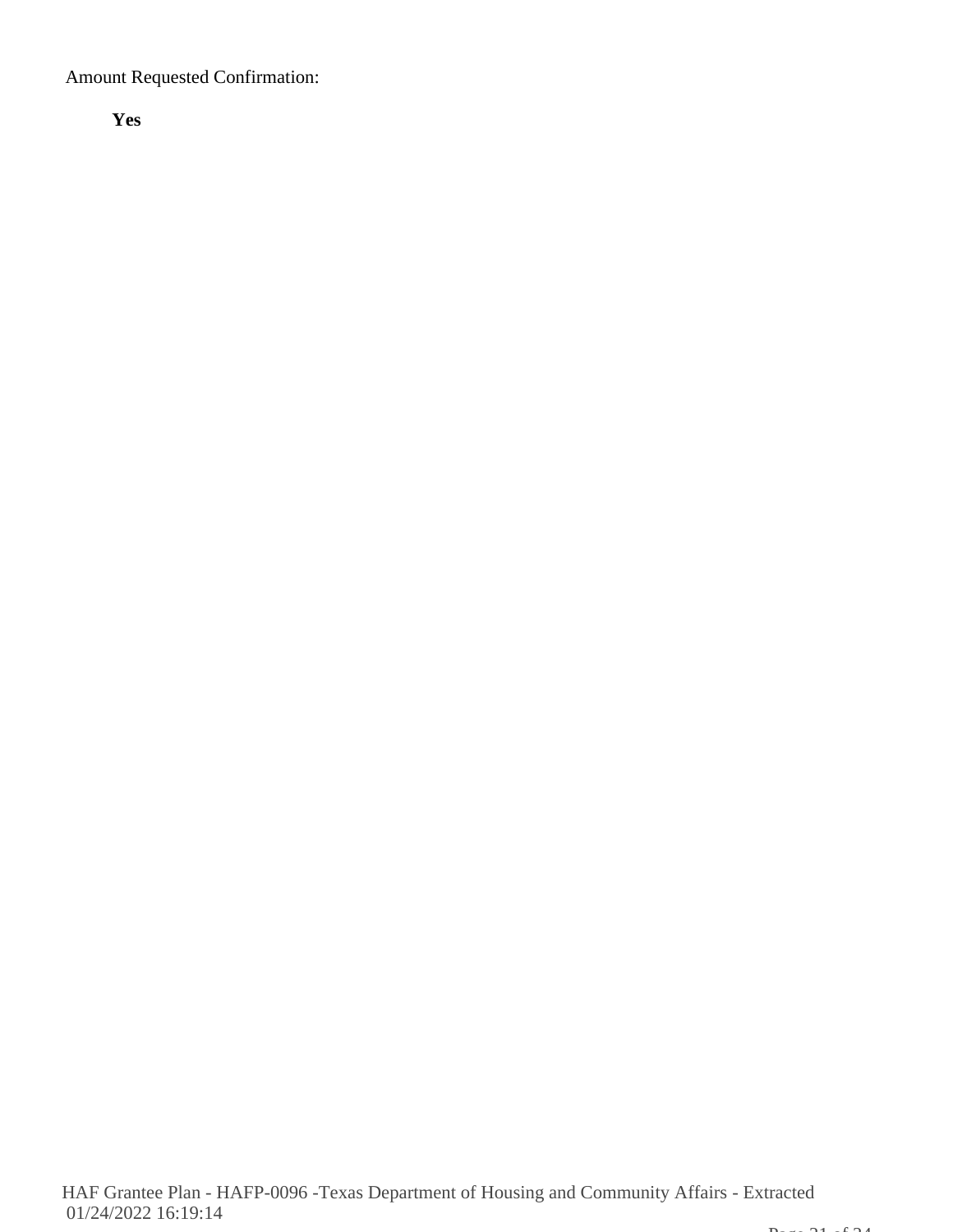Amount Requested Confirmation:

**Yes**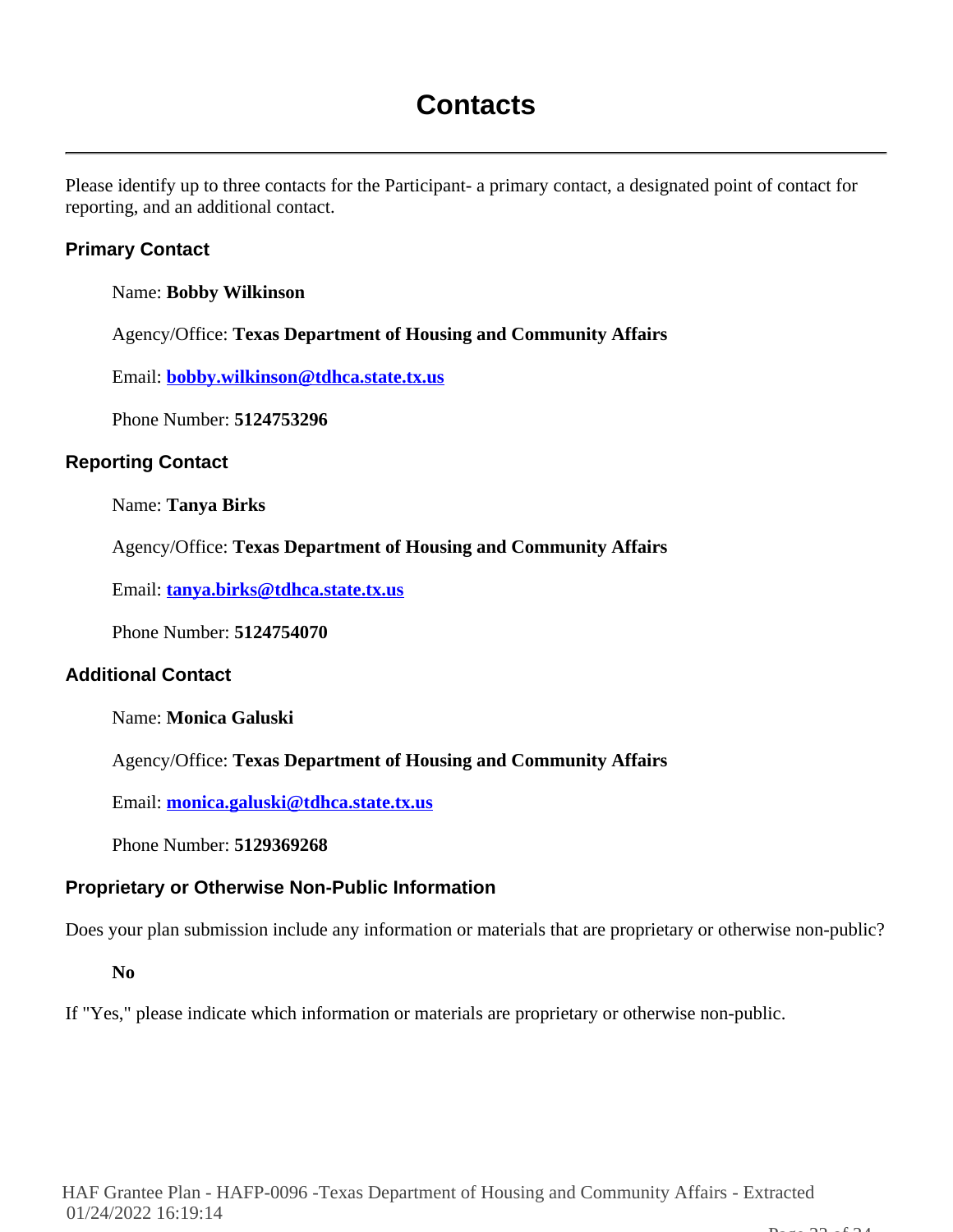# **Contacts**

Please identify up to three contacts for the Participant- a primary contact, a designated point of contact for reporting, and an additional contact.

# **Primary Contact**

Name: **Bobby Wilkinson**

Agency/Office: **Texas Department of Housing and Community Affairs**

Email: **bobby.wilkinson@tdhca.state.tx.us**

Phone Number: **5124753296**

#### **Reporting Contact**

Name: **Tanya Birks**

Agency/Office: **Texas Department of Housing and Community Affairs**

Email: **tanya.birks@tdhca.state.tx.us**

Phone Number: **5124754070**

#### **Additional Contact**

Name: **Monica Galuski**

Agency/Office: **Texas Department of Housing and Community Affairs**

Email: **monica.galuski@tdhca.state.tx.us**

Phone Number: **5129369268**

#### **Proprietary or Otherwise Non-Public Information**

Does your plan submission include any information or materials that are proprietary or otherwise non-public?

**No**

If "Yes," please indicate which information or materials are proprietary or otherwise non-public.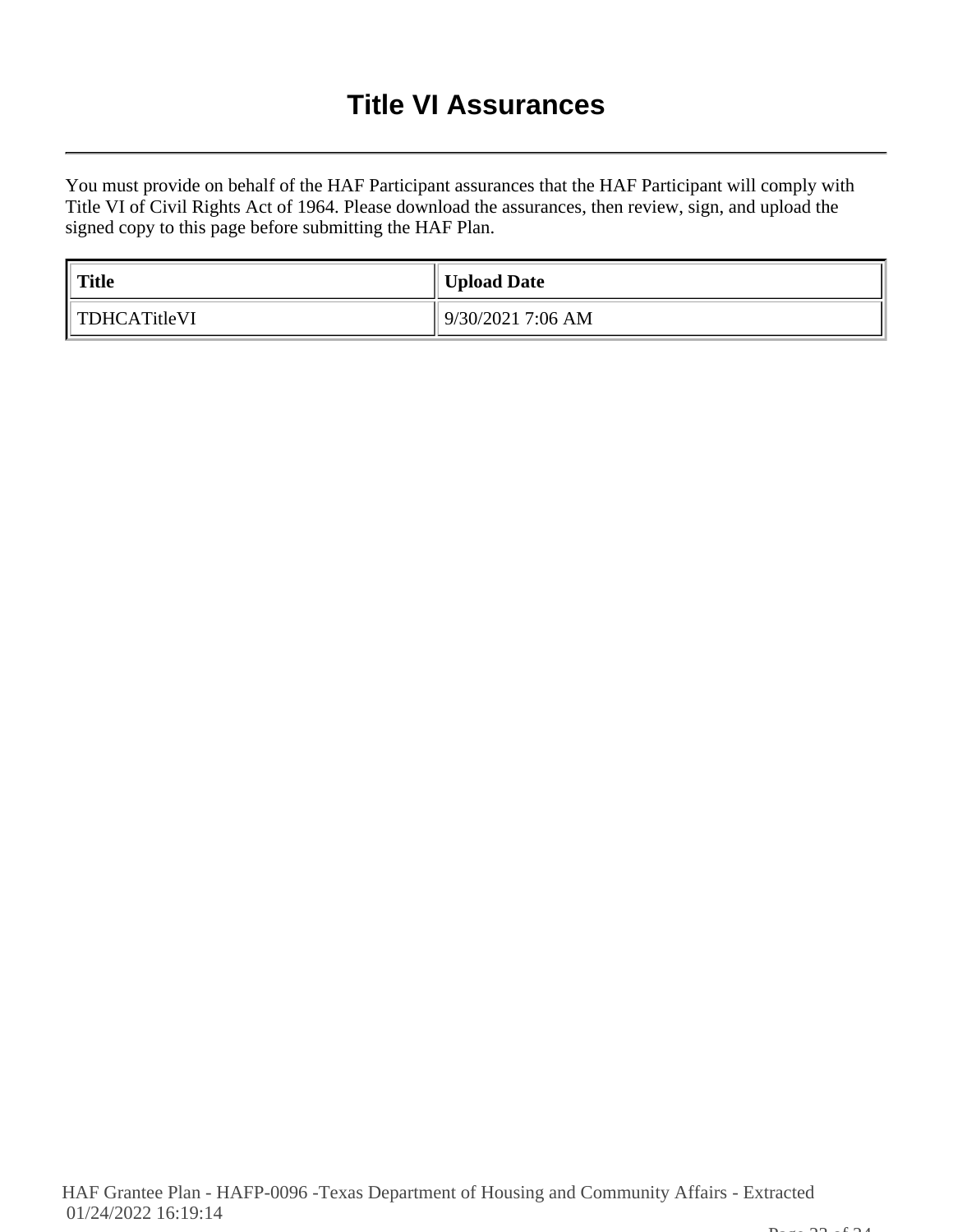# **Title VI Assurances**

You must provide on behalf of the HAF Participant assurances that the HAF Participant will comply with Title VI of Civil Rights Act of 1964. Please download the assurances, then review, sign, and upload the signed copy to this page before submitting the HAF Plan.

| $^{\prime}$ Title | Upload Date       |
|-------------------|-------------------|
| TDHCATitleVI      | 9/30/2021 7:06 AM |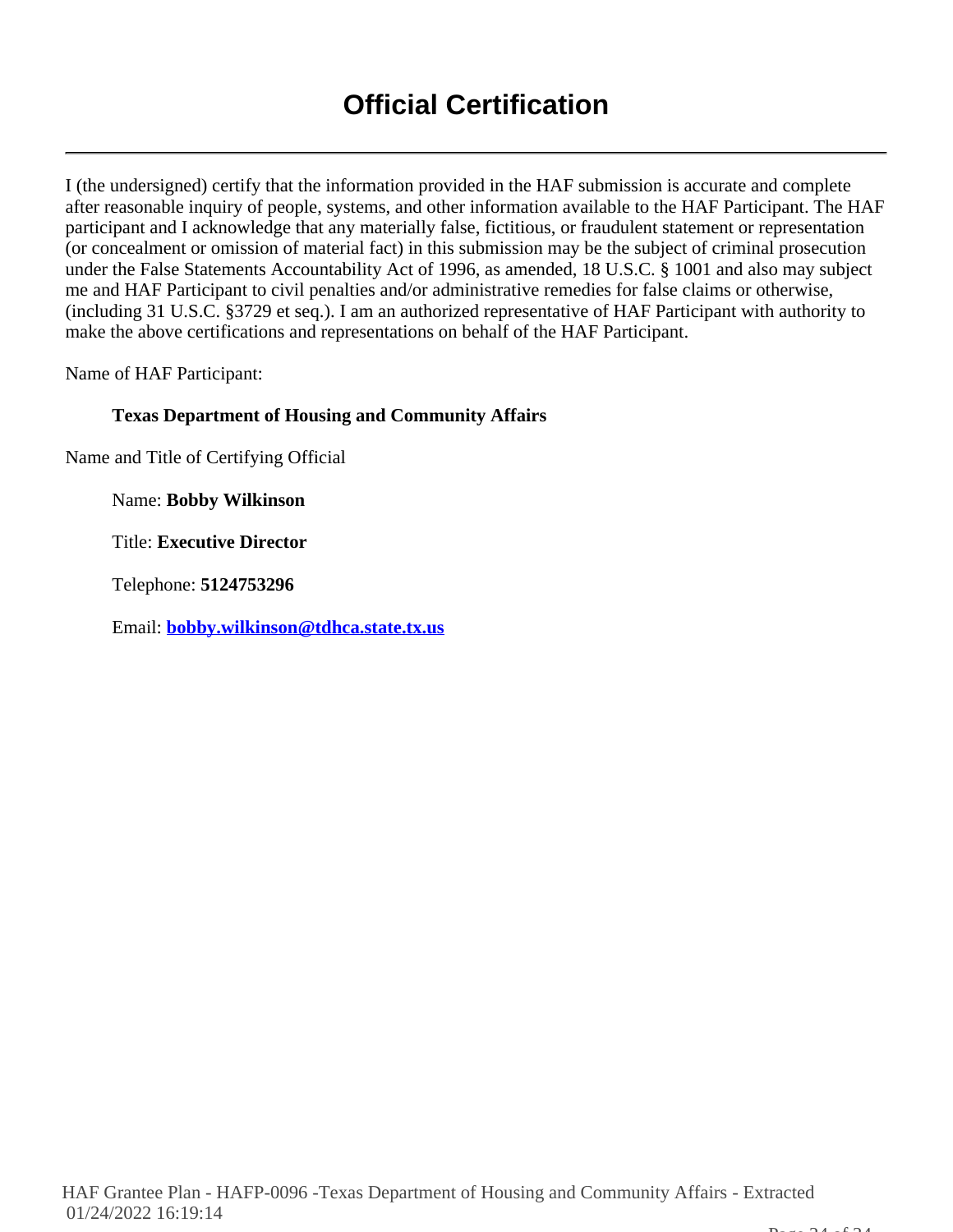I (the undersigned) certify that the information provided in the HAF submission is accurate and complete after reasonable inquiry of people, systems, and other information available to the HAF Participant. The HAF participant and I acknowledge that any materially false, fictitious, or fraudulent statement or representation (or concealment or omission of material fact) in this submission may be the subject of criminal prosecution under the False Statements Accountability Act of 1996, as amended, 18 U.S.C. § 1001 and also may subject me and HAF Participant to civil penalties and/or administrative remedies for false claims or otherwise, (including 31 U.S.C. §3729 et seq.). I am an authorized representative of HAF Participant with authority to make the above certifications and representations on behalf of the HAF Participant.

Name of HAF Participant:

# **Texas Department of Housing and Community Affairs**

Name and Title of Certifying Official

Name: **Bobby Wilkinson**

Title: **Executive Director**

Telephone: **5124753296**

Email: **bobby.wilkinson@tdhca.state.tx.us**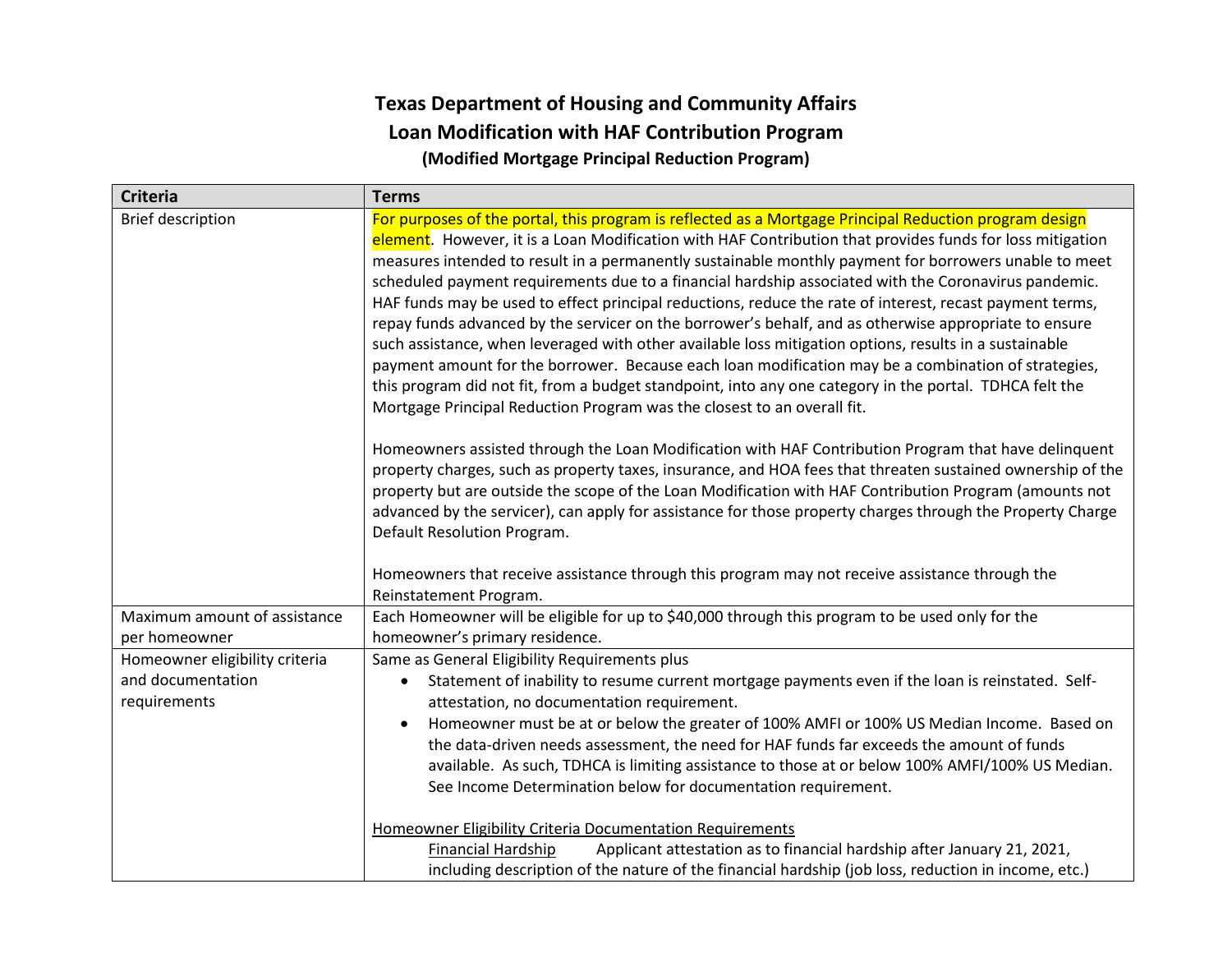# **Texas Department of Housing and Community Affairs Loan Modification with HAF Contribution Program (Modified Mortgage Principal Reduction Program)**

| <b>Criteria</b>                                                     | <b>Terms</b>                                                                                                                                                                                                                                                                                                                                                                                                                                                                                                                                                                                                                                                                                                                                                                                                                                                                                                                                                                                                                                                                                                                                                                                                                                                                                                                                                                                                                                                                                                                                                                                                                                                              |
|---------------------------------------------------------------------|---------------------------------------------------------------------------------------------------------------------------------------------------------------------------------------------------------------------------------------------------------------------------------------------------------------------------------------------------------------------------------------------------------------------------------------------------------------------------------------------------------------------------------------------------------------------------------------------------------------------------------------------------------------------------------------------------------------------------------------------------------------------------------------------------------------------------------------------------------------------------------------------------------------------------------------------------------------------------------------------------------------------------------------------------------------------------------------------------------------------------------------------------------------------------------------------------------------------------------------------------------------------------------------------------------------------------------------------------------------------------------------------------------------------------------------------------------------------------------------------------------------------------------------------------------------------------------------------------------------------------------------------------------------------------|
| <b>Brief description</b>                                            | For purposes of the portal, this program is reflected as a Mortgage Principal Reduction program design<br>element. However, it is a Loan Modification with HAF Contribution that provides funds for loss mitigation<br>measures intended to result in a permanently sustainable monthly payment for borrowers unable to meet<br>scheduled payment requirements due to a financial hardship associated with the Coronavirus pandemic.<br>HAF funds may be used to effect principal reductions, reduce the rate of interest, recast payment terms,<br>repay funds advanced by the servicer on the borrower's behalf, and as otherwise appropriate to ensure<br>such assistance, when leveraged with other available loss mitigation options, results in a sustainable<br>payment amount for the borrower. Because each loan modification may be a combination of strategies,<br>this program did not fit, from a budget standpoint, into any one category in the portal. TDHCA felt the<br>Mortgage Principal Reduction Program was the closest to an overall fit.<br>Homeowners assisted through the Loan Modification with HAF Contribution Program that have delinquent<br>property charges, such as property taxes, insurance, and HOA fees that threaten sustained ownership of the<br>property but are outside the scope of the Loan Modification with HAF Contribution Program (amounts not<br>advanced by the servicer), can apply for assistance for those property charges through the Property Charge<br>Default Resolution Program.<br>Homeowners that receive assistance through this program may not receive assistance through the<br>Reinstatement Program. |
| Maximum amount of assistance<br>per homeowner                       | Each Homeowner will be eligible for up to \$40,000 through this program to be used only for the<br>homeowner's primary residence.                                                                                                                                                                                                                                                                                                                                                                                                                                                                                                                                                                                                                                                                                                                                                                                                                                                                                                                                                                                                                                                                                                                                                                                                                                                                                                                                                                                                                                                                                                                                         |
| Homeowner eligibility criteria<br>and documentation<br>requirements | Same as General Eligibility Requirements plus<br>Statement of inability to resume current mortgage payments even if the loan is reinstated. Self-<br>$\bullet$<br>attestation, no documentation requirement.<br>Homeowner must be at or below the greater of 100% AMFI or 100% US Median Income. Based on<br>the data-driven needs assessment, the need for HAF funds far exceeds the amount of funds<br>available. As such, TDHCA is limiting assistance to those at or below 100% AMFI/100% US Median.<br>See Income Determination below for documentation requirement.                                                                                                                                                                                                                                                                                                                                                                                                                                                                                                                                                                                                                                                                                                                                                                                                                                                                                                                                                                                                                                                                                                 |
|                                                                     | <b>Homeowner Eligibility Criteria Documentation Requirements</b><br>Applicant attestation as to financial hardship after January 21, 2021,<br><b>Financial Hardship</b><br>including description of the nature of the financial hardship (job loss, reduction in income, etc.)                                                                                                                                                                                                                                                                                                                                                                                                                                                                                                                                                                                                                                                                                                                                                                                                                                                                                                                                                                                                                                                                                                                                                                                                                                                                                                                                                                                            |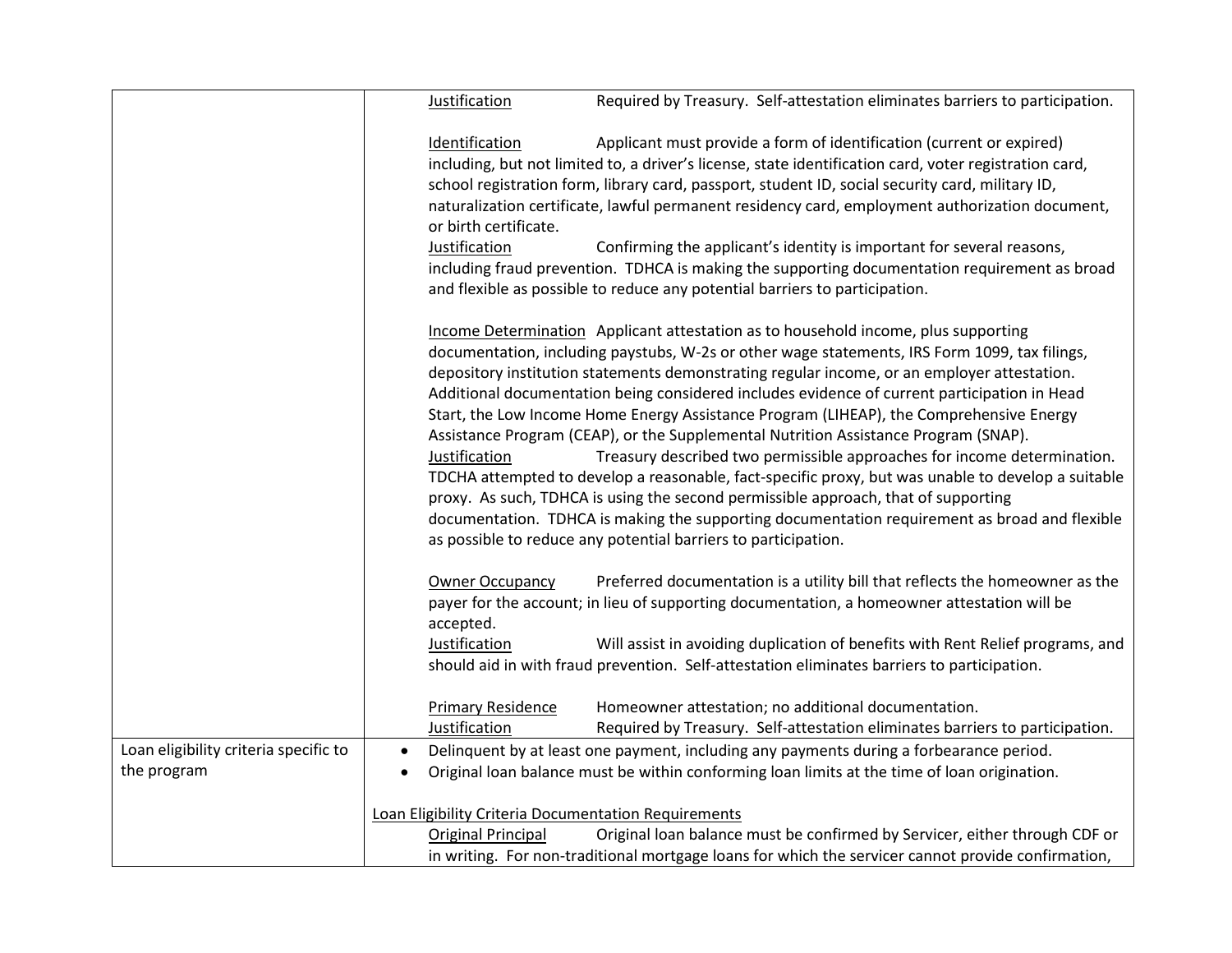|                                       | Justification<br>Required by Treasury. Self-attestation eliminates barriers to participation.                                                                                                                                                                                                                                                                                                                                                                                                                                                                                                                                                                                                                                                                                                                                                                                                                                                                                                                                   |
|---------------------------------------|---------------------------------------------------------------------------------------------------------------------------------------------------------------------------------------------------------------------------------------------------------------------------------------------------------------------------------------------------------------------------------------------------------------------------------------------------------------------------------------------------------------------------------------------------------------------------------------------------------------------------------------------------------------------------------------------------------------------------------------------------------------------------------------------------------------------------------------------------------------------------------------------------------------------------------------------------------------------------------------------------------------------------------|
|                                       | Applicant must provide a form of identification (current or expired)<br>Identification<br>including, but not limited to, a driver's license, state identification card, voter registration card,<br>school registration form, library card, passport, student ID, social security card, military ID,<br>naturalization certificate, lawful permanent residency card, employment authorization document,<br>or birth certificate.<br>Justification<br>Confirming the applicant's identity is important for several reasons,                                                                                                                                                                                                                                                                                                                                                                                                                                                                                                      |
|                                       | including fraud prevention. TDHCA is making the supporting documentation requirement as broad<br>and flexible as possible to reduce any potential barriers to participation.                                                                                                                                                                                                                                                                                                                                                                                                                                                                                                                                                                                                                                                                                                                                                                                                                                                    |
|                                       | Income Determination Applicant attestation as to household income, plus supporting<br>documentation, including paystubs, W-2s or other wage statements, IRS Form 1099, tax filings,<br>depository institution statements demonstrating regular income, or an employer attestation.<br>Additional documentation being considered includes evidence of current participation in Head<br>Start, the Low Income Home Energy Assistance Program (LIHEAP), the Comprehensive Energy<br>Assistance Program (CEAP), or the Supplemental Nutrition Assistance Program (SNAP).<br>Treasury described two permissible approaches for income determination.<br>Justification<br>TDCHA attempted to develop a reasonable, fact-specific proxy, but was unable to develop a suitable<br>proxy. As such, TDHCA is using the second permissible approach, that of supporting<br>documentation. TDHCA is making the supporting documentation requirement as broad and flexible<br>as possible to reduce any potential barriers to participation. |
|                                       | Preferred documentation is a utility bill that reflects the homeowner as the<br><b>Owner Occupancy</b><br>payer for the account; in lieu of supporting documentation, a homeowner attestation will be                                                                                                                                                                                                                                                                                                                                                                                                                                                                                                                                                                                                                                                                                                                                                                                                                           |
|                                       | accepted.<br>Justification<br>Will assist in avoiding duplication of benefits with Rent Relief programs, and<br>should aid in with fraud prevention. Self-attestation eliminates barriers to participation.                                                                                                                                                                                                                                                                                                                                                                                                                                                                                                                                                                                                                                                                                                                                                                                                                     |
|                                       | <b>Primary Residence</b><br>Homeowner attestation; no additional documentation.<br>Justification<br>Required by Treasury. Self-attestation eliminates barriers to participation.                                                                                                                                                                                                                                                                                                                                                                                                                                                                                                                                                                                                                                                                                                                                                                                                                                                |
| Loan eligibility criteria specific to | Delinquent by at least one payment, including any payments during a forbearance period.<br>$\bullet$                                                                                                                                                                                                                                                                                                                                                                                                                                                                                                                                                                                                                                                                                                                                                                                                                                                                                                                            |
| the program                           | Original loan balance must be within conforming loan limits at the time of loan origination.<br>$\bullet$                                                                                                                                                                                                                                                                                                                                                                                                                                                                                                                                                                                                                                                                                                                                                                                                                                                                                                                       |
|                                       |                                                                                                                                                                                                                                                                                                                                                                                                                                                                                                                                                                                                                                                                                                                                                                                                                                                                                                                                                                                                                                 |
|                                       | Loan Eligibility Criteria Documentation Requirements                                                                                                                                                                                                                                                                                                                                                                                                                                                                                                                                                                                                                                                                                                                                                                                                                                                                                                                                                                            |
|                                       | Original loan balance must be confirmed by Servicer, either through CDF or<br><b>Original Principal</b>                                                                                                                                                                                                                                                                                                                                                                                                                                                                                                                                                                                                                                                                                                                                                                                                                                                                                                                         |
|                                       |                                                                                                                                                                                                                                                                                                                                                                                                                                                                                                                                                                                                                                                                                                                                                                                                                                                                                                                                                                                                                                 |
|                                       | in writing. For non-traditional mortgage loans for which the servicer cannot provide confirmation,                                                                                                                                                                                                                                                                                                                                                                                                                                                                                                                                                                                                                                                                                                                                                                                                                                                                                                                              |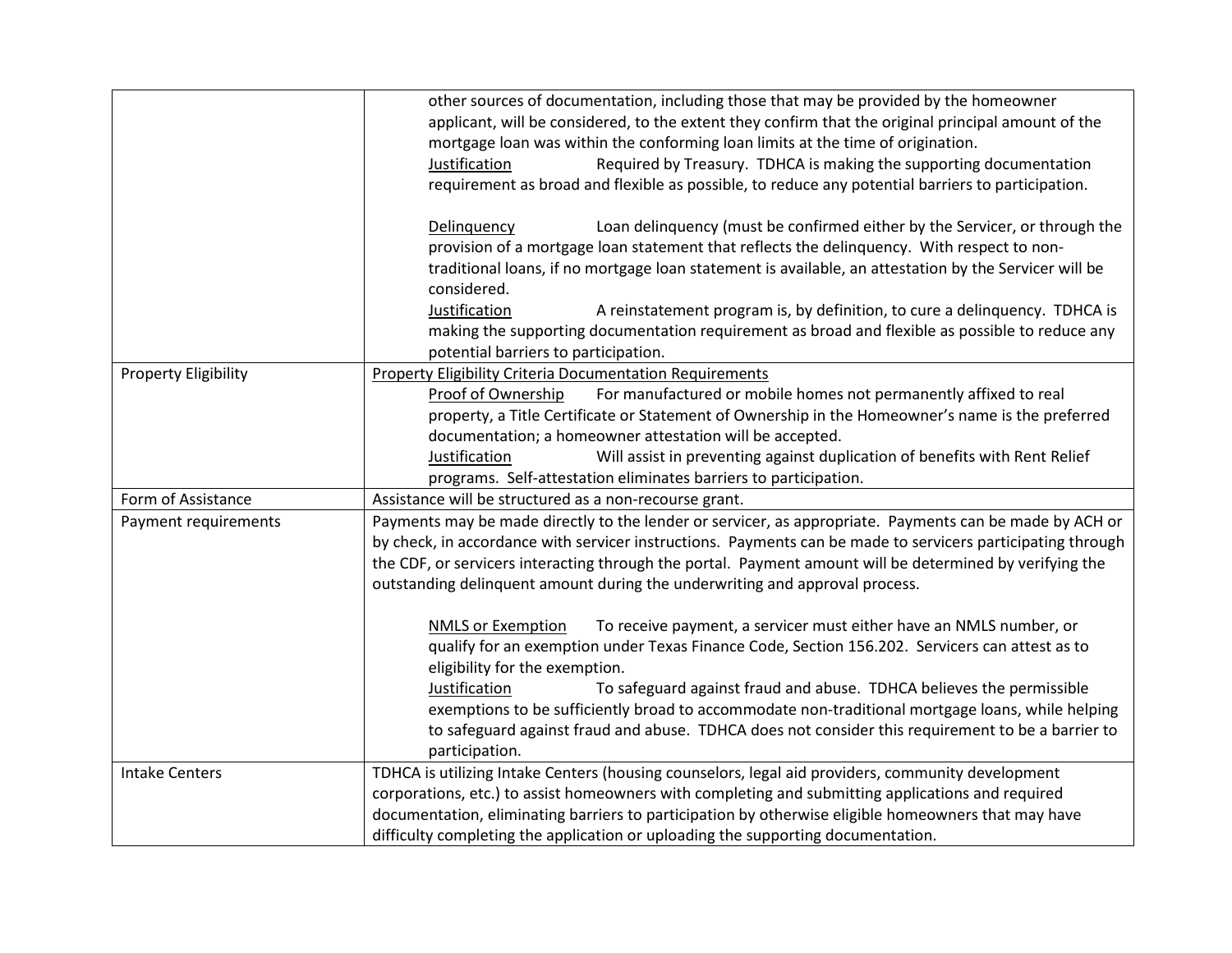|                             | other sources of documentation, including those that may be provided by the homeowner<br>applicant, will be considered, to the extent they confirm that the original principal amount of the<br>mortgage loan was within the conforming loan limits at the time of origination.<br>Required by Treasury. TDHCA is making the supporting documentation<br>Justification<br>requirement as broad and flexible as possible, to reduce any potential barriers to participation. |
|-----------------------------|-----------------------------------------------------------------------------------------------------------------------------------------------------------------------------------------------------------------------------------------------------------------------------------------------------------------------------------------------------------------------------------------------------------------------------------------------------------------------------|
|                             | Loan delinquency (must be confirmed either by the Servicer, or through the<br>Delinquency<br>provision of a mortgage loan statement that reflects the delinquency. With respect to non-<br>traditional loans, if no mortgage loan statement is available, an attestation by the Servicer will be<br>considered.<br>Justification<br>A reinstatement program is, by definition, to cure a delinquency. TDHCA is                                                              |
|                             | making the supporting documentation requirement as broad and flexible as possible to reduce any                                                                                                                                                                                                                                                                                                                                                                             |
| <b>Property Eligibility</b> | potential barriers to participation.<br><b>Property Eligibility Criteria Documentation Requirements</b>                                                                                                                                                                                                                                                                                                                                                                     |
|                             | Proof of Ownership<br>For manufactured or mobile homes not permanently affixed to real<br>property, a Title Certificate or Statement of Ownership in the Homeowner's name is the preferred<br>documentation; a homeowner attestation will be accepted.                                                                                                                                                                                                                      |
|                             | Will assist in preventing against duplication of benefits with Rent Relief<br>Justification<br>programs. Self-attestation eliminates barriers to participation.                                                                                                                                                                                                                                                                                                             |
| Form of Assistance          | Assistance will be structured as a non-recourse grant.                                                                                                                                                                                                                                                                                                                                                                                                                      |
| Payment requirements        | Payments may be made directly to the lender or servicer, as appropriate. Payments can be made by ACH or<br>by check, in accordance with servicer instructions. Payments can be made to servicers participating through<br>the CDF, or servicers interacting through the portal. Payment amount will be determined by verifying the<br>outstanding delinquent amount during the underwriting and approval process.                                                           |
|                             | To receive payment, a servicer must either have an NMLS number, or<br><b>NMLS or Exemption</b><br>qualify for an exemption under Texas Finance Code, Section 156.202. Servicers can attest as to<br>eligibility for the exemption.                                                                                                                                                                                                                                          |
|                             | Justification<br>To safeguard against fraud and abuse. TDHCA believes the permissible<br>exemptions to be sufficiently broad to accommodate non-traditional mortgage loans, while helping<br>to safeguard against fraud and abuse. TDHCA does not consider this requirement to be a barrier to<br>participation.                                                                                                                                                            |
| <b>Intake Centers</b>       | TDHCA is utilizing Intake Centers (housing counselors, legal aid providers, community development<br>corporations, etc.) to assist homeowners with completing and submitting applications and required<br>documentation, eliminating barriers to participation by otherwise eligible homeowners that may have<br>difficulty completing the application or uploading the supporting documentation.                                                                           |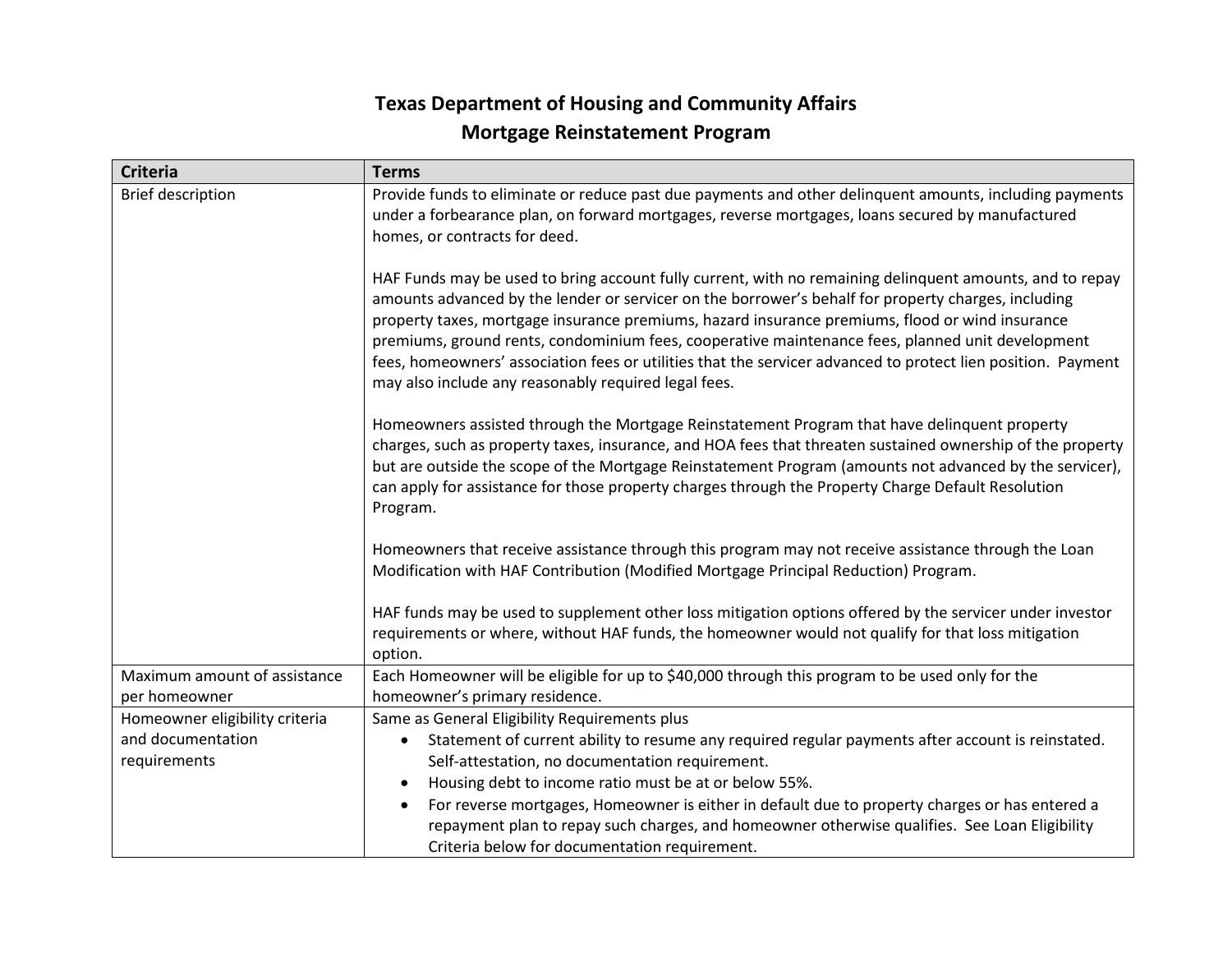# **Texas Department of Housing and Community Affairs Mortgage Reinstatement Program**

| <b>Criteria</b>                | <b>Terms</b>                                                                                                                                                                                                                                                                                                                                                                                                                                                                                                                                                                                   |
|--------------------------------|------------------------------------------------------------------------------------------------------------------------------------------------------------------------------------------------------------------------------------------------------------------------------------------------------------------------------------------------------------------------------------------------------------------------------------------------------------------------------------------------------------------------------------------------------------------------------------------------|
| <b>Brief description</b>       | Provide funds to eliminate or reduce past due payments and other delinquent amounts, including payments<br>under a forbearance plan, on forward mortgages, reverse mortgages, loans secured by manufactured<br>homes, or contracts for deed.                                                                                                                                                                                                                                                                                                                                                   |
|                                | HAF Funds may be used to bring account fully current, with no remaining delinquent amounts, and to repay<br>amounts advanced by the lender or servicer on the borrower's behalf for property charges, including<br>property taxes, mortgage insurance premiums, hazard insurance premiums, flood or wind insurance<br>premiums, ground rents, condominium fees, cooperative maintenance fees, planned unit development<br>fees, homeowners' association fees or utilities that the servicer advanced to protect lien position. Payment<br>may also include any reasonably required legal fees. |
|                                | Homeowners assisted through the Mortgage Reinstatement Program that have delinquent property<br>charges, such as property taxes, insurance, and HOA fees that threaten sustained ownership of the property<br>but are outside the scope of the Mortgage Reinstatement Program (amounts not advanced by the servicer),<br>can apply for assistance for those property charges through the Property Charge Default Resolution<br>Program.                                                                                                                                                        |
|                                | Homeowners that receive assistance through this program may not receive assistance through the Loan<br>Modification with HAF Contribution (Modified Mortgage Principal Reduction) Program.                                                                                                                                                                                                                                                                                                                                                                                                     |
|                                | HAF funds may be used to supplement other loss mitigation options offered by the servicer under investor<br>requirements or where, without HAF funds, the homeowner would not qualify for that loss mitigation<br>option.                                                                                                                                                                                                                                                                                                                                                                      |
| Maximum amount of assistance   | Each Homeowner will be eligible for up to \$40,000 through this program to be used only for the                                                                                                                                                                                                                                                                                                                                                                                                                                                                                                |
| per homeowner                  | homeowner's primary residence.                                                                                                                                                                                                                                                                                                                                                                                                                                                                                                                                                                 |
| Homeowner eligibility criteria | Same as General Eligibility Requirements plus                                                                                                                                                                                                                                                                                                                                                                                                                                                                                                                                                  |
| and documentation              | Statement of current ability to resume any required regular payments after account is reinstated.<br>$\bullet$                                                                                                                                                                                                                                                                                                                                                                                                                                                                                 |
| requirements                   | Self-attestation, no documentation requirement.                                                                                                                                                                                                                                                                                                                                                                                                                                                                                                                                                |
|                                | Housing debt to income ratio must be at or below 55%.<br>$\bullet$                                                                                                                                                                                                                                                                                                                                                                                                                                                                                                                             |
|                                | For reverse mortgages, Homeowner is either in default due to property charges or has entered a<br>$\bullet$<br>repayment plan to repay such charges, and homeowner otherwise qualifies. See Loan Eligibility<br>Criteria below for documentation requirement.                                                                                                                                                                                                                                                                                                                                  |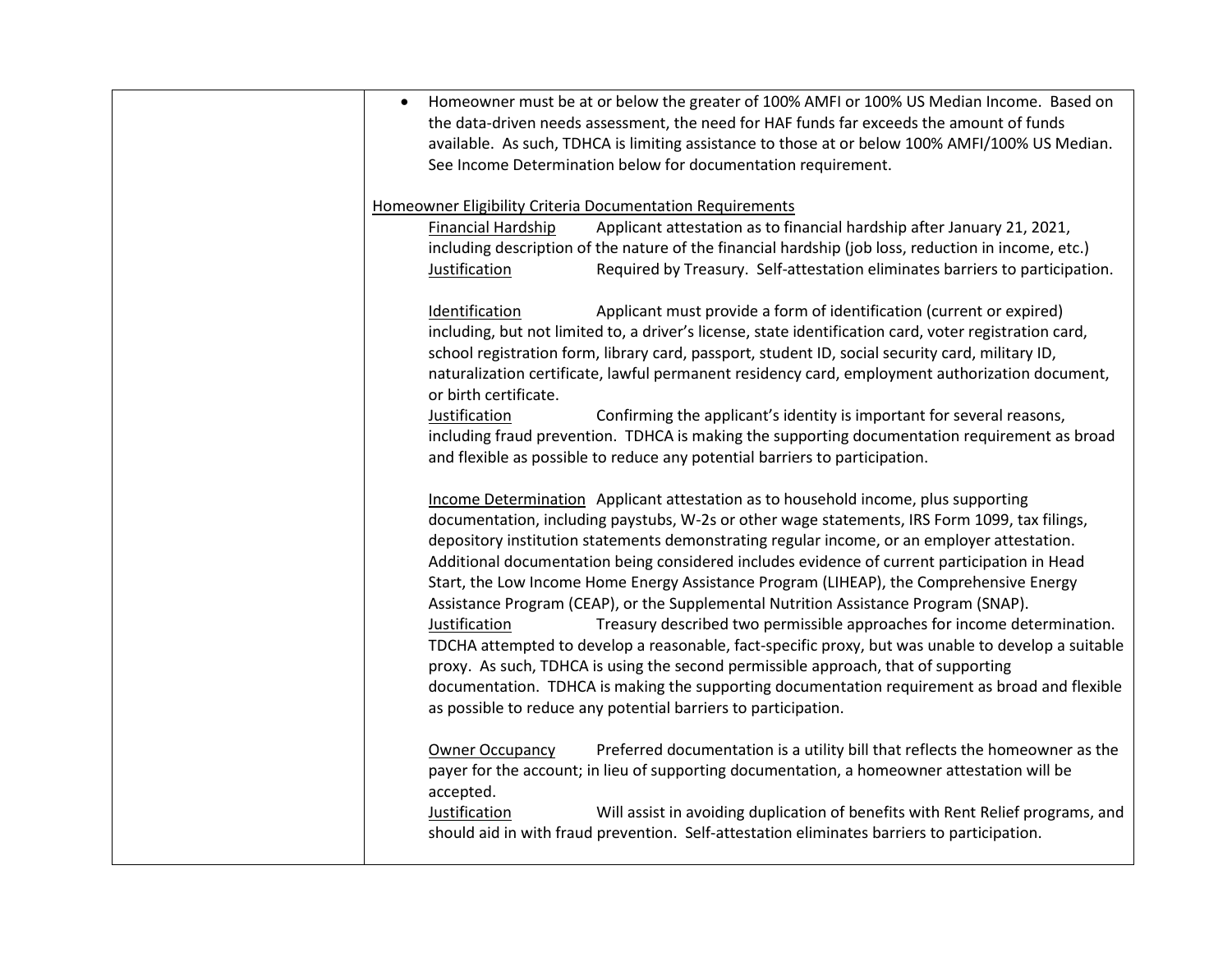| Homeowner must be at or below the greater of 100% AMFI or 100% US Median Income. Based on<br>$\bullet$<br>the data-driven needs assessment, the need for HAF funds far exceeds the amount of funds<br>available. As such, TDHCA is limiting assistance to those at or below 100% AMFI/100% US Median.<br>See Income Determination below for documentation requirement.                                                                                                                                                                                                                                                      |
|-----------------------------------------------------------------------------------------------------------------------------------------------------------------------------------------------------------------------------------------------------------------------------------------------------------------------------------------------------------------------------------------------------------------------------------------------------------------------------------------------------------------------------------------------------------------------------------------------------------------------------|
| Homeowner Eligibility Criteria Documentation Requirements<br>Financial Hardship<br>Applicant attestation as to financial hardship after January 21, 2021,<br>including description of the nature of the financial hardship (job loss, reduction in income, etc.)<br>Required by Treasury. Self-attestation eliminates barriers to participation.<br>Justification                                                                                                                                                                                                                                                           |
| Identification<br>Applicant must provide a form of identification (current or expired)<br>including, but not limited to, a driver's license, state identification card, voter registration card,<br>school registration form, library card, passport, student ID, social security card, military ID,<br>naturalization certificate, lawful permanent residency card, employment authorization document,<br>or birth certificate.<br>Justification<br>Confirming the applicant's identity is important for several reasons,<br>including fraud prevention. TDHCA is making the supporting documentation requirement as broad |
| and flexible as possible to reduce any potential barriers to participation.<br>Income Determination Applicant attestation as to household income, plus supporting<br>documentation, including paystubs, W-2s or other wage statements, IRS Form 1099, tax filings,<br>depository institution statements demonstrating regular income, or an employer attestation.<br>Additional documentation being considered includes evidence of current participation in Head<br>Start, the Low Income Home Energy Assistance Program (LIHEAP), the Comprehensive Energy                                                                |
| Assistance Program (CEAP), or the Supplemental Nutrition Assistance Program (SNAP).<br>Justification<br>Treasury described two permissible approaches for income determination.<br>TDCHA attempted to develop a reasonable, fact-specific proxy, but was unable to develop a suitable<br>proxy. As such, TDHCA is using the second permissible approach, that of supporting<br>documentation. TDHCA is making the supporting documentation requirement as broad and flexible<br>as possible to reduce any potential barriers to participation.                                                                              |
| Preferred documentation is a utility bill that reflects the homeowner as the<br><b>Owner Occupancy</b><br>payer for the account; in lieu of supporting documentation, a homeowner attestation will be<br>accepted.<br>Justification<br>Will assist in avoiding duplication of benefits with Rent Relief programs, and<br>should aid in with fraud prevention. Self-attestation eliminates barriers to participation.                                                                                                                                                                                                        |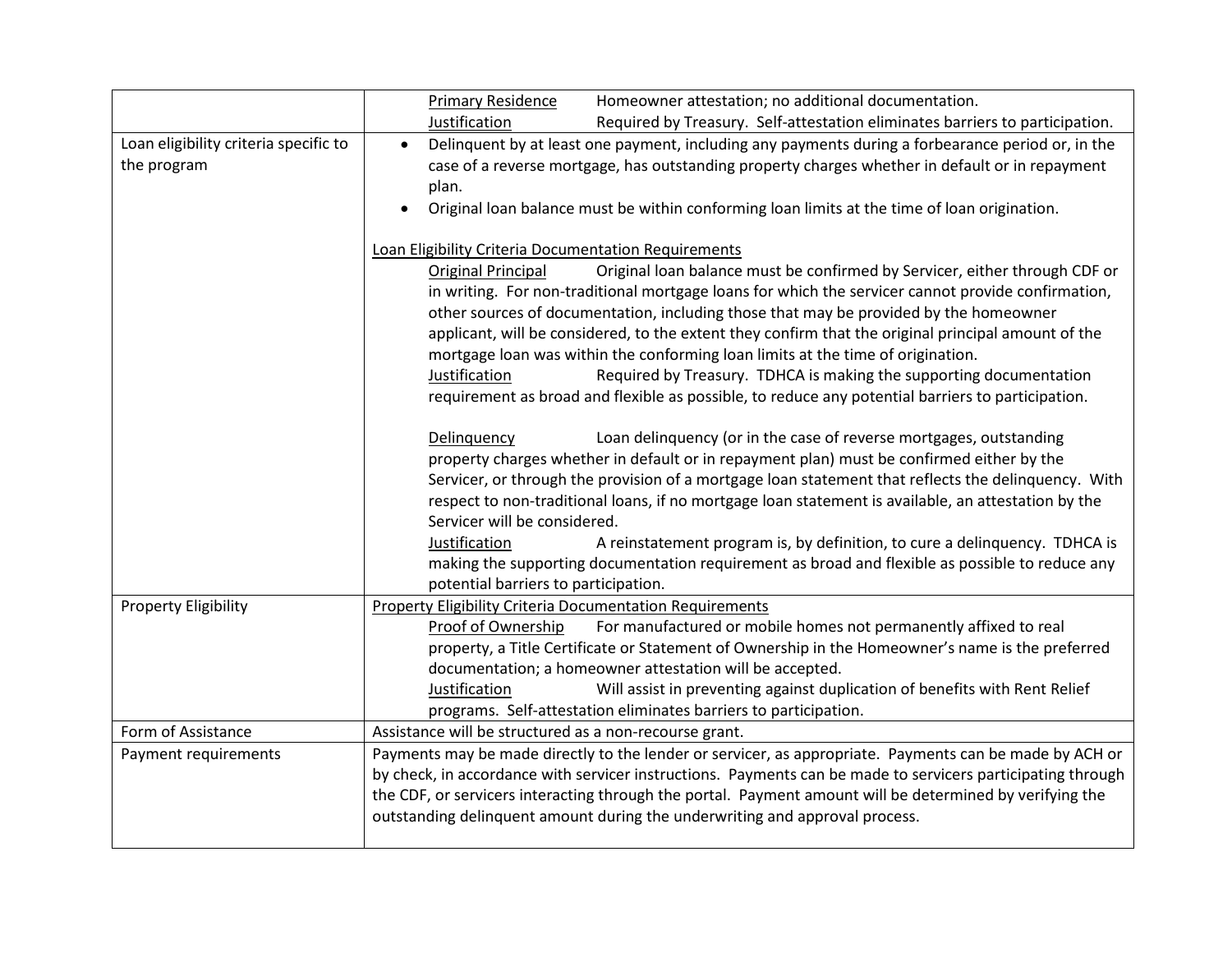|                                                      | <b>Primary Residence</b><br>Homeowner attestation; no additional documentation.                                                                                                                                                                                                                                                                                                                                                                                                              |  |  |  |  |  |
|------------------------------------------------------|----------------------------------------------------------------------------------------------------------------------------------------------------------------------------------------------------------------------------------------------------------------------------------------------------------------------------------------------------------------------------------------------------------------------------------------------------------------------------------------------|--|--|--|--|--|
|                                                      | Justification<br>Required by Treasury. Self-attestation eliminates barriers to participation.                                                                                                                                                                                                                                                                                                                                                                                                |  |  |  |  |  |
| Loan eligibility criteria specific to<br>the program | Delinquent by at least one payment, including any payments during a forbearance period or, in the<br>$\bullet$<br>case of a reverse mortgage, has outstanding property charges whether in default or in repayment<br>plan.                                                                                                                                                                                                                                                                   |  |  |  |  |  |
|                                                      | Original loan balance must be within conforming loan limits at the time of loan origination.<br>$\bullet$                                                                                                                                                                                                                                                                                                                                                                                    |  |  |  |  |  |
|                                                      | Loan Eligibility Criteria Documentation Requirements                                                                                                                                                                                                                                                                                                                                                                                                                                         |  |  |  |  |  |
|                                                      | Original loan balance must be confirmed by Servicer, either through CDF or<br>Original Principal<br>in writing. For non-traditional mortgage loans for which the servicer cannot provide confirmation,<br>other sources of documentation, including those that may be provided by the homeowner<br>applicant, will be considered, to the extent they confirm that the original principal amount of the                                                                                       |  |  |  |  |  |
|                                                      | mortgage loan was within the conforming loan limits at the time of origination.                                                                                                                                                                                                                                                                                                                                                                                                              |  |  |  |  |  |
|                                                      | Required by Treasury. TDHCA is making the supporting documentation<br>Justification<br>requirement as broad and flexible as possible, to reduce any potential barriers to participation.                                                                                                                                                                                                                                                                                                     |  |  |  |  |  |
|                                                      | Delinquency<br>Loan delinquency (or in the case of reverse mortgages, outstanding<br>property charges whether in default or in repayment plan) must be confirmed either by the<br>Servicer, or through the provision of a mortgage loan statement that reflects the delinquency. With<br>respect to non-traditional loans, if no mortgage loan statement is available, an attestation by the<br>Servicer will be considered.                                                                 |  |  |  |  |  |
|                                                      | Justification<br>A reinstatement program is, by definition, to cure a delinquency. TDHCA is<br>making the supporting documentation requirement as broad and flexible as possible to reduce any<br>potential barriers to participation.                                                                                                                                                                                                                                                       |  |  |  |  |  |
| <b>Property Eligibility</b>                          | <b>Property Eligibility Criteria Documentation Requirements</b><br>For manufactured or mobile homes not permanently affixed to real<br>Proof of Ownership<br>property, a Title Certificate or Statement of Ownership in the Homeowner's name is the preferred<br>documentation; a homeowner attestation will be accepted.<br>Will assist in preventing against duplication of benefits with Rent Relief<br>Justification<br>programs. Self-attestation eliminates barriers to participation. |  |  |  |  |  |
| Form of Assistance                                   | Assistance will be structured as a non-recourse grant.                                                                                                                                                                                                                                                                                                                                                                                                                                       |  |  |  |  |  |
| Payment requirements                                 | Payments may be made directly to the lender or servicer, as appropriate. Payments can be made by ACH or<br>by check, in accordance with servicer instructions. Payments can be made to servicers participating through<br>the CDF, or servicers interacting through the portal. Payment amount will be determined by verifying the<br>outstanding delinquent amount during the underwriting and approval process.                                                                            |  |  |  |  |  |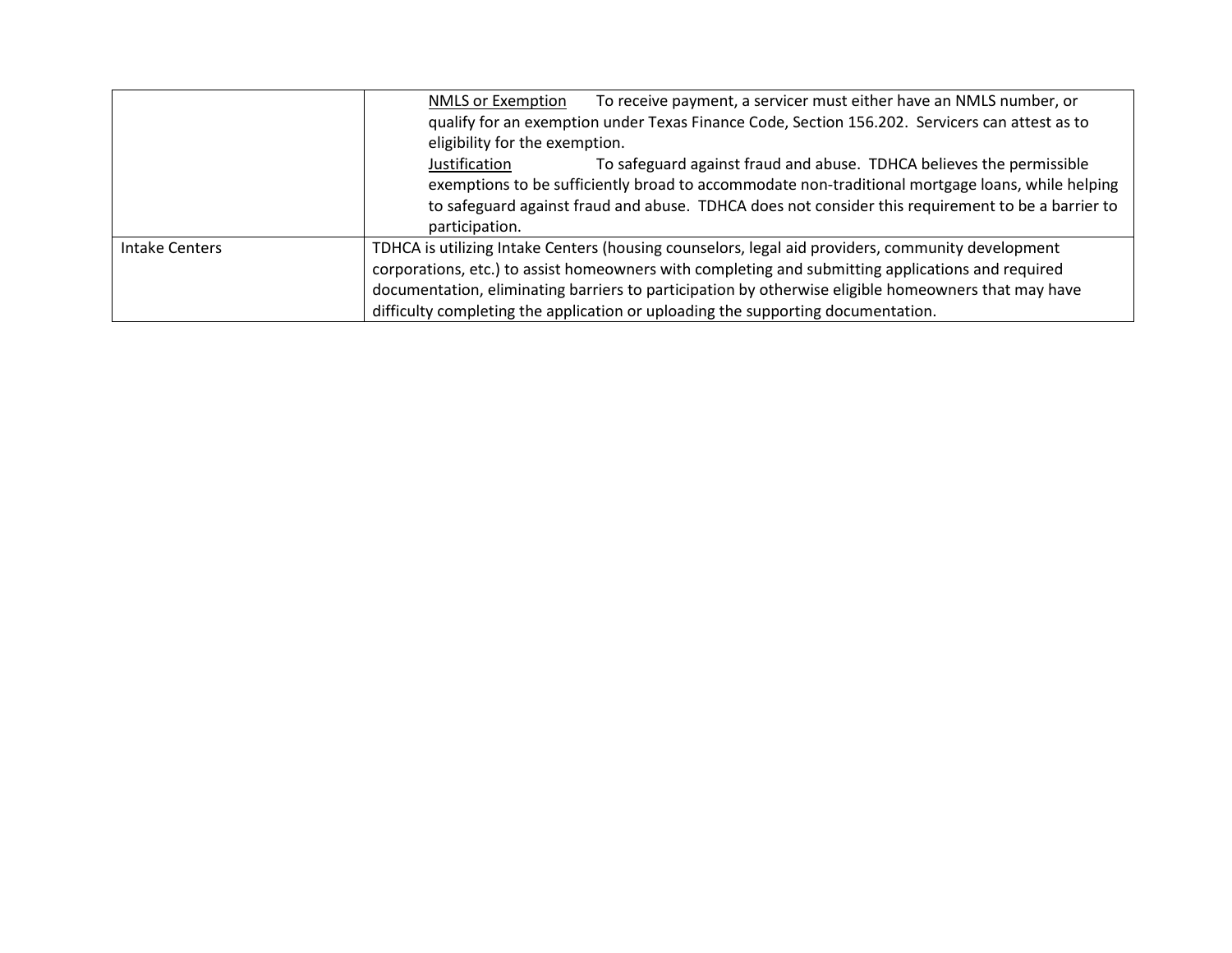|                       | To receive payment, a servicer must either have an NMLS number, or<br><b>NMLS or Exemption</b>      |  |  |  |  |
|-----------------------|-----------------------------------------------------------------------------------------------------|--|--|--|--|
|                       | qualify for an exemption under Texas Finance Code, Section 156.202. Servicers can attest as to      |  |  |  |  |
|                       | eligibility for the exemption.                                                                      |  |  |  |  |
|                       | To safeguard against fraud and abuse. TDHCA believes the permissible<br>Justification               |  |  |  |  |
|                       | exemptions to be sufficiently broad to accommodate non-traditional mortgage loans, while helping    |  |  |  |  |
|                       | to safeguard against fraud and abuse. TDHCA does not consider this requirement to be a barrier to   |  |  |  |  |
|                       | participation.                                                                                      |  |  |  |  |
| <b>Intake Centers</b> | TDHCA is utilizing Intake Centers (housing counselors, legal aid providers, community development   |  |  |  |  |
|                       | corporations, etc.) to assist homeowners with completing and submitting applications and required   |  |  |  |  |
|                       | documentation, eliminating barriers to participation by otherwise eligible homeowners that may have |  |  |  |  |
|                       | difficulty completing the application or uploading the supporting documentation.                    |  |  |  |  |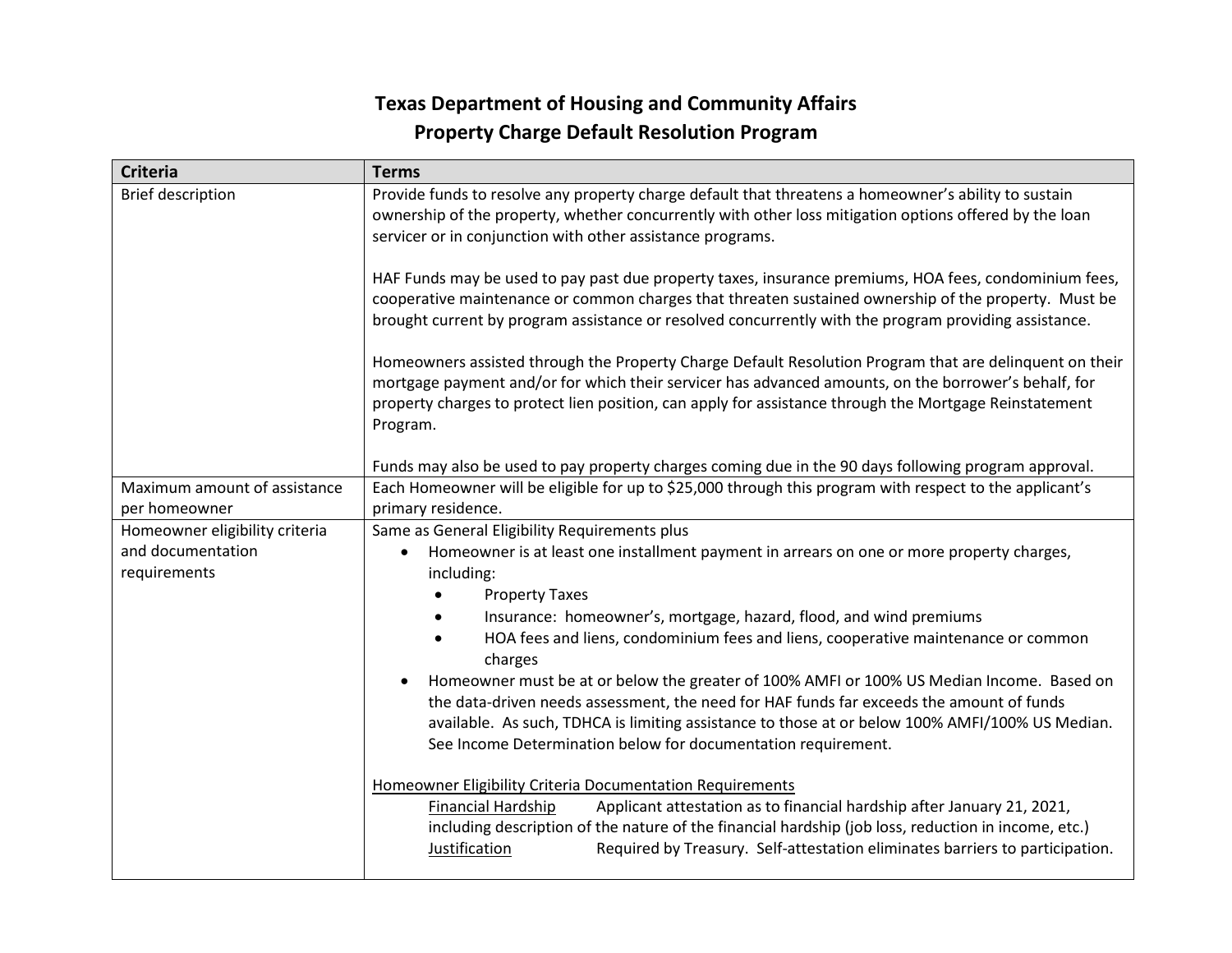# **Texas Department of Housing and Community Affairs Property Charge Default Resolution Program**

| <b>Criteria</b>                               | <b>Terms</b>                                                                                                                                                                                                                                                                                                                                                             |  |  |  |
|-----------------------------------------------|--------------------------------------------------------------------------------------------------------------------------------------------------------------------------------------------------------------------------------------------------------------------------------------------------------------------------------------------------------------------------|--|--|--|
| <b>Brief description</b>                      | Provide funds to resolve any property charge default that threatens a homeowner's ability to sustain<br>ownership of the property, whether concurrently with other loss mitigation options offered by the loan<br>servicer or in conjunction with other assistance programs.                                                                                             |  |  |  |
|                                               | HAF Funds may be used to pay past due property taxes, insurance premiums, HOA fees, condominium fees,<br>cooperative maintenance or common charges that threaten sustained ownership of the property. Must be<br>brought current by program assistance or resolved concurrently with the program providing assistance.                                                   |  |  |  |
|                                               | Homeowners assisted through the Property Charge Default Resolution Program that are delinquent on their<br>mortgage payment and/or for which their servicer has advanced amounts, on the borrower's behalf, for<br>property charges to protect lien position, can apply for assistance through the Mortgage Reinstatement<br>Program.                                    |  |  |  |
|                                               | Funds may also be used to pay property charges coming due in the 90 days following program approval.                                                                                                                                                                                                                                                                     |  |  |  |
| Maximum amount of assistance<br>per homeowner | Each Homeowner will be eligible for up to \$25,000 through this program with respect to the applicant's<br>primary residence.                                                                                                                                                                                                                                            |  |  |  |
| Homeowner eligibility criteria                | Same as General Eligibility Requirements plus                                                                                                                                                                                                                                                                                                                            |  |  |  |
| and documentation<br>requirements             | Homeowner is at least one installment payment in arrears on one or more property charges,<br>including:                                                                                                                                                                                                                                                                  |  |  |  |
|                                               | <b>Property Taxes</b>                                                                                                                                                                                                                                                                                                                                                    |  |  |  |
|                                               | Insurance: homeowner's, mortgage, hazard, flood, and wind premiums                                                                                                                                                                                                                                                                                                       |  |  |  |
|                                               | HOA fees and liens, condominium fees and liens, cooperative maintenance or common<br>charges                                                                                                                                                                                                                                                                             |  |  |  |
|                                               | Homeowner must be at or below the greater of 100% AMFI or 100% US Median Income. Based on<br>the data-driven needs assessment, the need for HAF funds far exceeds the amount of funds<br>available. As such, TDHCA is limiting assistance to those at or below 100% AMFI/100% US Median.<br>See Income Determination below for documentation requirement.                |  |  |  |
|                                               | Homeowner Eligibility Criteria Documentation Requirements<br><b>Financial Hardship</b><br>Applicant attestation as to financial hardship after January 21, 2021,<br>including description of the nature of the financial hardship (job loss, reduction in income, etc.)<br>Required by Treasury. Self-attestation eliminates barriers to participation.<br>Justification |  |  |  |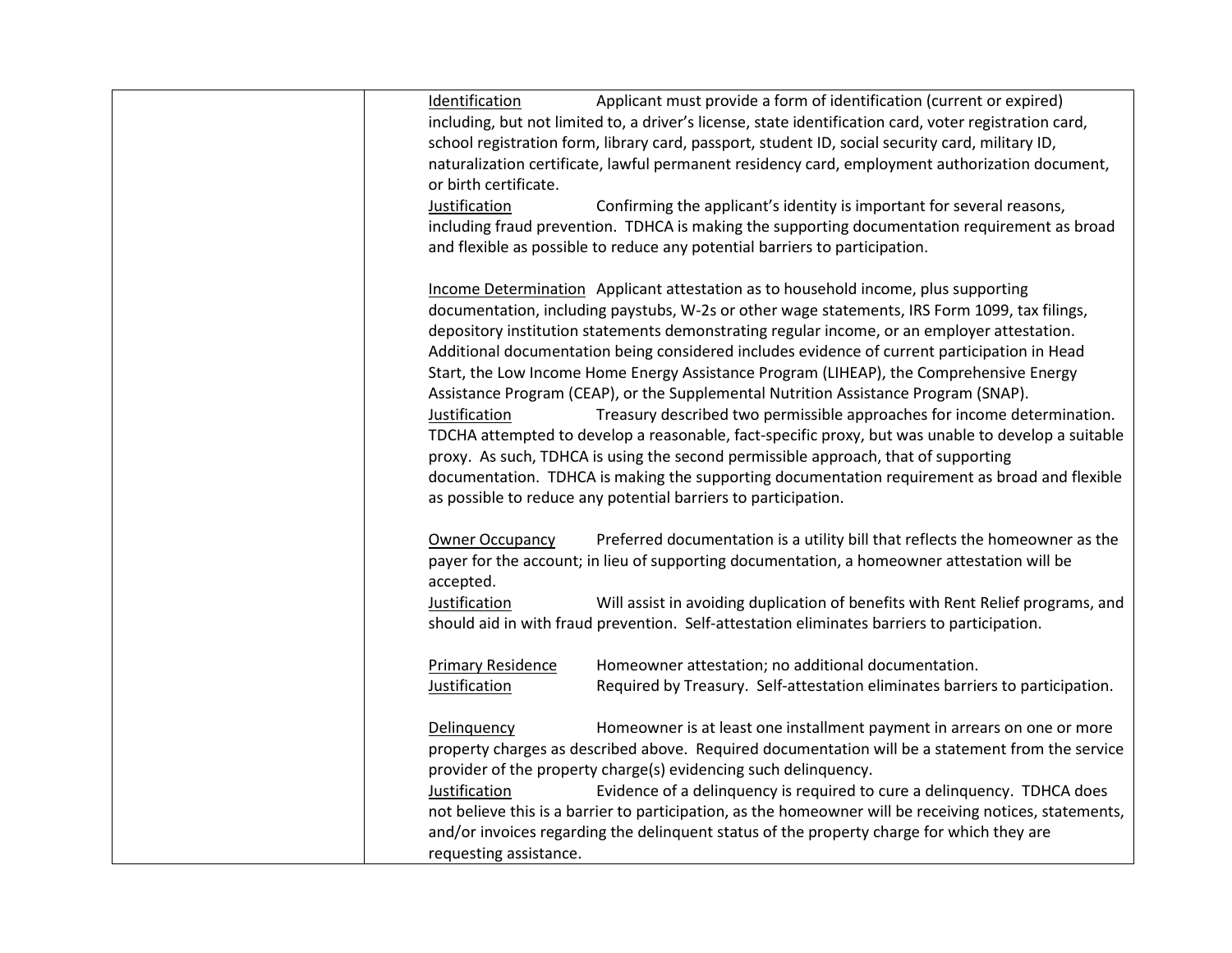| Identification           | Applicant must provide a form of identification (current or expired)                                    |
|--------------------------|---------------------------------------------------------------------------------------------------------|
|                          | including, but not limited to, a driver's license, state identification card, voter registration card,  |
|                          | school registration form, library card, passport, student ID, social security card, military ID,        |
|                          | naturalization certificate, lawful permanent residency card, employment authorization document,         |
| or birth certificate.    |                                                                                                         |
| Justification            |                                                                                                         |
|                          | Confirming the applicant's identity is important for several reasons,                                   |
|                          | including fraud prevention. TDHCA is making the supporting documentation requirement as broad           |
|                          | and flexible as possible to reduce any potential barriers to participation.                             |
|                          | Income Determination Applicant attestation as to household income, plus supporting                      |
|                          | documentation, including paystubs, W-2s or other wage statements, IRS Form 1099, tax filings,           |
|                          | depository institution statements demonstrating regular income, or an employer attestation.             |
|                          | Additional documentation being considered includes evidence of current participation in Head            |
|                          |                                                                                                         |
|                          | Start, the Low Income Home Energy Assistance Program (LIHEAP), the Comprehensive Energy                 |
|                          | Assistance Program (CEAP), or the Supplemental Nutrition Assistance Program (SNAP).                     |
| Justification            | Treasury described two permissible approaches for income determination.                                 |
|                          | TDCHA attempted to develop a reasonable, fact-specific proxy, but was unable to develop a suitable      |
|                          | proxy. As such, TDHCA is using the second permissible approach, that of supporting                      |
|                          | documentation. TDHCA is making the supporting documentation requirement as broad and flexible           |
|                          | as possible to reduce any potential barriers to participation.                                          |
| <b>Owner Occupancy</b>   | Preferred documentation is a utility bill that reflects the homeowner as the                            |
|                          |                                                                                                         |
|                          | payer for the account; in lieu of supporting documentation, a homeowner attestation will be             |
| accepted.                |                                                                                                         |
| Justification            | Will assist in avoiding duplication of benefits with Rent Relief programs, and                          |
|                          | should aid in with fraud prevention. Self-attestation eliminates barriers to participation.             |
| <b>Primary Residence</b> | Homeowner attestation; no additional documentation.                                                     |
| Justification            | Required by Treasury. Self-attestation eliminates barriers to participation.                            |
|                          |                                                                                                         |
| Delinquency              | Homeowner is at least one installment payment in arrears on one or more                                 |
|                          | property charges as described above. Required documentation will be a statement from the service        |
|                          | provider of the property charge(s) evidencing such delinquency.                                         |
| Justification            | Evidence of a delinquency is required to cure a delinquency. TDHCA does                                 |
|                          | not believe this is a barrier to participation, as the homeowner will be receiving notices, statements, |
|                          | and/or invoices regarding the delinquent status of the property charge for which they are               |
|                          | requesting assistance.                                                                                  |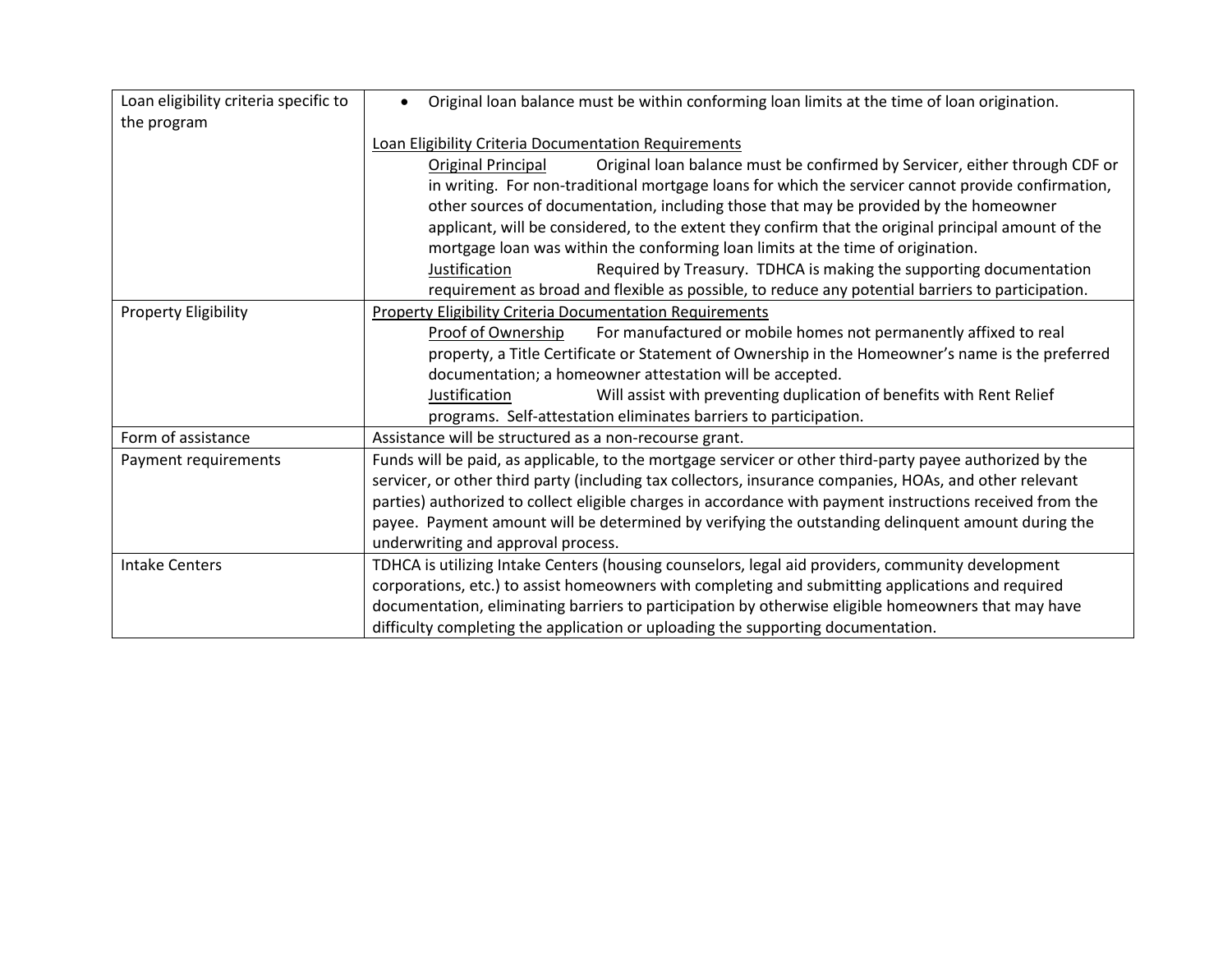| Loan eligibility criteria specific to | Original loan balance must be within conforming loan limits at the time of loan origination.<br>$\bullet$ |  |  |  |  |  |
|---------------------------------------|-----------------------------------------------------------------------------------------------------------|--|--|--|--|--|
| the program                           |                                                                                                           |  |  |  |  |  |
|                                       | Loan Eligibility Criteria Documentation Requirements                                                      |  |  |  |  |  |
|                                       | Original loan balance must be confirmed by Servicer, either through CDF or<br><b>Original Principal</b>   |  |  |  |  |  |
|                                       | in writing. For non-traditional mortgage loans for which the servicer cannot provide confirmation,        |  |  |  |  |  |
|                                       | other sources of documentation, including those that may be provided by the homeowner                     |  |  |  |  |  |
|                                       | applicant, will be considered, to the extent they confirm that the original principal amount of the       |  |  |  |  |  |
|                                       | mortgage loan was within the conforming loan limits at the time of origination.                           |  |  |  |  |  |
|                                       | Required by Treasury. TDHCA is making the supporting documentation<br><b>Justification</b>                |  |  |  |  |  |
|                                       | requirement as broad and flexible as possible, to reduce any potential barriers to participation.         |  |  |  |  |  |
| <b>Property Eligibility</b>           | <b>Property Eligibility Criteria Documentation Requirements</b>                                           |  |  |  |  |  |
|                                       | Proof of Ownership<br>For manufactured or mobile homes not permanently affixed to real                    |  |  |  |  |  |
|                                       | property, a Title Certificate or Statement of Ownership in the Homeowner's name is the preferred          |  |  |  |  |  |
|                                       | documentation; a homeowner attestation will be accepted.                                                  |  |  |  |  |  |
|                                       | Will assist with preventing duplication of benefits with Rent Relief<br><b>Justification</b>              |  |  |  |  |  |
|                                       | programs. Self-attestation eliminates barriers to participation.                                          |  |  |  |  |  |
| Form of assistance                    | Assistance will be structured as a non-recourse grant.                                                    |  |  |  |  |  |
| Payment requirements                  | Funds will be paid, as applicable, to the mortgage servicer or other third-party payee authorized by the  |  |  |  |  |  |
|                                       | servicer, or other third party (including tax collectors, insurance companies, HOAs, and other relevant   |  |  |  |  |  |
|                                       | parties) authorized to collect eligible charges in accordance with payment instructions received from the |  |  |  |  |  |
|                                       | payee. Payment amount will be determined by verifying the outstanding delinquent amount during the        |  |  |  |  |  |
|                                       | underwriting and approval process.                                                                        |  |  |  |  |  |
| <b>Intake Centers</b>                 | TDHCA is utilizing Intake Centers (housing counselors, legal aid providers, community development         |  |  |  |  |  |
|                                       | corporations, etc.) to assist homeowners with completing and submitting applications and required         |  |  |  |  |  |
|                                       | documentation, eliminating barriers to participation by otherwise eligible homeowners that may have       |  |  |  |  |  |
|                                       | difficulty completing the application or uploading the supporting documentation.                          |  |  |  |  |  |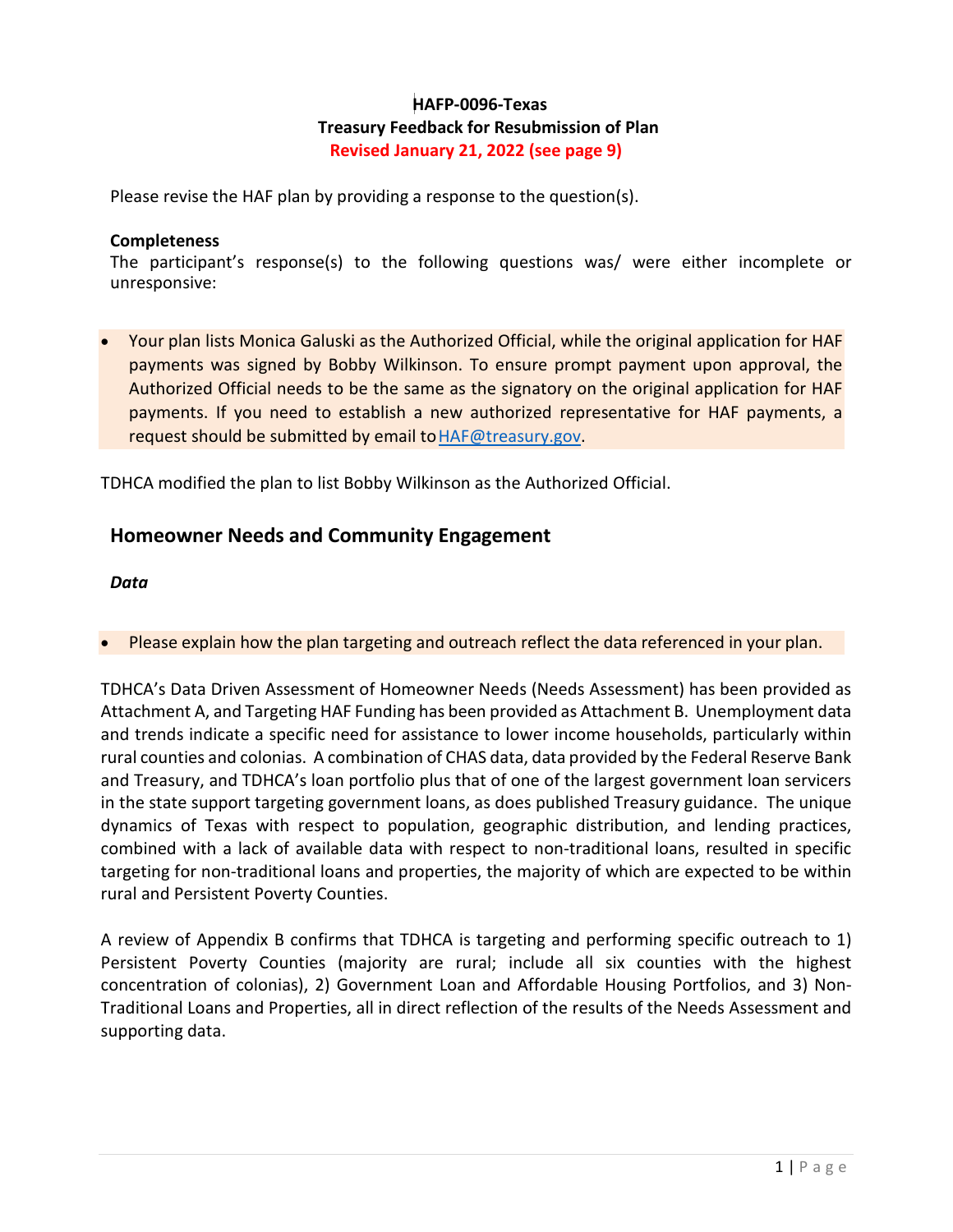# **HAFP-0096-Texas Treasury Feedback for Resubmission of Plan Revised January 21, 2022 (see page 9)**

Please revise the HAF plan by providing a response to the question(s).

#### **Completeness**

The participant's response(s) to the following questions was/ were either incomplete or unresponsive:

• Your plan lists Monica Galuski as the Authorized Official, while the original application for HAF payments was signed by Bobby Wilkinson. To ensure prompt payment upon approval, the Authorized Official needs to be the same as the signatory on the original application for HAF payments. If you need to establish a new authorized representative for HAF payments, a request should be submitted by email to HAF@treasury.gov.

TDHCA modified the plan to list Bobby Wilkinson as the Authorized Official.

# **Homeowner Needs and Community Engagement**

#### *Data*

• Please explain how the plan targeting and outreach reflect the data referenced in your plan.

TDHCA's Data Driven Assessment of Homeowner Needs (Needs Assessment) has been provided as Attachment A, and Targeting HAF Funding has been provided as Attachment B. Unemployment data and trends indicate a specific need for assistance to lower income households, particularly within rural counties and colonias. A combination of CHAS data, data provided by the Federal Reserve Bank and Treasury, and TDHCA's loan portfolio plus that of one of the largest government loan servicers in the state support targeting government loans, as does published Treasury guidance. The unique dynamics of Texas with respect to population, geographic distribution, and lending practices, combined with a lack of available data with respect to non-traditional loans, resulted in specific targeting for non-traditional loans and properties, the majority of which are expected to be within rural and Persistent Poverty Counties.

A review of Appendix B confirms that TDHCA is targeting and performing specific outreach to 1) Persistent Poverty Counties (majority are rural; include all six counties with the highest concentration of colonias), 2) Government Loan and Affordable Housing Portfolios, and 3) Non-Traditional Loans and Properties, all in direct reflection of the results of the Needs Assessment and supporting data.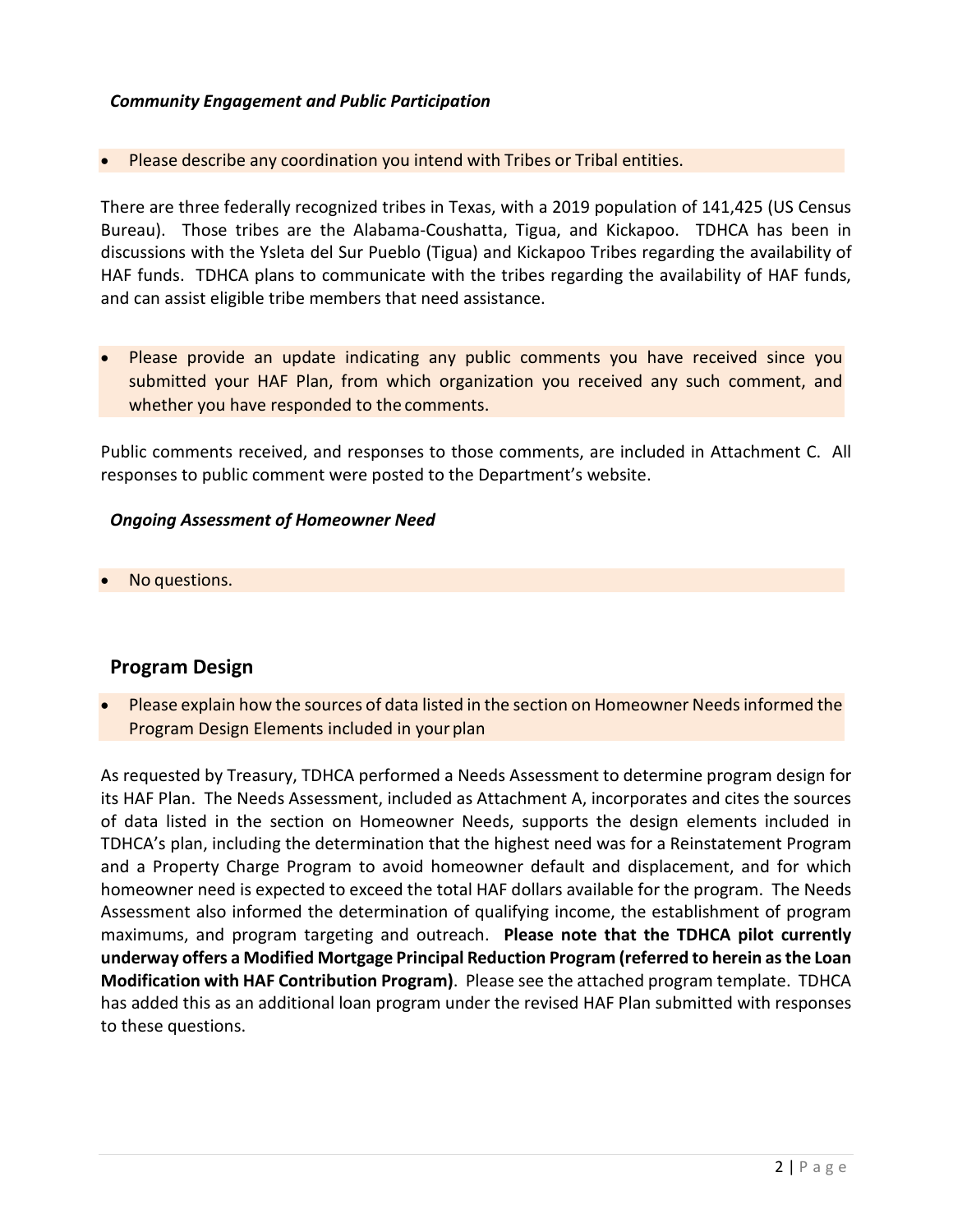#### *Community Engagement and Public Participation*

Please describe any coordination you intend with Tribes or Tribal entities.

There are three federally recognized tribes in Texas, with a 2019 population of 141,425 (US Census Bureau). Those tribes are the Alabama-Coushatta, Tigua, and Kickapoo. TDHCA has been in discussions with the Ysleta del Sur Pueblo (Tigua) and Kickapoo Tribes regarding the availability of HAF funds. TDHCA plans to communicate with the tribes regarding the availability of HAF funds, and can assist eligible tribe members that need assistance.

• Please provide an update indicating any public comments you have received since you submitted your HAF Plan, from which organization you received any such comment, and whether you have responded to the comments.

Public comments received, and responses to those comments, are included in Attachment C. All responses to public comment were posted to the Department's website.

#### *Ongoing Assessment of Homeowner Need*

No questions.

# **Program Design**

• Please explain how the sources of data listed in the section on Homeowner Needsinformed the Program Design Elements included in your plan

As requested by Treasury, TDHCA performed a Needs Assessment to determine program design for its HAF Plan. The Needs Assessment, included as Attachment A, incorporates and cites the sources of data listed in the section on Homeowner Needs, supports the design elements included in TDHCA's plan, including the determination that the highest need was for a Reinstatement Program and a Property Charge Program to avoid homeowner default and displacement, and for which homeowner need is expected to exceed the total HAF dollars available for the program. The Needs Assessment also informed the determination of qualifying income, the establishment of program maximums, and program targeting and outreach. **Please note that the TDHCA pilot currently underway offers a Modified Mortgage Principal Reduction Program (referred to herein as the Loan Modification with HAF Contribution Program)**. Please see the attached program template. TDHCA has added this as an additional loan program under the revised HAF Plan submitted with responses to these questions.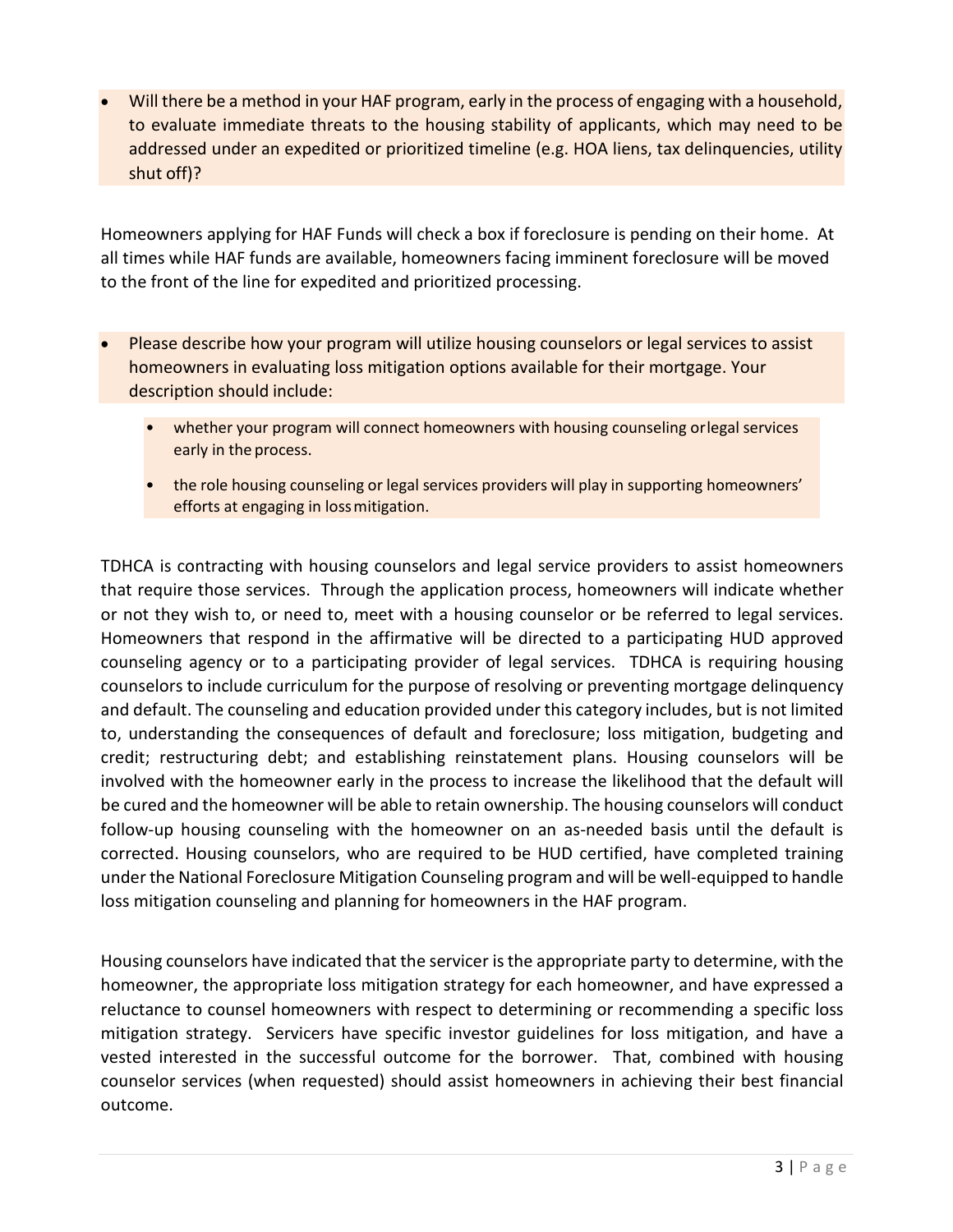• Will there be a method in your HAF program, early in the process of engaging with a household, to evaluate immediate threats to the housing stability of applicants, which may need to be addressed under an expedited or prioritized timeline (e.g. HOA liens, tax delinquencies, utility shut off)?

Homeowners applying for HAF Funds will check a box if foreclosure is pending on their home. At all times while HAF funds are available, homeowners facing imminent foreclosure will be moved to the front of the line for expedited and prioritized processing.

- Please describe how your program will utilize housing counselors or legal services to assist homeowners in evaluating loss mitigation options available for their mortgage. Your description should include:
	- whether your program will connect homeowners with housing counseling orlegal services early in the process.
	- the role housing counseling or legal services providers will play in supporting homeowners' efforts at engaging in lossmitigation.

TDHCA is contracting with housing counselors and legal service providers to assist homeowners that require those services. Through the application process, homeowners will indicate whether or not they wish to, or need to, meet with a housing counselor or be referred to legal services. Homeowners that respond in the affirmative will be directed to a participating HUD approved counseling agency or to a participating provider of legal services. TDHCA is requiring housing counselors to include curriculum for the purpose of resolving or preventing mortgage delinquency and default. The counseling and education provided under this category includes, but is not limited to, understanding the consequences of default and foreclosure; loss mitigation, budgeting and credit; restructuring debt; and establishing reinstatement plans. Housing counselors will be involved with the homeowner early in the process to increase the likelihood that the default will be cured and the homeowner will be able to retain ownership. The housing counselors will conduct follow-up housing counseling with the homeowner on an as-needed basis until the default is corrected. Housing counselors, who are required to be HUD certified, have completed training under the National Foreclosure Mitigation Counseling program and will be well-equipped to handle loss mitigation counseling and planning for homeowners in the HAF program.

Housing counselors have indicated that the servicer is the appropriate party to determine, with the homeowner, the appropriate loss mitigation strategy for each homeowner, and have expressed a reluctance to counsel homeowners with respect to determining or recommending a specific loss mitigation strategy. Servicers have specific investor guidelines for loss mitigation, and have a vested interested in the successful outcome for the borrower. That, combined with housing counselor services (when requested) should assist homeowners in achieving their best financial outcome.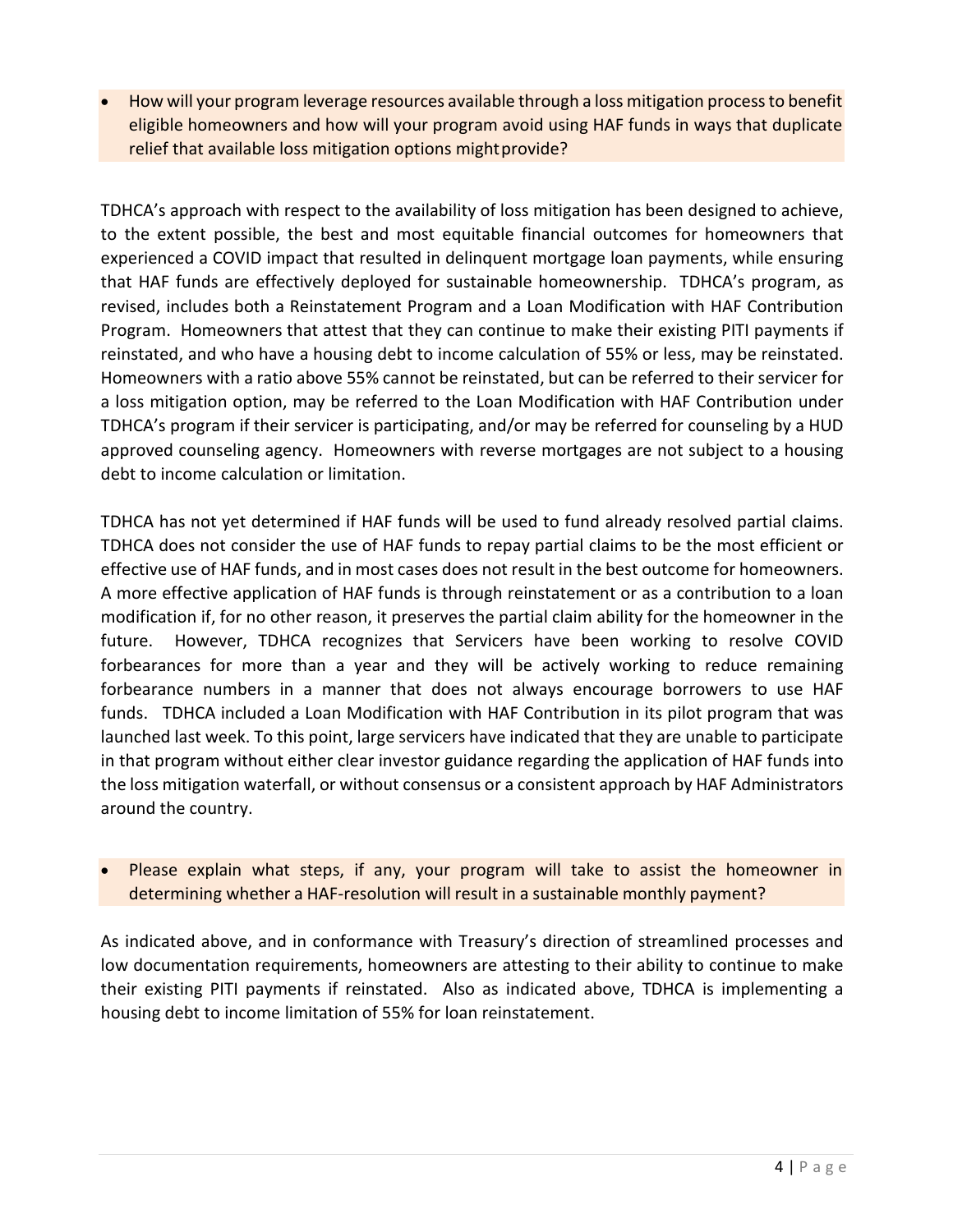• How will your program leverage resources available through a loss mitigation process to benefit eligible homeowners and how will your program avoid using HAF funds in ways that duplicate relief that available loss mitigation options mightprovide?

TDHCA's approach with respect to the availability of loss mitigation has been designed to achieve, to the extent possible, the best and most equitable financial outcomes for homeowners that experienced a COVID impact that resulted in delinquent mortgage loan payments, while ensuring that HAF funds are effectively deployed for sustainable homeownership. TDHCA's program, as revised, includes both a Reinstatement Program and a Loan Modification with HAF Contribution Program. Homeowners that attest that they can continue to make their existing PITI payments if reinstated, and who have a housing debt to income calculation of 55% or less, may be reinstated. Homeowners with a ratio above 55% cannot be reinstated, but can be referred to their servicer for a loss mitigation option, may be referred to the Loan Modification with HAF Contribution under TDHCA's program if their servicer is participating, and/or may be referred for counseling by a HUD approved counseling agency. Homeowners with reverse mortgages are not subject to a housing debt to income calculation or limitation.

TDHCA has not yet determined if HAF funds will be used to fund already resolved partial claims. TDHCA does not consider the use of HAF funds to repay partial claims to be the most efficient or effective use of HAF funds, and in most cases does not result in the best outcome for homeowners. A more effective application of HAF funds is through reinstatement or as a contribution to a loan modification if, for no other reason, it preserves the partial claim ability for the homeowner in the future. However, TDHCA recognizes that Servicers have been working to resolve COVID forbearances for more than a year and they will be actively working to reduce remaining forbearance numbers in a manner that does not always encourage borrowers to use HAF funds. TDHCA included a Loan Modification with HAF Contribution in its pilot program that was launched last week. To this point, large servicers have indicated that they are unable to participate in that program without either clear investor guidance regarding the application of HAF funds into the loss mitigation waterfall, or without consensus or a consistent approach by HAF Administrators around the country.

Please explain what steps, if any, your program will take to assist the homeowner in determining whether a HAF-resolution will result in a sustainable monthly payment?

As indicated above, and in conformance with Treasury's direction of streamlined processes and low documentation requirements, homeowners are attesting to their ability to continue to make their existing PITI payments if reinstated. Also as indicated above, TDHCA is implementing a housing debt to income limitation of 55% for loan reinstatement.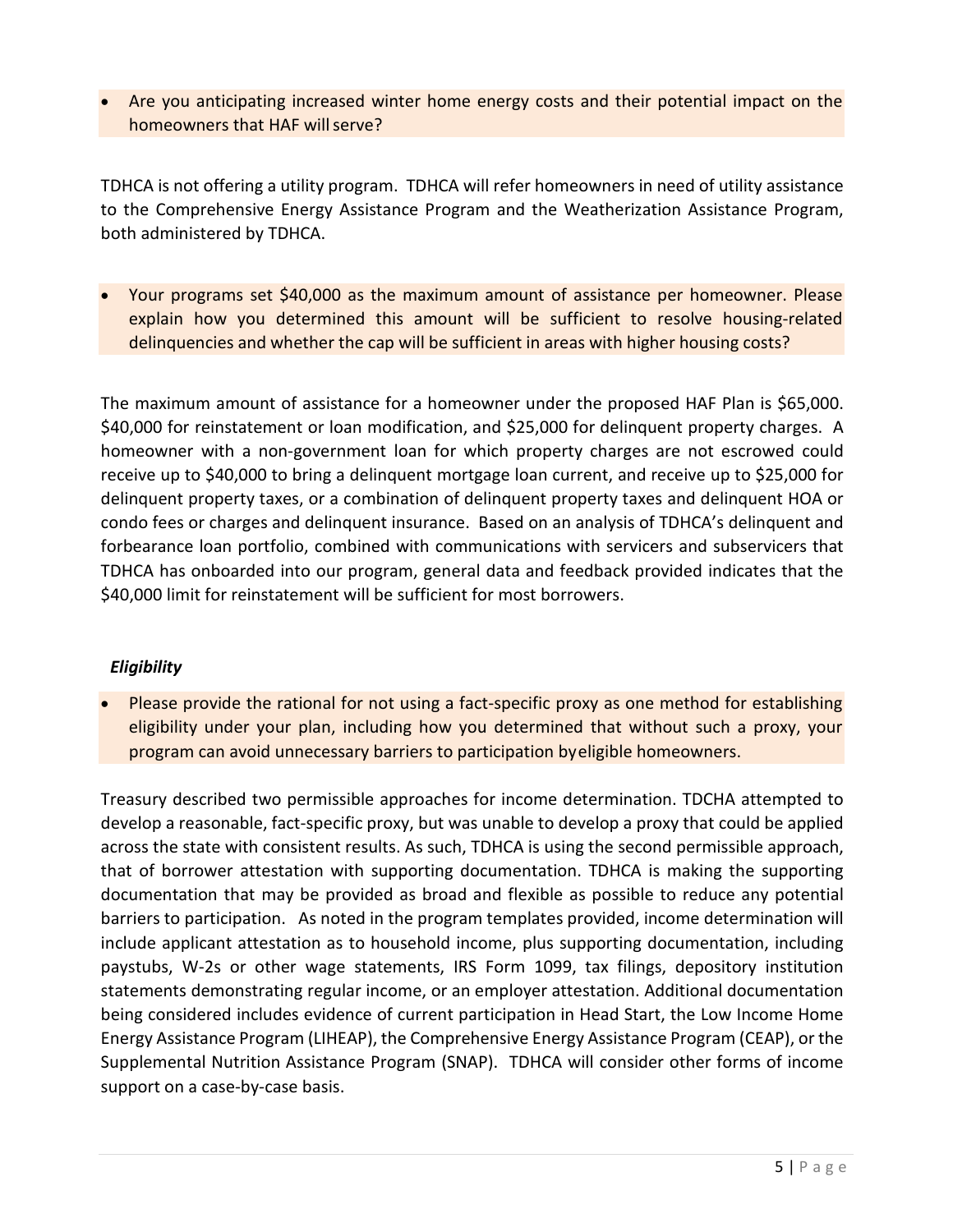Are you anticipating increased winter home energy costs and their potential impact on the homeowners that HAF will serve?

TDHCA is not offering a utility program. TDHCA will refer homeowners in need of utility assistance to the Comprehensive Energy Assistance Program and the Weatherization Assistance Program, both administered by TDHCA.

• Your programs set \$40,000 as the maximum amount of assistance per homeowner. Please explain how you determined this amount will be sufficient to resolve housing-related delinquencies and whether the cap will be sufficient in areas with higher housing costs?

The maximum amount of assistance for a homeowner under the proposed HAF Plan is \$65,000. \$40,000 for reinstatement or loan modification, and \$25,000 for delinquent property charges. A homeowner with a non-government loan for which property charges are not escrowed could receive up to \$40,000 to bring a delinquent mortgage loan current, and receive up to \$25,000 for delinquent property taxes, or a combination of delinquent property taxes and delinquent HOA or condo fees or charges and delinquent insurance. Based on an analysis of TDHCA's delinquent and forbearance loan portfolio, combined with communications with servicers and subservicers that TDHCA has onboarded into our program, general data and feedback provided indicates that the \$40,000 limit for reinstatement will be sufficient for most borrowers.

# *Eligibility*

• Please provide the rational for not using a fact-specific proxy as one method for establishing eligibility under your plan, including how you determined that without such a proxy, your program can avoid unnecessary barriers to participation byeligible homeowners.

Treasury described two permissible approaches for income determination. TDCHA attempted to develop a reasonable, fact-specific proxy, but was unable to develop a proxy that could be applied across the state with consistent results. As such, TDHCA is using the second permissible approach, that of borrower attestation with supporting documentation. TDHCA is making the supporting documentation that may be provided as broad and flexible as possible to reduce any potential barriers to participation. As noted in the program templates provided, income determination will include applicant attestation as to household income, plus supporting documentation, including paystubs, W-2s or other wage statements, IRS Form 1099, tax filings, depository institution statements demonstrating regular income, or an employer attestation. Additional documentation being considered includes evidence of current participation in Head Start, the Low Income Home Energy Assistance Program (LIHEAP), the Comprehensive Energy Assistance Program (CEAP), or the Supplemental Nutrition Assistance Program (SNAP). TDHCA will consider other forms of income support on a case-by-case basis.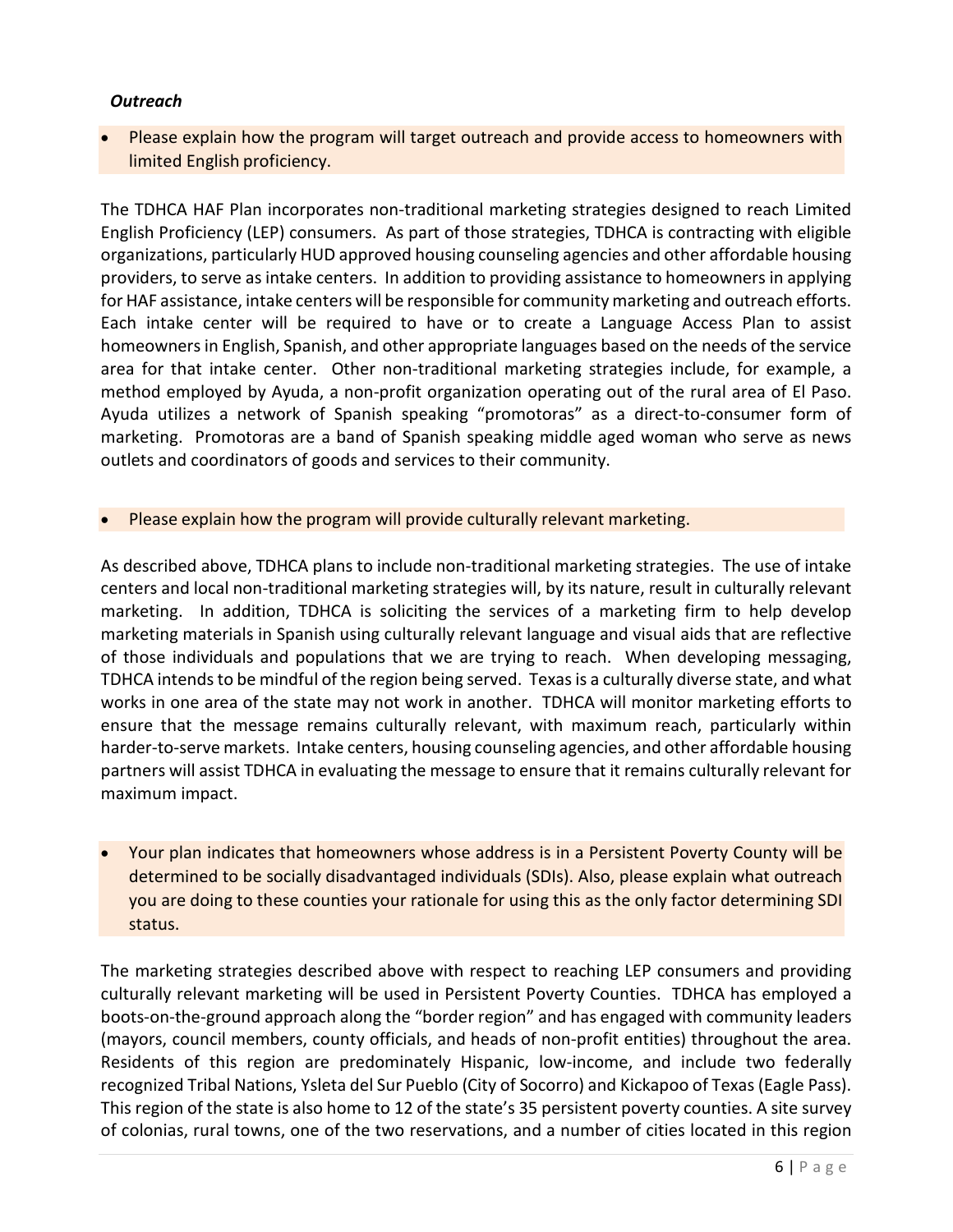# *Outreach*

• Please explain how the program will target outreach and provide access to homeowners with limited English proficiency.

The TDHCA HAF Plan incorporates non-traditional marketing strategies designed to reach Limited English Proficiency (LEP) consumers. As part of those strategies, TDHCA is contracting with eligible organizations, particularly HUD approved housing counseling agencies and other affordable housing providers, to serve as intake centers. In addition to providing assistance to homeowners in applying for HAF assistance, intake centers will be responsible for community marketing and outreach efforts. Each intake center will be required to have or to create a Language Access Plan to assist homeowners in English, Spanish, and other appropriate languages based on the needs of the service area for that intake center. Other non-traditional marketing strategies include, for example, a method employed by Ayuda, a non-profit organization operating out of the rural area of El Paso. Ayuda utilizes a network of Spanish speaking "promotoras" as a direct-to-consumer form of marketing. Promotoras are a band of Spanish speaking middle aged woman who serve as news outlets and coordinators of goods and services to their community.

• Please explain how the program will provide culturally relevant marketing.

As described above, TDHCA plans to include non-traditional marketing strategies. The use of intake centers and local non-traditional marketing strategies will, by its nature, result in culturally relevant marketing. In addition, TDHCA is soliciting the services of a marketing firm to help develop marketing materials in Spanish using culturally relevant language and visual aids that are reflective of those individuals and populations that we are trying to reach. When developing messaging, TDHCA intends to be mindful of the region being served. Texas is a culturally diverse state, and what works in one area of the state may not work in another. TDHCA will monitor marketing efforts to ensure that the message remains culturally relevant, with maximum reach, particularly within harder-to-serve markets. Intake centers, housing counseling agencies, and other affordable housing partners will assist TDHCA in evaluating the message to ensure that it remains culturally relevant for maximum impact.

• Your plan indicates that homeowners whose address is in a Persistent Poverty County will be determined to be socially disadvantaged individuals (SDIs). Also, please explain what outreach you are doing to these counties your rationale for using this as the only factor determining SDI status.

The marketing strategies described above with respect to reaching LEP consumers and providing culturally relevant marketing will be used in Persistent Poverty Counties. TDHCA has employed a boots-on-the-ground approach along the "border region" and has engaged with community leaders (mayors, council members, county officials, and heads of non-profit entities) throughout the area. Residents of this region are predominately Hispanic, low-income, and include two federally recognized Tribal Nations, Ysleta del Sur Pueblo (City of Socorro) and Kickapoo of Texas (Eagle Pass). This region of the state is also home to 12 of the state's 35 persistent poverty counties. A site survey of colonias, rural towns, one of the two reservations, and a number of cities located in this region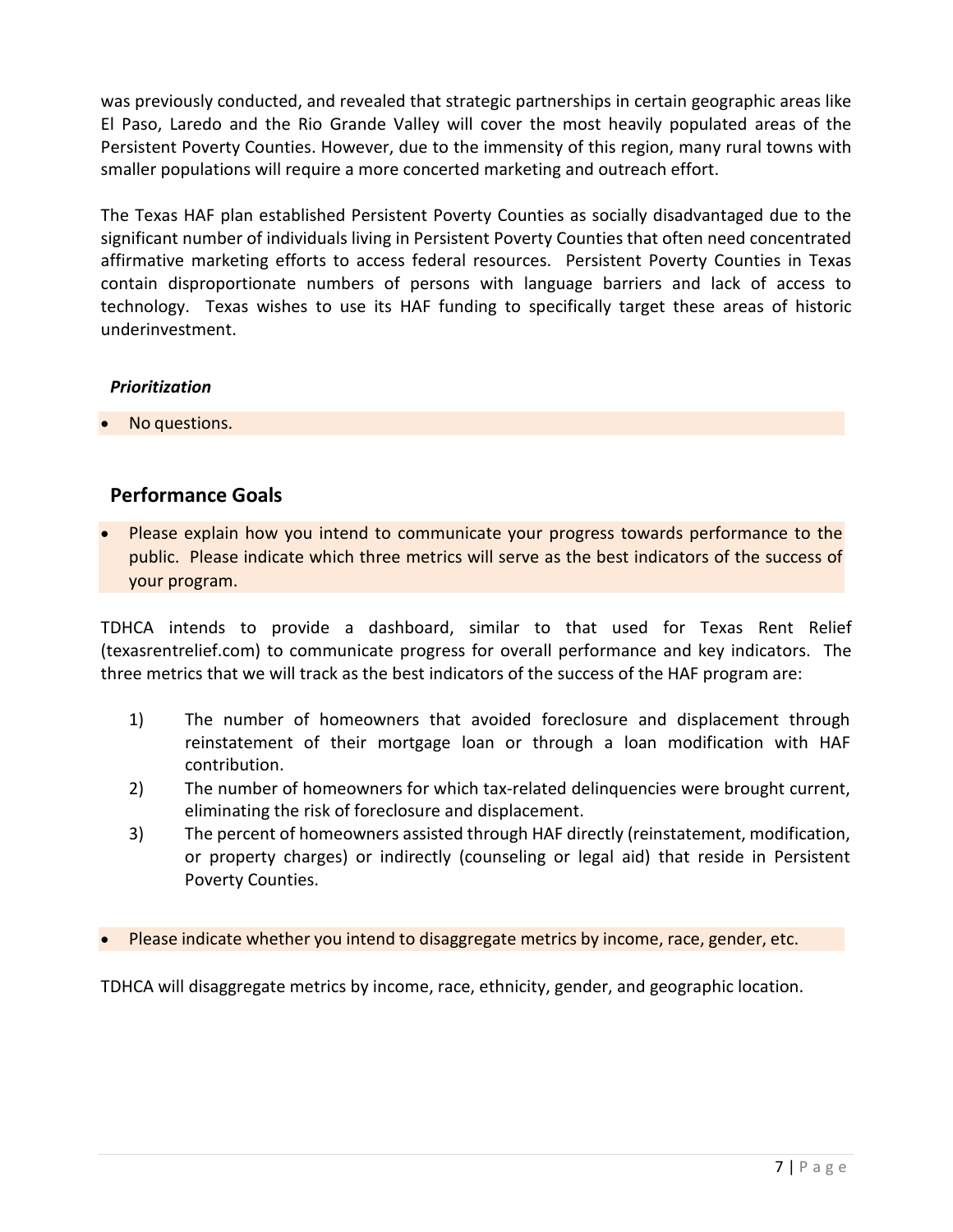was previously conducted, and revealed that strategic partnerships in certain geographic areas like El Paso, Laredo and the Rio Grande Valley will cover the most heavily populated areas of the Persistent Poverty Counties. However, due to the immensity of this region, many rural towns with smaller populations will require a more concerted marketing and outreach effort.

The Texas HAF plan established Persistent Poverty Counties as socially disadvantaged due to the significant number of individuals living in Persistent Poverty Counties that often need concentrated affirmative marketing efforts to access federal resources. Persistent Poverty Counties in Texas contain disproportionate numbers of persons with language barriers and lack of access to technology. Texas wishes to use its HAF funding to specifically target these areas of historic underinvestment.

# *Prioritization*

• No questions.

# **Performance Goals**

• Please explain how you intend to communicate your progress towards performance to the public. Please indicate which three metrics will serve as the best indicators of the success of your program.

TDHCA intends to provide a dashboard, similar to that used for Texas Rent Relief (texasrentrelief.com) to communicate progress for overall performance and key indicators. The three metrics that we will track as the best indicators of the success of the HAF program are:

- 1) The number of homeowners that avoided foreclosure and displacement through reinstatement of their mortgage loan or through a loan modification with HAF contribution.
- 2) The number of homeowners for which tax-related delinquencies were brought current, eliminating the risk of foreclosure and displacement.
- 3) The percent of homeowners assisted through HAF directly (reinstatement, modification, or property charges) or indirectly (counseling or legal aid) that reside in Persistent Poverty Counties.
- Please indicate whether you intend to disaggregate metrics by income, race, gender, etc.

TDHCA will disaggregate metrics by income, race, ethnicity, gender, and geographic location.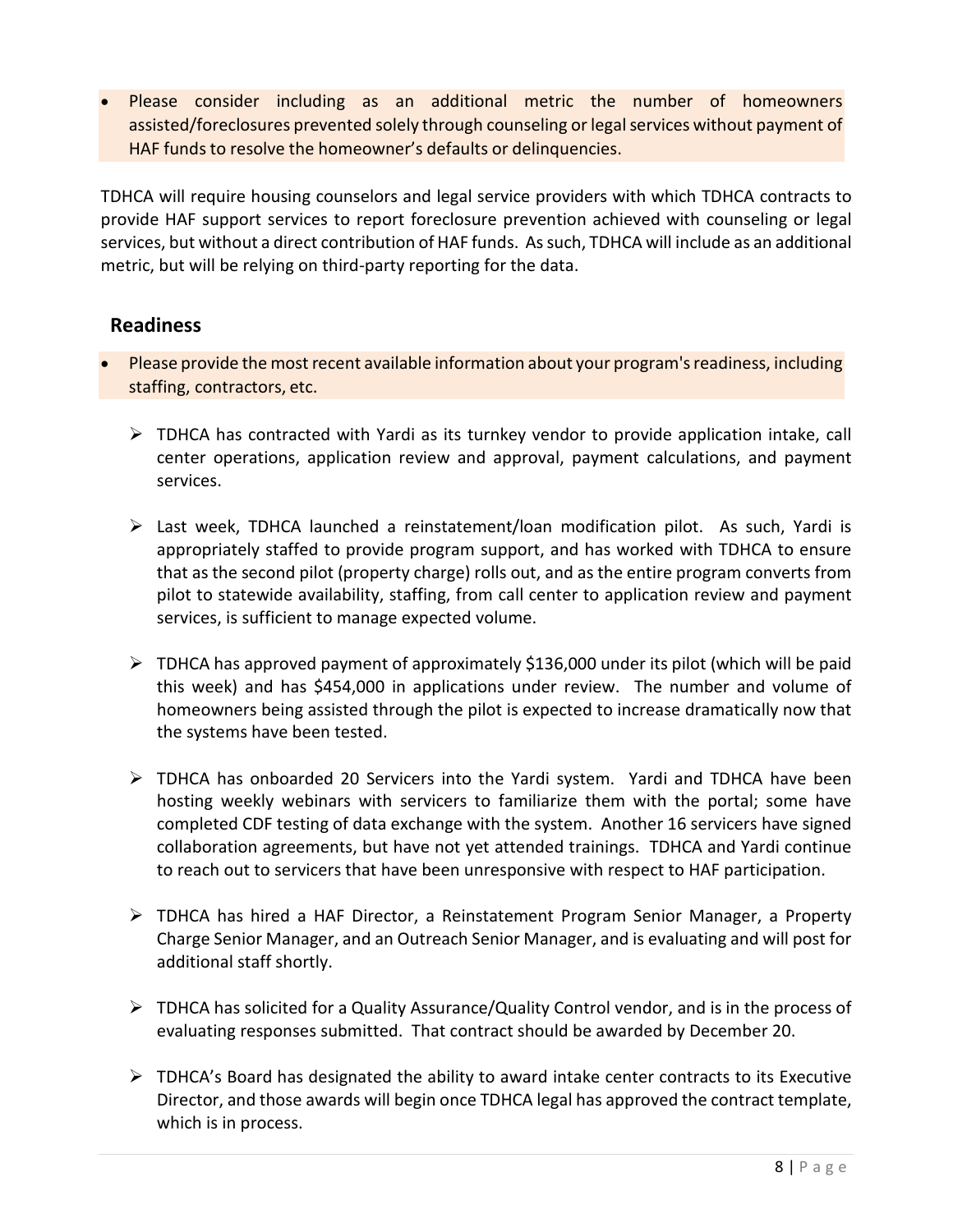• Please consider including as an additional metric the number of homeowners assisted/foreclosures prevented solely through counseling or legal services without payment of HAF funds to resolve the homeowner's defaults or delinquencies.

TDHCA will require housing counselors and legal service providers with which TDHCA contracts to provide HAF support services to report foreclosure prevention achieved with counseling or legal services, but without a direct contribution of HAF funds. As such, TDHCA will include as an additional metric, but will be relying on third-party reporting for the data.

# **Readiness**

- Please provide the most recent available information about your program's readiness, including staffing, contractors, etc.
	- $\triangleright$  TDHCA has contracted with Yardi as its turnkey vendor to provide application intake, call center operations, application review and approval, payment calculations, and payment services.
	- $\triangleright$  Last week, TDHCA launched a reinstatement/loan modification pilot. As such, Yardi is appropriately staffed to provide program support, and has worked with TDHCA to ensure that as the second pilot (property charge) rolls out, and as the entire program converts from pilot to statewide availability, staffing, from call center to application review and payment services, is sufficient to manage expected volume.
	- $\triangleright$  TDHCA has approved payment of approximately \$136,000 under its pilot (which will be paid this week) and has \$454,000 in applications under review. The number and volume of homeowners being assisted through the pilot is expected to increase dramatically now that the systems have been tested.
	- TDHCA has onboarded 20 Servicers into the Yardi system. Yardi and TDHCA have been hosting weekly webinars with servicers to familiarize them with the portal; some have completed CDF testing of data exchange with the system. Another 16 servicers have signed collaboration agreements, but have not yet attended trainings. TDHCA and Yardi continue to reach out to servicers that have been unresponsive with respect to HAF participation.
	- $\triangleright$  TDHCA has hired a HAF Director, a Reinstatement Program Senior Manager, a Property Charge Senior Manager, and an Outreach Senior Manager, and is evaluating and will post for additional staff shortly.
	- $\triangleright$  TDHCA has solicited for a Quality Assurance/Quality Control vendor, and is in the process of evaluating responses submitted. That contract should be awarded by December 20.
	- $\triangleright$  TDHCA's Board has designated the ability to award intake center contracts to its Executive Director, and those awards will begin once TDHCA legal has approved the contract template, which is in process.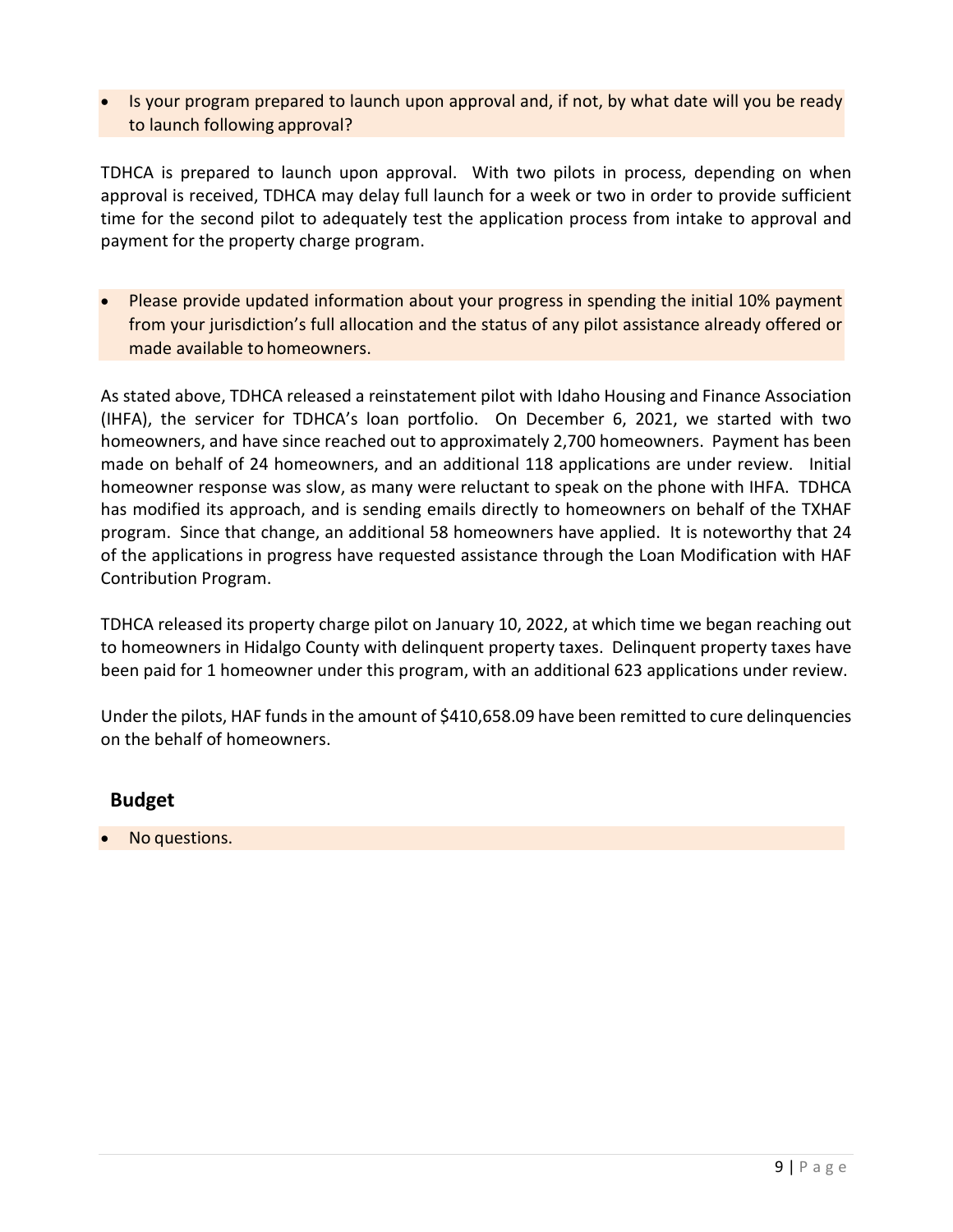• Is your program prepared to launch upon approval and, if not, by what date will you be ready to launch following approval?

TDHCA is prepared to launch upon approval. With two pilots in process, depending on when approval is received, TDHCA may delay full launch for a week or two in order to provide sufficient time for the second pilot to adequately test the application process from intake to approval and payment for the property charge program.

• Please provide updated information about your progress in spending the initial 10% payment from your jurisdiction's full allocation and the status of any pilot assistance already offered or made available to homeowners.

As stated above, TDHCA released a reinstatement pilot with Idaho Housing and Finance Association (IHFA), the servicer for TDHCA's loan portfolio. On December 6, 2021, we started with two homeowners, and have since reached out to approximately 2,700 homeowners. Payment has been made on behalf of 24 homeowners, and an additional 118 applications are under review. Initial homeowner response was slow, as many were reluctant to speak on the phone with IHFA. TDHCA has modified its approach, and is sending emails directly to homeowners on behalf of the TXHAF program. Since that change, an additional 58 homeowners have applied. It is noteworthy that 24 of the applications in progress have requested assistance through the Loan Modification with HAF Contribution Program.

TDHCA released its property charge pilot on January 10, 2022, at which time we began reaching out to homeowners in Hidalgo County with delinquent property taxes. Delinquent property taxes have been paid for 1 homeowner under this program, with an additional 623 applications under review.

Under the pilots, HAF funds in the amount of \$410,658.09 have been remitted to cure delinquencies on the behalf of homeowners.

# **Budget**

• No questions.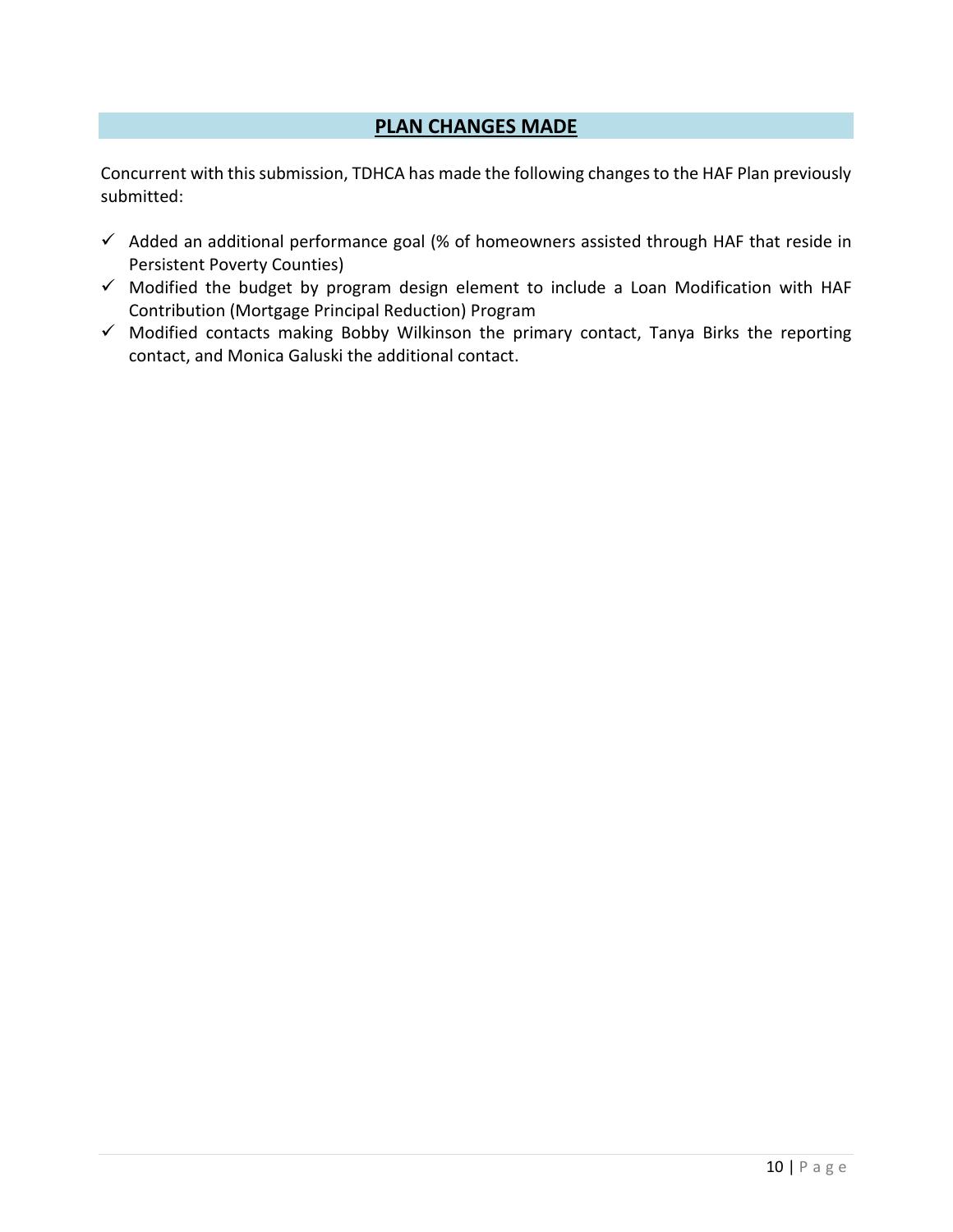# **PLAN CHANGES MADE**

Concurrent with this submission, TDHCA has made the following changes to the HAF Plan previously submitted:

- $\checkmark$  Added an additional performance goal (% of homeowners assisted through HAF that reside in Persistent Poverty Counties)
- $\checkmark$  Modified the budget by program design element to include a Loan Modification with HAF Contribution (Mortgage Principal Reduction) Program
- $\checkmark$  Modified contacts making Bobby Wilkinson the primary contact, Tanya Birks the reporting contact, and Monica Galuski the additional contact.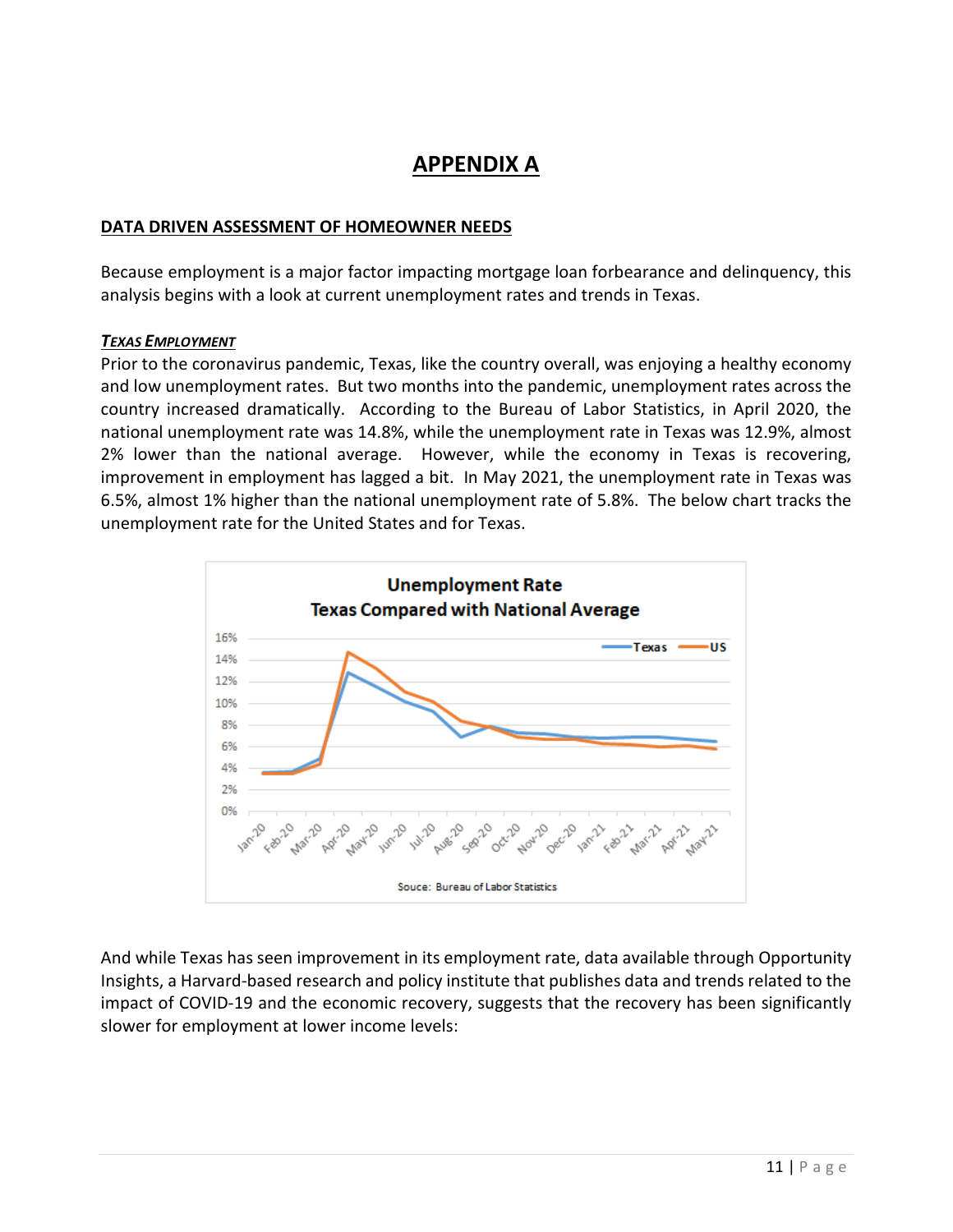# **APPENDIX A**

#### **DATA DRIVEN ASSESSMENT OF HOMEOWNER NEEDS**

Because employment is a major factor impacting mortgage loan forbearance and delinquency, this analysis begins with a look at current unemployment rates and trends in Texas.

#### *TEXAS EMPLOYMENT*

Prior to the coronavirus pandemic, Texas, like the country overall, was enjoying a healthy economy and low unemployment rates. But two months into the pandemic, unemployment rates across the country increased dramatically. According to the Bureau of Labor Statistics, in April 2020, the national unemployment rate was 14.8%, while the unemployment rate in Texas was 12.9%, almost 2% lower than the national average. However, while the economy in Texas is recovering, improvement in employment has lagged a bit. In May 2021, the unemployment rate in Texas was 6.5%, almost 1% higher than the national unemployment rate of 5.8%. The below chart tracks the unemployment rate for the United States and for Texas.



And while Texas has seen improvement in its employment rate, data available through Opportunity Insights, a Harvard-based research and policy institute that publishes data and trends related to the impact of COVID-19 and the economic recovery, suggests that the recovery has been significantly slower for employment at lower income levels: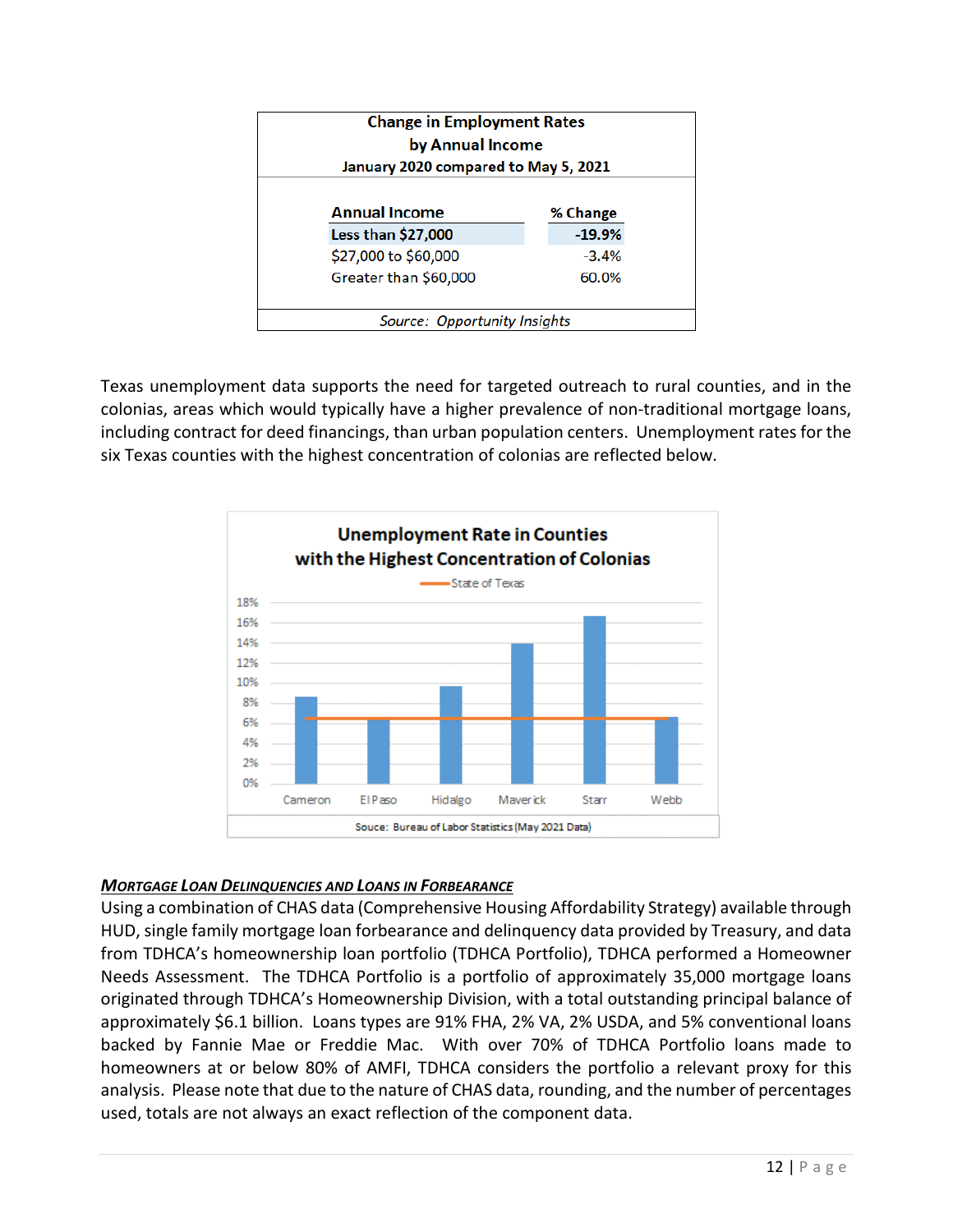|                              | <b>Change in Employment Rates</b><br>by Annual Income<br>January 2020 compared to May 5, 2021 |  |  |  |
|------------------------------|-----------------------------------------------------------------------------------------------|--|--|--|
| <b>Annual Income</b>         | % Change                                                                                      |  |  |  |
| Less than \$27,000           | $-19.9%$                                                                                      |  |  |  |
| \$27,000 to \$60,000         | $-3.4%$                                                                                       |  |  |  |
| Greater than \$60,000        | 60.0%                                                                                         |  |  |  |
| Source: Opportunity Insights |                                                                                               |  |  |  |

Texas unemployment data supports the need for targeted outreach to rural counties, and in the colonias, areas which would typically have a higher prevalence of non-traditional mortgage loans, including contract for deed financings, than urban population centers. Unemployment rates for the six Texas counties with the highest concentration of colonias are reflected below.



# *MORTGAGE LOAN DELINQUENCIES AND LOANS IN FORBEARANCE*

Using a combination of CHAS data (Comprehensive Housing Affordability Strategy) available through HUD, single family mortgage loan forbearance and delinquency data provided by Treasury, and data from TDHCA's homeownership loan portfolio (TDHCA Portfolio), TDHCA performed a Homeowner Needs Assessment. The TDHCA Portfolio is a portfolio of approximately 35,000 mortgage loans originated through TDHCA's Homeownership Division, with a total outstanding principal balance of approximately \$6.1 billion. Loans types are 91% FHA, 2% VA, 2% USDA, and 5% conventional loans backed by Fannie Mae or Freddie Mac. With over 70% of TDHCA Portfolio loans made to homeowners at or below 80% of AMFI, TDHCA considers the portfolio a relevant proxy for this analysis. Please note that due to the nature of CHAS data, rounding, and the number of percentages used, totals are not always an exact reflection of the component data.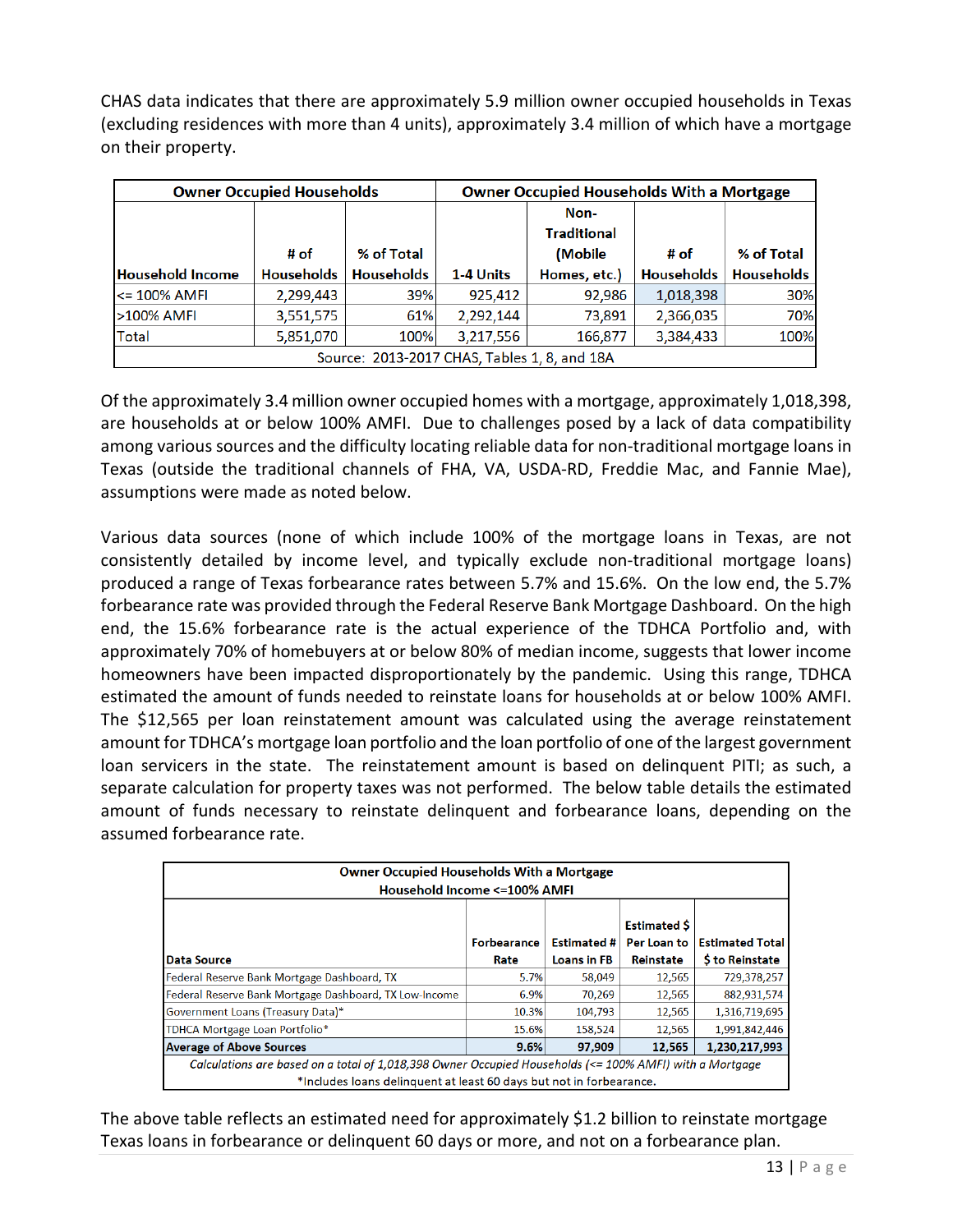CHAS data indicates that there are approximately 5.9 million owner occupied households in Texas (excluding residences with more than 4 units), approximately 3.4 million of which have a mortgage on their property.

| <b>Owner Occupied Households</b>             |                   |                   | <b>Owner Occupied Households With a Mortgage</b> |                    |                   |                   |
|----------------------------------------------|-------------------|-------------------|--------------------------------------------------|--------------------|-------------------|-------------------|
|                                              |                   |                   |                                                  | Non-               |                   |                   |
|                                              |                   |                   |                                                  | <b>Traditional</b> |                   |                   |
|                                              | # of              | % of Total        |                                                  | (Mobile)           | # of              | % of Total        |
| <b>Household Income</b>                      | <b>Households</b> | <b>Households</b> | 1-4 Units                                        | Homes, etc.)       | <b>Households</b> | <b>Households</b> |
| $<$ 100% AMFI                                | 2,299,443         | 39%               | 925,412                                          | 92,986             | 1,018,398         | 30%               |
| >100% AMFI                                   | 3,551,575         | 61%               | 2,292,144                                        | 73,891             | 2,366,035         | 70%               |
| Total                                        | 5,851,070         | 100%              | 3,217,556                                        | 166,877            | 3,384,433         | 100%              |
| Source: 2013-2017 CHAS, Tables 1, 8, and 18A |                   |                   |                                                  |                    |                   |                   |

Of the approximately 3.4 million owner occupied homes with a mortgage, approximately 1,018,398, are households at or below 100% AMFI. Due to challenges posed by a lack of data compatibility among various sources and the difficulty locating reliable data for non-traditional mortgage loans in Texas (outside the traditional channels of FHA, VA, USDA-RD, Freddie Mac, and Fannie Mae), assumptions were made as noted below.

Various data sources (none of which include 100% of the mortgage loans in Texas, are not consistently detailed by income level, and typically exclude non-traditional mortgage loans) produced a range of Texas forbearance rates between 5.7% and 15.6%. On the low end, the 5.7% forbearance rate was provided through the Federal Reserve Bank Mortgage Dashboard. On the high end, the 15.6% forbearance rate is the actual experience of the TDHCA Portfolio and, with approximately 70% of homebuyers at or below 80% of median income, suggests that lower income homeowners have been impacted disproportionately by the pandemic. Using this range, TDHCA estimated the amount of funds needed to reinstate loans for households at or below 100% AMFI. The \$12,565 per loan reinstatement amount was calculated using the average reinstatement amount for TDHCA's mortgage loan portfolio and the loan portfolio of one of the largest government loan servicers in the state. The reinstatement amount is based on delinquent PITI; as such, a separate calculation for property taxes was not performed. The below table details the estimated amount of funds necessary to reinstate delinquent and forbearance loans, depending on the assumed forbearance rate.

| <b>Owner Occupied Households With a Mortgage</b>                                                                                                                               |                                                        |                                           |        |               |  |  |
|--------------------------------------------------------------------------------------------------------------------------------------------------------------------------------|--------------------------------------------------------|-------------------------------------------|--------|---------------|--|--|
| Household Income <= 100% AMFI                                                                                                                                                  |                                                        |                                           |        |               |  |  |
| l Data Source                                                                                                                                                                  | <b>Estimated \$</b><br>Per Loan to<br><b>Reinstate</b> | <b>Estimated Total</b><br>\$ to Reinstate |        |               |  |  |
| Federal Reserve Bank Mortgage Dashboard, TX                                                                                                                                    | Rate<br>5.7%                                           | <b>Loans in FB</b><br>58,049              | 12,565 | 729,378,257   |  |  |
| Federal Reserve Bank Mortgage Dashboard, TX Low-Income                                                                                                                         | 6.9%                                                   | 70,269                                    | 12,565 | 882,931,574   |  |  |
| Government Loans (Treasury Data)*                                                                                                                                              | 10.3%                                                  | 104,793                                   | 12.565 | 1,316,719,695 |  |  |
| TDHCA Mortgage Loan Portfolio*                                                                                                                                                 | 15.6%                                                  | 158,524                                   | 12,565 | 1,991,842,446 |  |  |
| <b>Average of Above Sources</b>                                                                                                                                                | 9.6%                                                   | 97,909                                    | 12,565 | 1,230,217,993 |  |  |
| Calculations are based on a total of 1,018,398 Owner Occupied Households (<= 100% AMFI) with a Mortgage<br>*Includes loans delinguent at least 60 days but not in forbearance. |                                                        |                                           |        |               |  |  |

The above table reflects an estimated need for approximately \$1.2 billion to reinstate mortgage Texas loans in forbearance or delinquent 60 days or more, and not on a forbearance plan.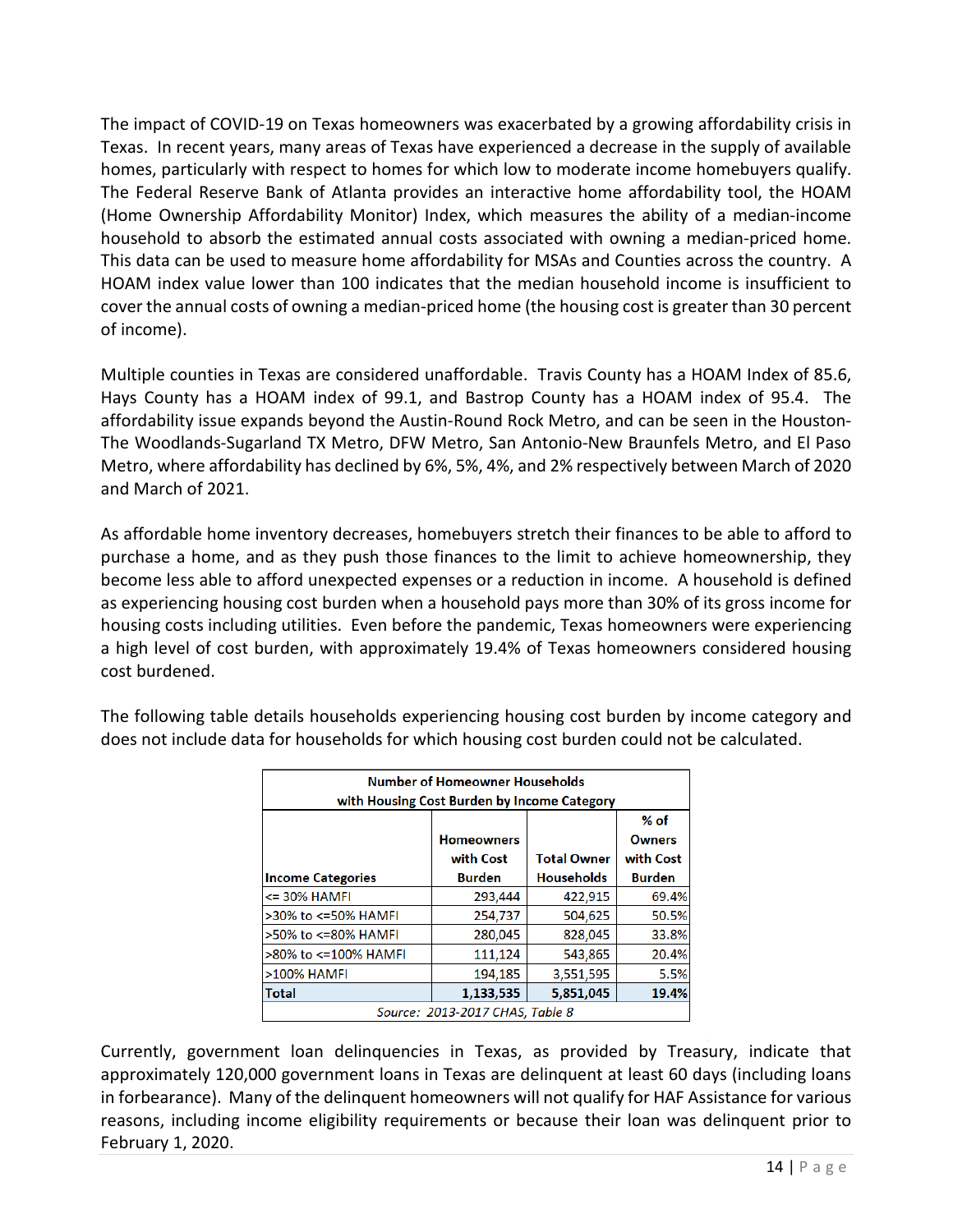The impact of COVID-19 on Texas homeowners was exacerbated by a growing affordability crisis in Texas. In recent years, many areas of Texas have experienced a decrease in the supply of available homes, particularly with respect to homes for which low to moderate income homebuyers qualify. The Federal Reserve Bank of Atlanta provides an interactive home affordability tool, the HOAM (Home Ownership Affordability Monitor) Index, which measures the ability of a median-income household to absorb the estimated annual costs associated with owning a median-priced home. This data can be used to measure home affordability for MSAs and Counties across the country. A HOAM index value lower than 100 indicates that the median household income is insufficient to cover the annual costs of owning a median-priced home (the housing cost is greater than 30 percent of income).

Multiple counties in Texas are considered unaffordable. Travis County has a HOAM Index of 85.6, Hays County has a HOAM index of 99.1, and Bastrop County has a HOAM index of 95.4. The affordability issue expands beyond the Austin-Round Rock Metro, and can be seen in the Houston-The Woodlands-Sugarland TX Metro, DFW Metro, San Antonio-New Braunfels Metro, and El Paso Metro, where affordability has declined by 6%, 5%, 4%, and 2% respectively between March of 2020 and March of 2021.

As affordable home inventory decreases, homebuyers stretch their finances to be able to afford to purchase a home, and as they push those finances to the limit to achieve homeownership, they become less able to afford unexpected expenses or a reduction in income. A household is defined as experiencing housing cost burden when a household pays more than 30% of its gross income for housing costs including utilities. Even before the pandemic, Texas homeowners were experiencing a high level of cost burden, with approximately 19.4% of Texas homeowners considered housing cost burdened.

| <b>Number of Homeowner Households</b><br>with Housing Cost Burden by Income Category         |               |                   |               |  |  |  |
|----------------------------------------------------------------------------------------------|---------------|-------------------|---------------|--|--|--|
| $%$ of<br><b>Homeowners</b><br><b>Owners</b><br><b>Total Owner</b><br>with Cost<br>with Cost |               |                   |               |  |  |  |
| <b>Income Categories</b>                                                                     | <b>Burden</b> | <b>Households</b> | <b>Burden</b> |  |  |  |
| <= 30% HAMFI                                                                                 | 293,444       | 422,915           | 69.4%         |  |  |  |
| >30% to <=50% HAMFI                                                                          | 254,737       | 504,625           | 50.5%         |  |  |  |
| >50% to <=80% HAMFI                                                                          | 280,045       | 828,045           | 33.8%         |  |  |  |
| >80% to <=100% HAMFI                                                                         | 111,124       | 543,865           | 20.4%         |  |  |  |
| >100% HAMFI                                                                                  | 194,185       | 3,551,595         | 5.5%          |  |  |  |
| Total                                                                                        | 1,133,535     | 5,851,045         | 19.4%         |  |  |  |
| Source: 2013-2017 CHAS, Table 8                                                              |               |                   |               |  |  |  |

The following table details households experiencing housing cost burden by income category and does not include data for households for which housing cost burden could not be calculated.

Currently, government loan delinquencies in Texas, as provided by Treasury, indicate that approximately 120,000 government loans in Texas are delinquent at least 60 days (including loans in forbearance). Many of the delinquent homeowners will not qualify for HAF Assistance for various reasons, including income eligibility requirements or because their loan was delinquent prior to February 1, 2020.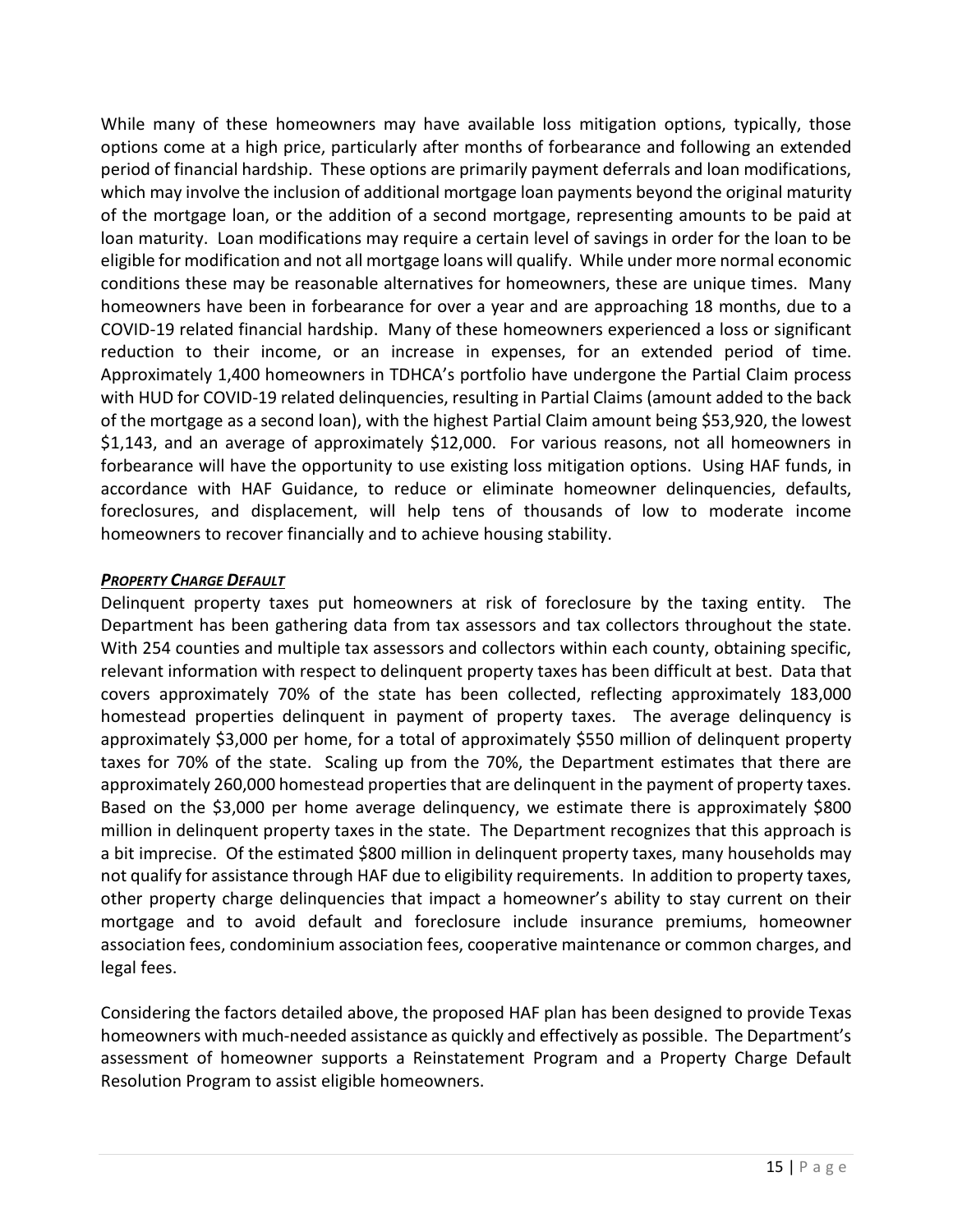While many of these homeowners may have available loss mitigation options, typically, those options come at a high price, particularly after months of forbearance and following an extended period of financial hardship. These options are primarily payment deferrals and loan modifications, which may involve the inclusion of additional mortgage loan payments beyond the original maturity of the mortgage loan, or the addition of a second mortgage, representing amounts to be paid at loan maturity. Loan modifications may require a certain level of savings in order for the loan to be eligible for modification and not all mortgage loans will qualify. While under more normal economic conditions these may be reasonable alternatives for homeowners, these are unique times. Many homeowners have been in forbearance for over a year and are approaching 18 months, due to a COVID-19 related financial hardship. Many of these homeowners experienced a loss or significant reduction to their income, or an increase in expenses, for an extended period of time. Approximately 1,400 homeowners in TDHCA's portfolio have undergone the Partial Claim process with HUD for COVID-19 related delinquencies, resulting in Partial Claims (amount added to the back of the mortgage as a second loan), with the highest Partial Claim amount being \$53,920, the lowest \$1,143, and an average of approximately \$12,000. For various reasons, not all homeowners in forbearance will have the opportunity to use existing loss mitigation options. Using HAF funds, in accordance with HAF Guidance, to reduce or eliminate homeowner delinquencies, defaults, foreclosures, and displacement, will help tens of thousands of low to moderate income homeowners to recover financially and to achieve housing stability.

#### *PROPERTY CHARGE DEFAULT*

Delinquent property taxes put homeowners at risk of foreclosure by the taxing entity. The Department has been gathering data from tax assessors and tax collectors throughout the state. With 254 counties and multiple tax assessors and collectors within each county, obtaining specific, relevant information with respect to delinquent property taxes has been difficult at best. Data that covers approximately 70% of the state has been collected, reflecting approximately 183,000 homestead properties delinquent in payment of property taxes. The average delinquency is approximately \$3,000 per home, for a total of approximately \$550 million of delinquent property taxes for 70% of the state. Scaling up from the 70%, the Department estimates that there are approximately 260,000 homestead properties that are delinquent in the payment of property taxes. Based on the \$3,000 per home average delinquency, we estimate there is approximately \$800 million in delinquent property taxes in the state. The Department recognizes that this approach is a bit imprecise. Of the estimated \$800 million in delinquent property taxes, many households may not qualify for assistance through HAF due to eligibility requirements. In addition to property taxes, other property charge delinquencies that impact a homeowner's ability to stay current on their mortgage and to avoid default and foreclosure include insurance premiums, homeowner association fees, condominium association fees, cooperative maintenance or common charges, and legal fees.

Considering the factors detailed above, the proposed HAF plan has been designed to provide Texas homeowners with much-needed assistance as quickly and effectively as possible. The Department's assessment of homeowner supports a Reinstatement Program and a Property Charge Default Resolution Program to assist eligible homeowners.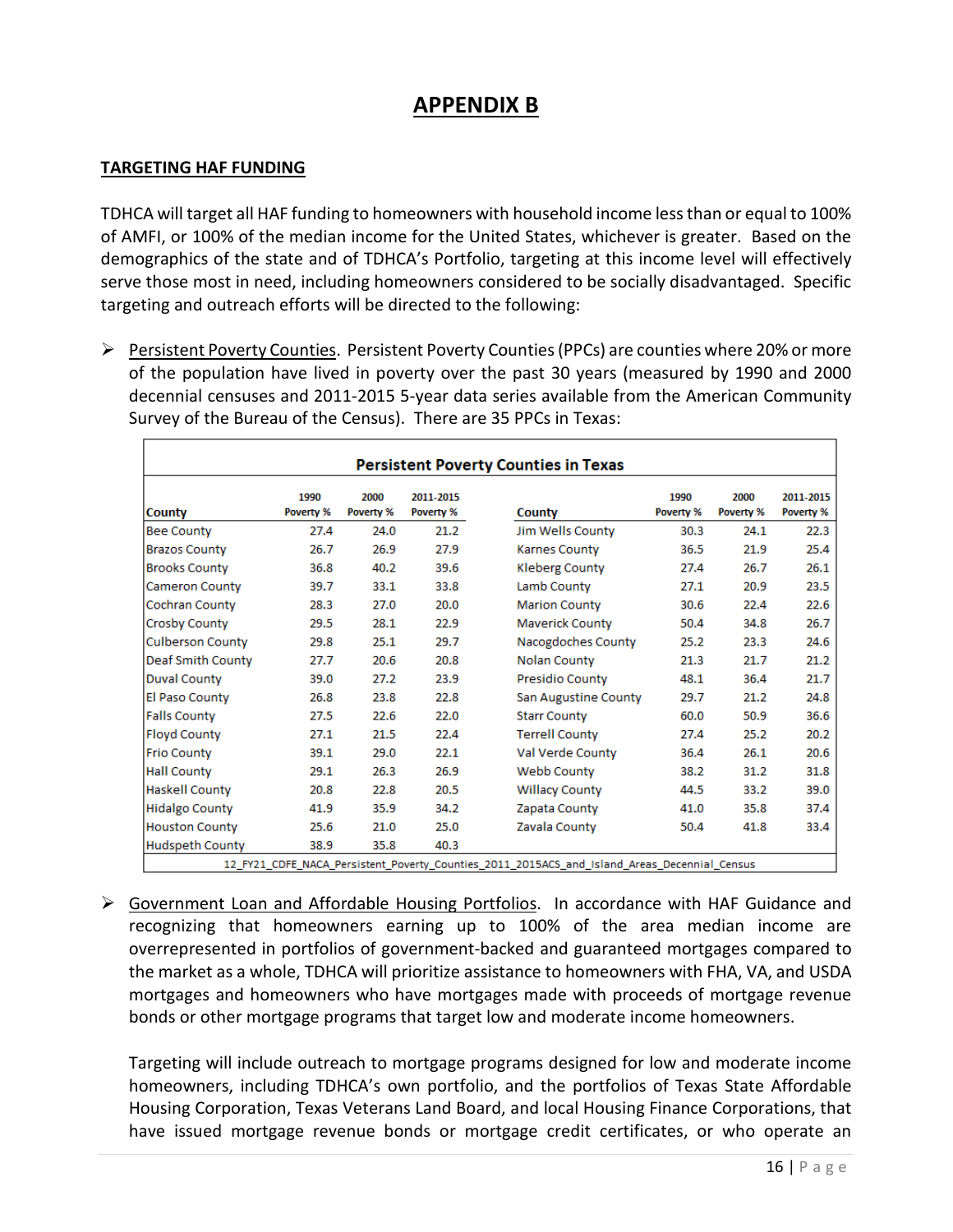# **APPENDIX B**

#### **TARGETING HAF FUNDING**

TDHCA will target all HAF funding to homeowners with household income less than or equal to 100% of AMFI, or 100% of the median income for the United States, whichever is greater. Based on the demographics of the state and of TDHCA's Portfolio, targeting at this income level will effectively serve those most in need, including homeowners considered to be socially disadvantaged. Specific targeting and outreach efforts will be directed to the following:

Persistent Poverty Counties. Persistent Poverty Counties (PPCs) are counties where 20% or more of the population have lived in poverty over the past 30 years (measured by 1990 and 2000 decennial censuses and 2011-2015 5-year data series available from the American Community Survey of the Bureau of the Census). There are 35 PPCs in Texas:

|                         |                   |                   |                        | <b>Persistent Poverty Counties in Texas</b> |                   |                   |                        |
|-------------------------|-------------------|-------------------|------------------------|---------------------------------------------|-------------------|-------------------|------------------------|
| <b>County</b>           | 1990<br>Poverty % | 2000<br>Poverty % | 2011-2015<br>Poverty % | <b>County</b>                               | 1990<br>Poverty % | 2000<br>Poverty % | 2011-2015<br>Poverty % |
| <b>Bee County</b>       | 27.4              | 24.0              | 21.2                   | Jim Wells County                            | 30.3              | 24.1              | 22.3                   |
| <b>Brazos County</b>    | 26.7              | 26.9              | 27.9                   | <b>Karnes County</b>                        | 36.5              | 21.9              | 25.4                   |
| <b>Brooks County</b>    | 36.8              | 40.2              | 39.6                   | <b>Kleberg County</b>                       | 27.4              | 26.7              | 26.1                   |
| <b>Cameron County</b>   | 39.7              | 33.1              | 33.8                   | Lamb County                                 | 27.1              | 20.9              | 23.5                   |
| Cochran County          | 28.3              | 27.0              | 20.0                   | <b>Marion County</b>                        | 30.6              | 22.4              | 22.6                   |
| <b>Crosby County</b>    | 29.5              | 28.1              | 22.9                   | <b>Maverick County</b>                      | 50.4              | 34.8              | 26.7                   |
| <b>Culberson County</b> | 29.8              | 25.1              | 29.7                   | Nacogdoches County                          | 25.2              | 23.3              | 24.6                   |
| Deaf Smith County       | 27.7              | 20.6              | 20.8                   | <b>Nolan County</b>                         | 21.3              | 21.7              | 21.2                   |
| <b>Duval County</b>     | 39.0              | 27.2              | 23.9                   | <b>Presidio County</b>                      | 48.1              | 36.4              | 21.7                   |
| El Paso County          | 26.8              | 23.8              | 22.8                   | <b>San Augustine County</b>                 | 29.7              | 21.2              | 24.8                   |
| <b>Falls County</b>     | 27.5              | 22.6              | 22.0                   | <b>Starr County</b>                         | 60.0              | 50.9              | 36.6                   |
| <b>Floyd County</b>     | 27.1              | 21.5              | 22.4                   | <b>Terrell County</b>                       | 27.4              | 25.2              | 20.2                   |
| <b>Frio County</b>      | 39.1              | 29.0              | 22.1                   | Val Verde County                            | 36.4              | 26.1              | 20.6                   |
| <b>Hall County</b>      | 29.1              | 26.3              | 26.9                   | <b>Webb County</b>                          | 38.2              | 31.2              | 31.8                   |
| <b>Haskell County</b>   | 20.8              | 22.8              | 20.5                   | <b>Willacy County</b>                       | 44.5              | 33.2              | 39.0                   |
| <b>Hidalgo County</b>   | 41.9              | 35.9              | 34.2                   | Zapata County                               | 41.0              | 35.8              | 37.4                   |
| <b>Houston County</b>   | 25.6              | 21.0              | 25.0                   | Zavala County                               | 50.4              | 41.8              | 33.4                   |
| <b>Hudspeth County</b>  | 38.9              | 35.8              | 40.3                   |                                             |                   |                   |                        |

 Government Loan and Affordable Housing Portfolios. In accordance with HAF Guidance and recognizing that homeowners earning up to 100% of the area median income are overrepresented in portfolios of government-backed and guaranteed mortgages compared to the market as a whole, TDHCA will prioritize assistance to homeowners with FHA, VA, and USDA mortgages and homeowners who have mortgages made with proceeds of mortgage revenue bonds or other mortgage programs that target low and moderate income homeowners.

Targeting will include outreach to mortgage programs designed for low and moderate income homeowners, including TDHCA's own portfolio, and the portfolios of Texas State Affordable Housing Corporation, Texas Veterans Land Board, and local Housing Finance Corporations, that have issued mortgage revenue bonds or mortgage credit certificates, or who operate an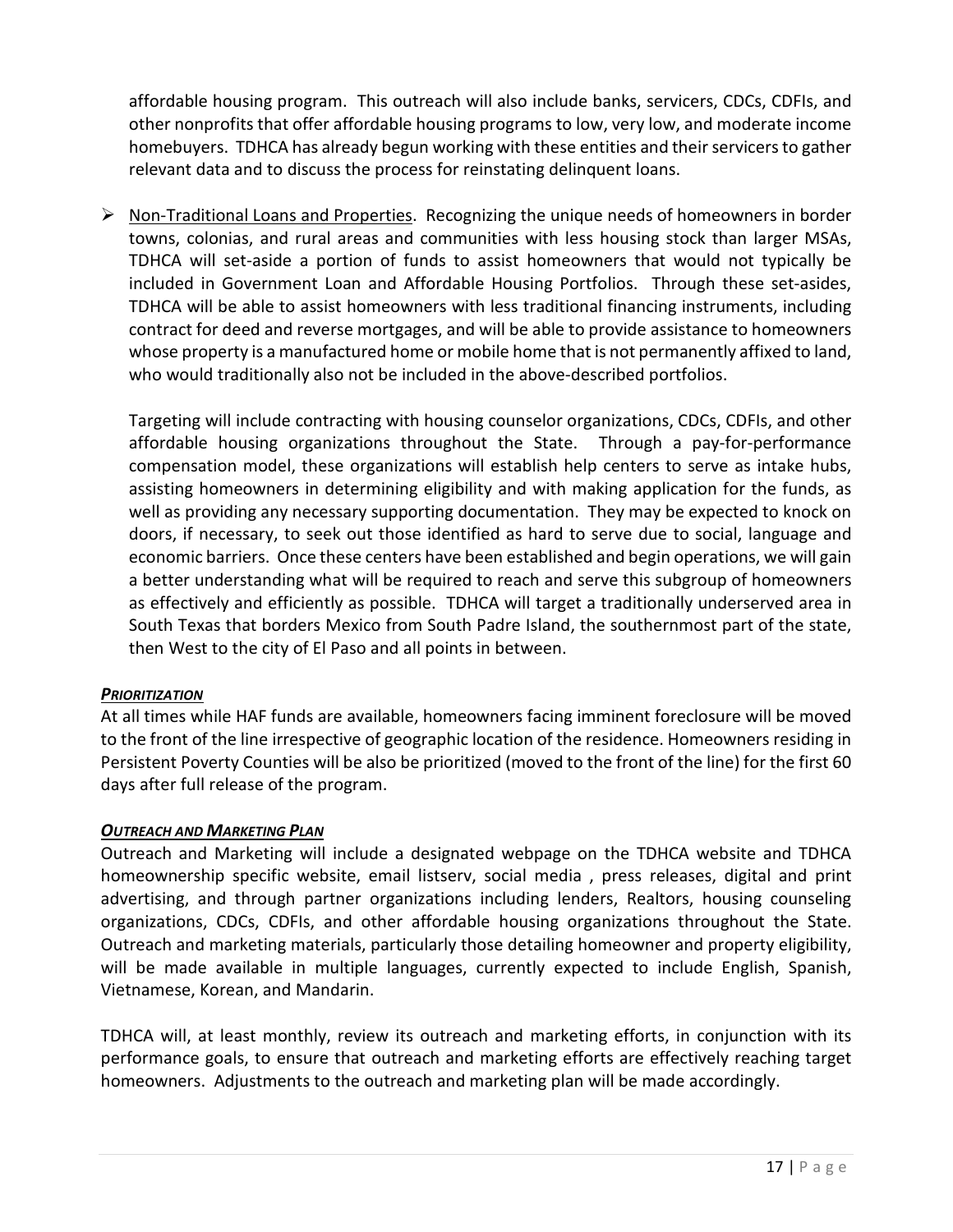affordable housing program. This outreach will also include banks, servicers, CDCs, CDFIs, and other nonprofits that offer affordable housing programs to low, very low, and moderate income homebuyers. TDHCA has already begun working with these entities and their servicers to gather relevant data and to discuss the process for reinstating delinquent loans.

 $\triangleright$  Non-Traditional Loans and Properties. Recognizing the unique needs of homeowners in border towns, colonias, and rural areas and communities with less housing stock than larger MSAs, TDHCA will set-aside a portion of funds to assist homeowners that would not typically be included in Government Loan and Affordable Housing Portfolios. Through these set-asides, TDHCA will be able to assist homeowners with less traditional financing instruments, including contract for deed and reverse mortgages, and will be able to provide assistance to homeowners whose property is a manufactured home or mobile home that is not permanently affixed to land, who would traditionally also not be included in the above-described portfolios.

Targeting will include contracting with housing counselor organizations, CDCs, CDFIs, and other affordable housing organizations throughout the State. Through a pay-for-performance compensation model, these organizations will establish help centers to serve as intake hubs, assisting homeowners in determining eligibility and with making application for the funds, as well as providing any necessary supporting documentation. They may be expected to knock on doors, if necessary, to seek out those identified as hard to serve due to social, language and economic barriers. Once these centers have been established and begin operations, we will gain a better understanding what will be required to reach and serve this subgroup of homeowners as effectively and efficiently as possible. TDHCA will target a traditionally underserved area in South Texas that borders Mexico from South Padre Island, the southernmost part of the state, then West to the city of El Paso and all points in between.

#### *PRIORITIZATION*

At all times while HAF funds are available, homeowners facing imminent foreclosure will be moved to the front of the line irrespective of geographic location of the residence. Homeowners residing in Persistent Poverty Counties will be also be prioritized (moved to the front of the line) for the first 60 days after full release of the program.

# *OUTREACH AND MARKETING PLAN*

Outreach and Marketing will include a designated webpage on the TDHCA website and TDHCA homeownership specific website, email listserv, social media , press releases, digital and print advertising, and through partner organizations including lenders, Realtors, housing counseling organizations, CDCs, CDFIs, and other affordable housing organizations throughout the State. Outreach and marketing materials, particularly those detailing homeowner and property eligibility, will be made available in multiple languages, currently expected to include English, Spanish, Vietnamese, Korean, and Mandarin.

TDHCA will, at least monthly, review its outreach and marketing efforts, in conjunction with its performance goals, to ensure that outreach and marketing efforts are effectively reaching target homeowners. Adjustments to the outreach and marketing plan will be made accordingly.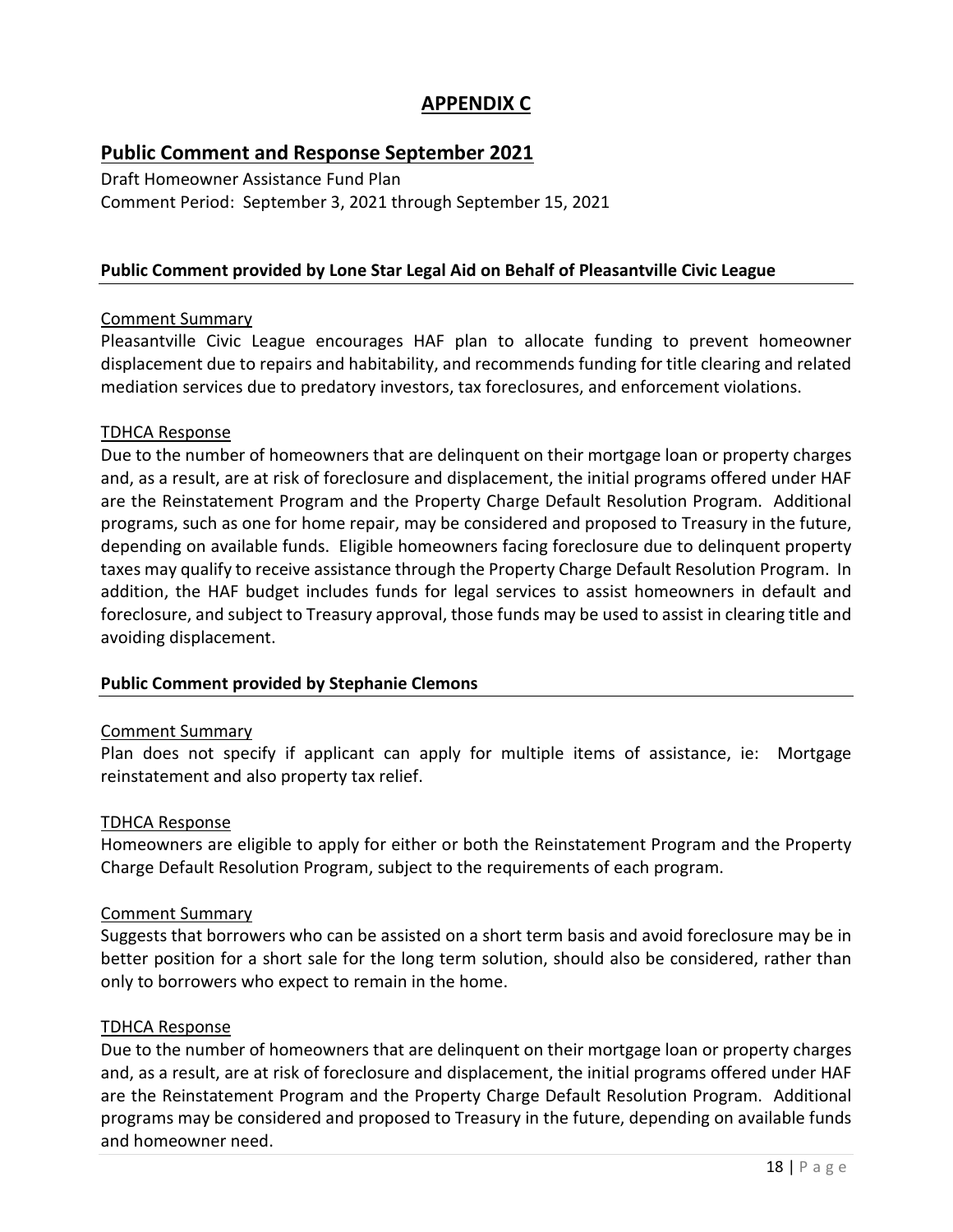# **APPENDIX C**

# **Public Comment and Response September 2021**

Draft Homeowner Assistance Fund Plan Comment Period: September 3, 2021 through September 15, 2021

# **Public Comment provided by Lone Star Legal Aid on Behalf of Pleasantville Civic League**

#### Comment Summary

Pleasantville Civic League encourages HAF plan to allocate funding to prevent homeowner displacement due to repairs and habitability, and recommends funding for title clearing and related mediation services due to predatory investors, tax foreclosures, and enforcement violations.

#### TDHCA Response

Due to the number of homeowners that are delinquent on their mortgage loan or property charges and, as a result, are at risk of foreclosure and displacement, the initial programs offered under HAF are the Reinstatement Program and the Property Charge Default Resolution Program. Additional programs, such as one for home repair, may be considered and proposed to Treasury in the future, depending on available funds. Eligible homeowners facing foreclosure due to delinquent property taxes may qualify to receive assistance through the Property Charge Default Resolution Program. In addition, the HAF budget includes funds for legal services to assist homeowners in default and foreclosure, and subject to Treasury approval, those funds may be used to assist in clearing title and avoiding displacement.

#### **Public Comment provided by Stephanie Clemons**

#### Comment Summary

Plan does not specify if applicant can apply for multiple items of assistance, ie: Mortgage reinstatement and also property tax relief.

#### TDHCA Response

Homeowners are eligible to apply for either or both the Reinstatement Program and the Property Charge Default Resolution Program, subject to the requirements of each program.

#### Comment Summary

Suggests that borrowers who can be assisted on a short term basis and avoid foreclosure may be in better position for a short sale for the long term solution, should also be considered, rather than only to borrowers who expect to remain in the home.

#### TDHCA Response

Due to the number of homeowners that are delinquent on their mortgage loan or property charges and, as a result, are at risk of foreclosure and displacement, the initial programs offered under HAF are the Reinstatement Program and the Property Charge Default Resolution Program. Additional programs may be considered and proposed to Treasury in the future, depending on available funds and homeowner need.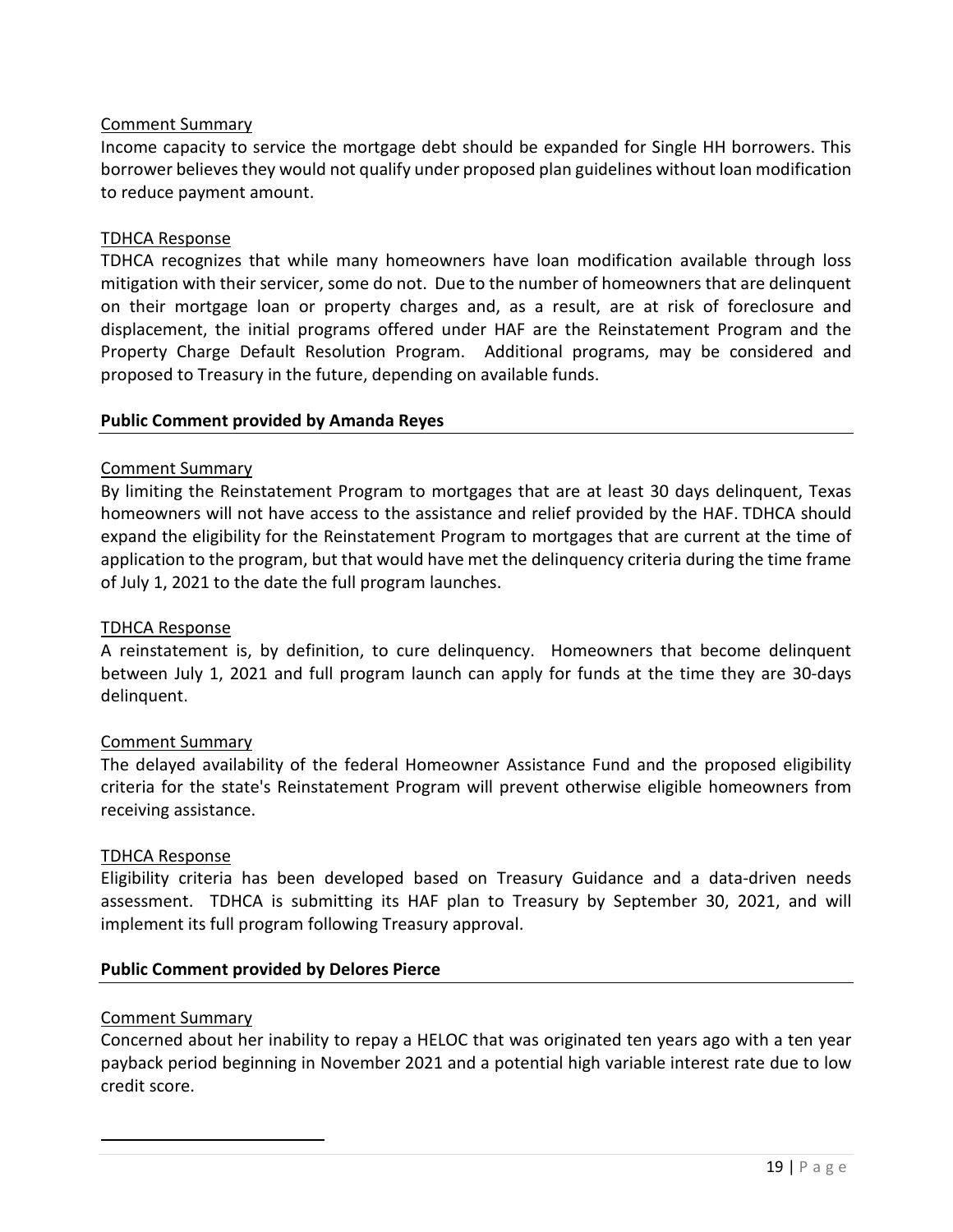Income capacity to service the mortgage debt should be expanded for Single HH borrowers. This borrower believes they would not qualify under proposed plan guidelines without loan modification to reduce payment amount.

#### TDHCA Response

TDHCA recognizes that while many homeowners have loan modification available through loss mitigation with their servicer, some do not. Due to the number of homeowners that are delinquent on their mortgage loan or property charges and, as a result, are at risk of foreclosure and displacement, the initial programs offered under HAF are the Reinstatement Program and the Property Charge Default Resolution Program. Additional programs, may be considered and proposed to Treasury in the future, depending on available funds.

#### **Public Comment provided by Amanda Reyes**

#### Comment Summary

By limiting the Reinstatement Program to mortgages that are at least 30 days delinquent, Texas homeowners will not have access to the assistance and relief provided by the HAF. TDHCA should expand the eligibility for the Reinstatement Program to mortgages that are current at the time of application to the program, but that would have met the delinquency criteria during the time frame of July 1, 2021 to the date the full program launches.

#### TDHCA Response

A reinstatement is, by definition, to cure delinquency. Homeowners that become delinquent between July 1, 2021 and full program launch can apply for funds at the time they are 30-days delinquent.

#### Comment Summary

The delayed availability of the federal Homeowner Assistance Fund and the proposed eligibility criteria for the state's Reinstatement Program will prevent otherwise eligible homeowners from receiving assistance.

#### TDHCA Response

Eligibility criteria has been developed based on Treasury Guidance and a data-driven needs assessment. TDHCA is submitting its HAF plan to Treasury by September 30, 2021, and will implement its full program following Treasury approval.

#### **Public Comment provided by Delores Pierce**

#### Comment Summary

Concerned about her inability to repay a HELOC that was originated ten years ago with a ten year payback period beginning in November 2021 and a potential high variable interest rate due to low credit score.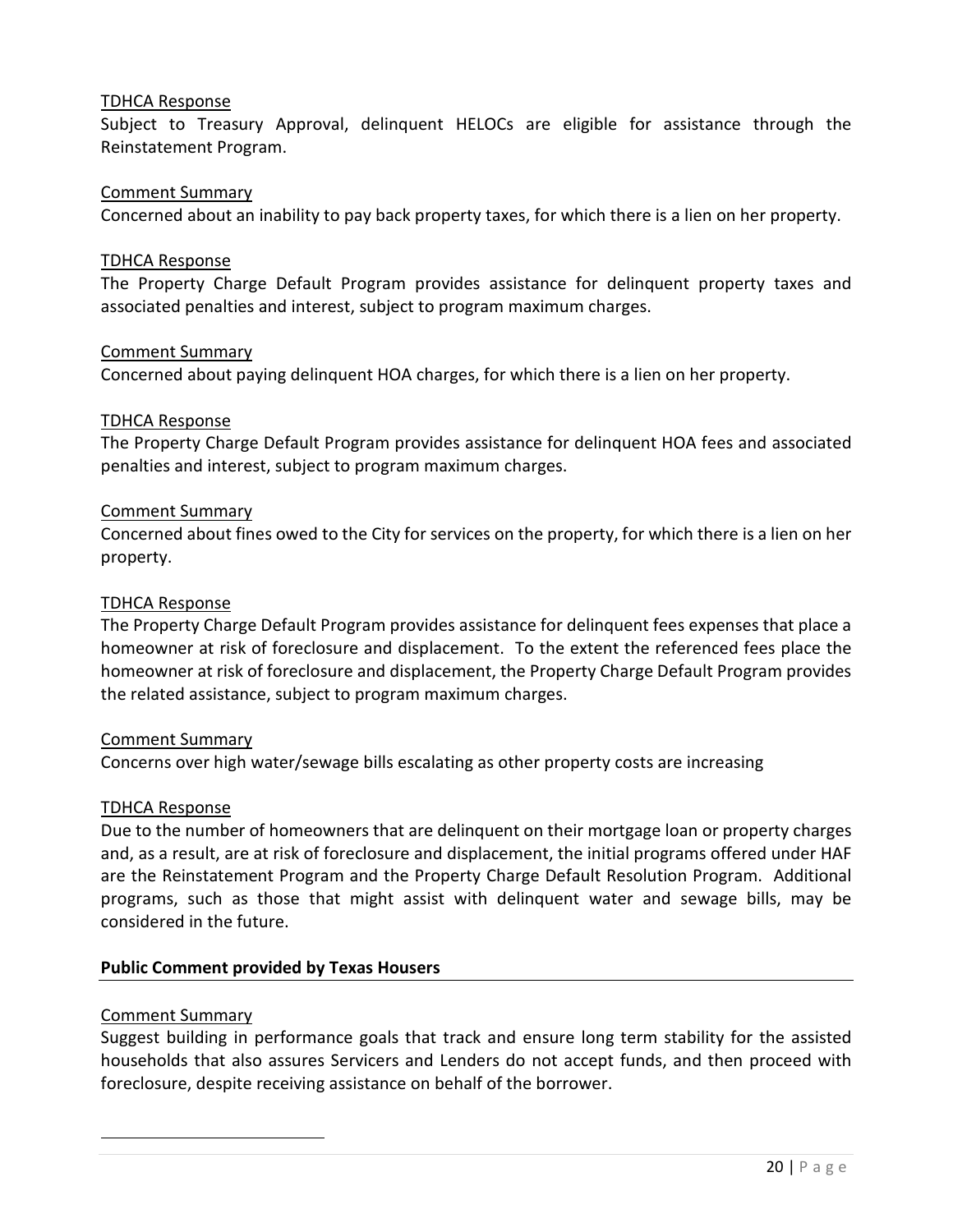Subject to Treasury Approval, delinquent HELOCs are eligible for assistance through the Reinstatement Program.

#### Comment Summary

Concerned about an inability to pay back property taxes, for which there is a lien on her property.

#### TDHCA Response

The Property Charge Default Program provides assistance for delinquent property taxes and associated penalties and interest, subject to program maximum charges.

#### Comment Summary

Concerned about paying delinquent HOA charges, for which there is a lien on her property.

#### TDHCA Response

The Property Charge Default Program provides assistance for delinquent HOA fees and associated penalties and interest, subject to program maximum charges.

#### Comment Summary

Concerned about fines owed to the City for services on the property, for which there is a lien on her property.

#### TDHCA Response

The Property Charge Default Program provides assistance for delinquent fees expenses that place a homeowner at risk of foreclosure and displacement. To the extent the referenced fees place the homeowner at risk of foreclosure and displacement, the Property Charge Default Program provides the related assistance, subject to program maximum charges.

#### Comment Summary

Concerns over high water/sewage bills escalating as other property costs are increasing

#### TDHCA Response

Due to the number of homeowners that are delinquent on their mortgage loan or property charges and, as a result, are at risk of foreclosure and displacement, the initial programs offered under HAF are the Reinstatement Program and the Property Charge Default Resolution Program. Additional programs, such as those that might assist with delinquent water and sewage bills, may be considered in the future.

#### **Public Comment provided by Texas Housers**

#### Comment Summary

Suggest building in performance goals that track and ensure long term stability for the assisted households that also assures Servicers and Lenders do not accept funds, and then proceed with foreclosure, despite receiving assistance on behalf of the borrower.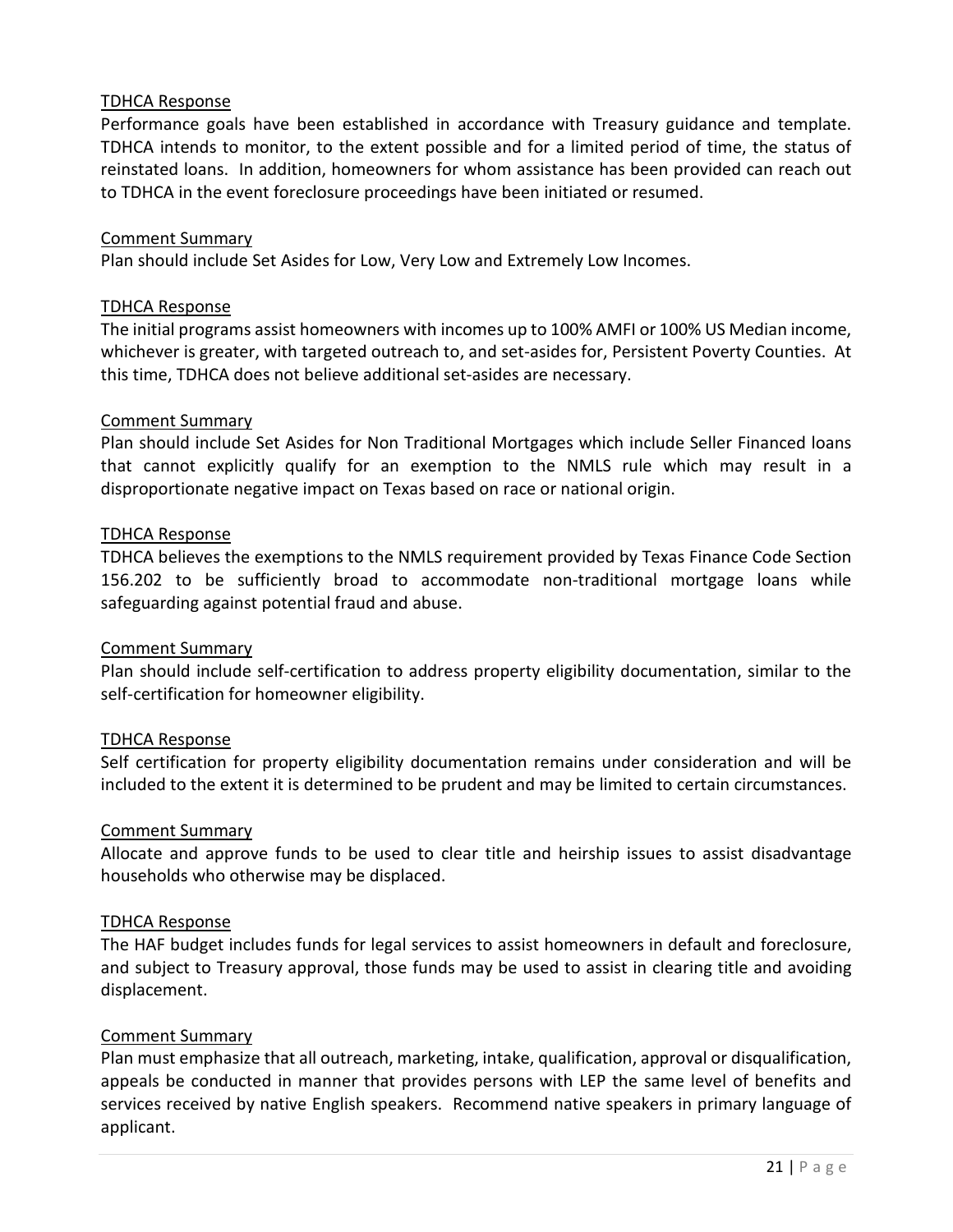Performance goals have been established in accordance with Treasury guidance and template. TDHCA intends to monitor, to the extent possible and for a limited period of time, the status of reinstated loans. In addition, homeowners for whom assistance has been provided can reach out to TDHCA in the event foreclosure proceedings have been initiated or resumed.

#### Comment Summary

Plan should include Set Asides for Low, Very Low and Extremely Low Incomes.

#### TDHCA Response

The initial programs assist homeowners with incomes up to 100% AMFI or 100% US Median income, whichever is greater, with targeted outreach to, and set-asides for, Persistent Poverty Counties. At this time, TDHCA does not believe additional set-asides are necessary.

#### Comment Summary

Plan should include Set Asides for Non Traditional Mortgages which include Seller Financed loans that cannot explicitly qualify for an exemption to the NMLS rule which may result in a disproportionate negative impact on Texas based on race or national origin.

#### TDHCA Response

TDHCA believes the exemptions to the NMLS requirement provided by Texas Finance Code Section 156.202 to be sufficiently broad to accommodate non-traditional mortgage loans while safeguarding against potential fraud and abuse.

#### Comment Summary

Plan should include self-certification to address property eligibility documentation, similar to the self-certification for homeowner eligibility.

#### TDHCA Response

Self certification for property eligibility documentation remains under consideration and will be included to the extent it is determined to be prudent and may be limited to certain circumstances.

#### Comment Summary

Allocate and approve funds to be used to clear title and heirship issues to assist disadvantage households who otherwise may be displaced.

#### TDHCA Response

The HAF budget includes funds for legal services to assist homeowners in default and foreclosure, and subject to Treasury approval, those funds may be used to assist in clearing title and avoiding displacement.

#### Comment Summary

Plan must emphasize that all outreach, marketing, intake, qualification, approval or disqualification, appeals be conducted in manner that provides persons with LEP the same level of benefits and services received by native English speakers. Recommend native speakers in primary language of applicant.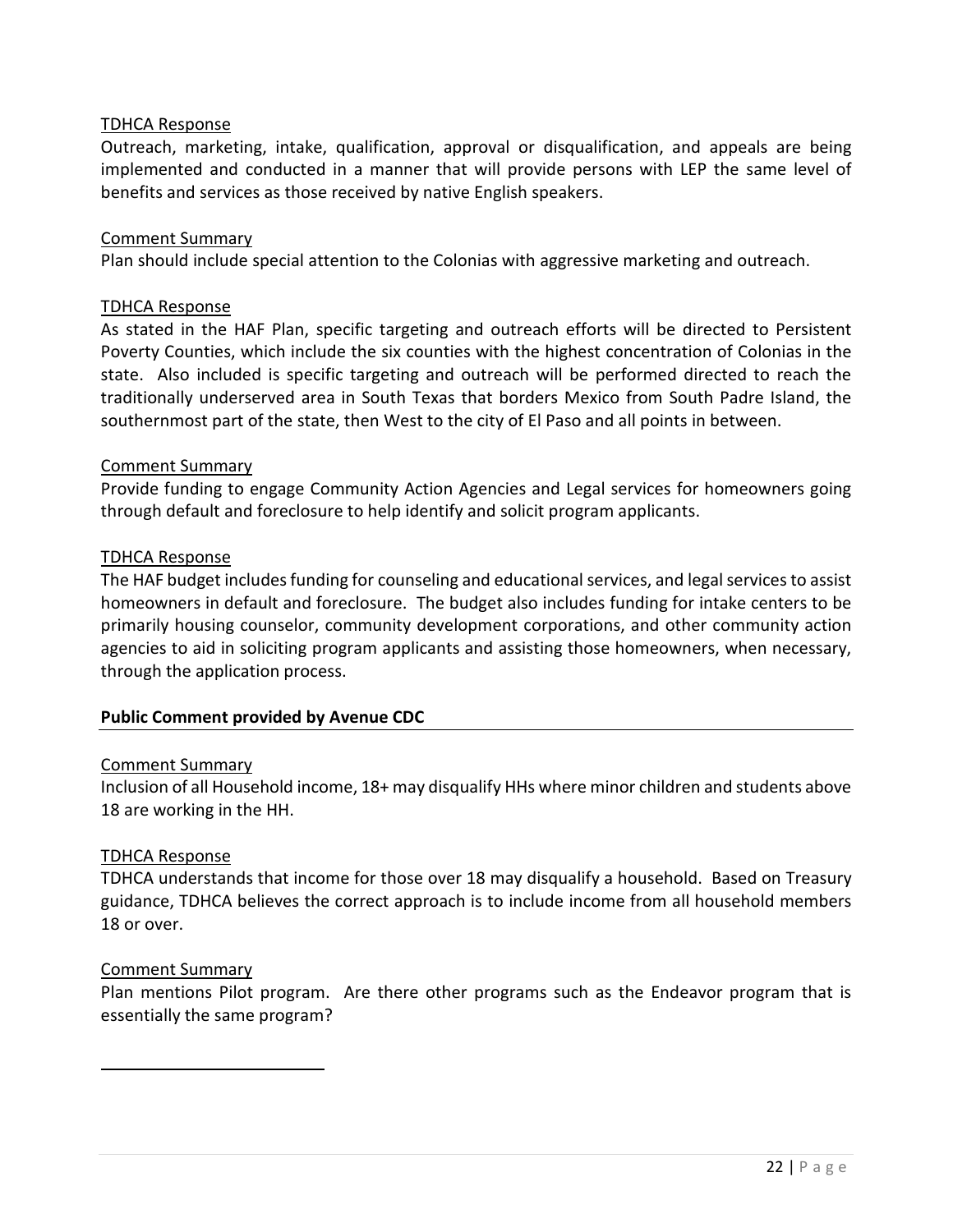Outreach, marketing, intake, qualification, approval or disqualification, and appeals are being implemented and conducted in a manner that will provide persons with LEP the same level of benefits and services as those received by native English speakers.

#### Comment Summary

Plan should include special attention to the Colonias with aggressive marketing and outreach.

#### TDHCA Response

As stated in the HAF Plan, specific targeting and outreach efforts will be directed to Persistent Poverty Counties, which include the six counties with the highest concentration of Colonias in the state. Also included is specific targeting and outreach will be performed directed to reach the traditionally underserved area in South Texas that borders Mexico from South Padre Island, the southernmost part of the state, then West to the city of El Paso and all points in between.

#### Comment Summary

Provide funding to engage Community Action Agencies and Legal services for homeowners going through default and foreclosure to help identify and solicit program applicants.

#### TDHCA Response

The HAF budget includes funding for counseling and educational services, and legal services to assist homeowners in default and foreclosure. The budget also includes funding for intake centers to be primarily housing counselor, community development corporations, and other community action agencies to aid in soliciting program applicants and assisting those homeowners, when necessary, through the application process.

#### **Public Comment provided by Avenue CDC**

#### Comment Summary

Inclusion of all Household income, 18+ may disqualify HHs where minor children and students above 18 are working in the HH.

#### TDHCA Response

TDHCA understands that income for those over 18 may disqualify a household. Based on Treasury guidance, TDHCA believes the correct approach is to include income from all household members 18 or over.

#### Comment Summary

Plan mentions Pilot program. Are there other programs such as the Endeavor program that is essentially the same program?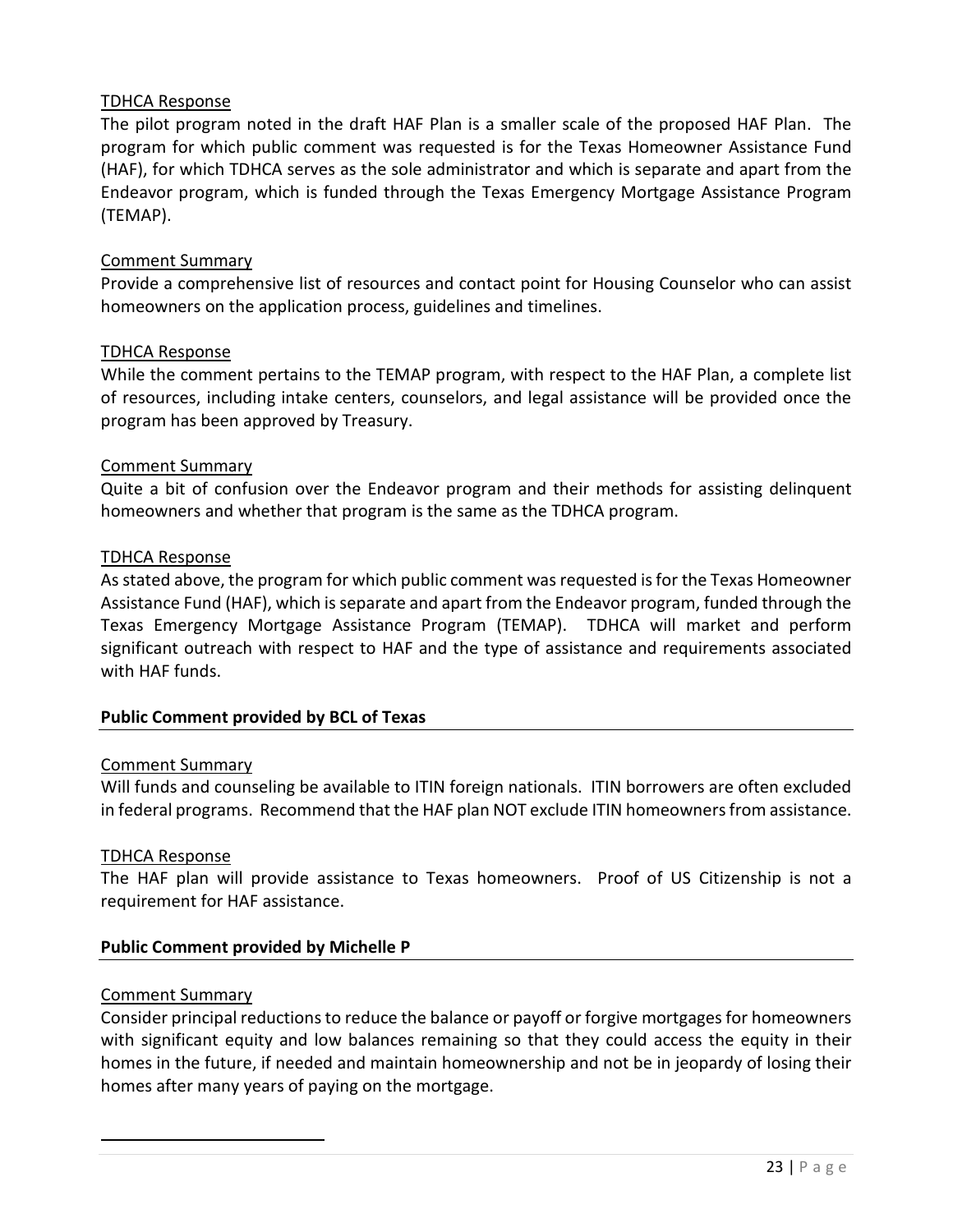The pilot program noted in the draft HAF Plan is a smaller scale of the proposed HAF Plan. The program for which public comment was requested is for the Texas Homeowner Assistance Fund (HAF), for which TDHCA serves as the sole administrator and which is separate and apart from the Endeavor program, which is funded through the Texas Emergency Mortgage Assistance Program (TEMAP).

#### Comment Summary

Provide a comprehensive list of resources and contact point for Housing Counselor who can assist homeowners on the application process, guidelines and timelines.

#### TDHCA Response

While the comment pertains to the TEMAP program, with respect to the HAF Plan, a complete list of resources, including intake centers, counselors, and legal assistance will be provided once the program has been approved by Treasury.

#### Comment Summary

Quite a bit of confusion over the Endeavor program and their methods for assisting delinquent homeowners and whether that program is the same as the TDHCA program.

#### TDHCA Response

As stated above, the program for which public comment was requested is for the Texas Homeowner Assistance Fund (HAF), which is separate and apart from the Endeavor program, funded through the Texas Emergency Mortgage Assistance Program (TEMAP). TDHCA will market and perform significant outreach with respect to HAF and the type of assistance and requirements associated with HAF funds.

#### **Public Comment provided by BCL of Texas**

#### Comment Summary

Will funds and counseling be available to ITIN foreign nationals. ITIN borrowers are often excluded in federal programs. Recommend that the HAF plan NOT exclude ITIN homeowners from assistance.

#### TDHCA Response

The HAF plan will provide assistance to Texas homeowners. Proof of US Citizenship is not a requirement for HAF assistance.

# **Public Comment provided by Michelle P**

#### Comment Summary

Consider principal reductions to reduce the balance or payoff or forgive mortgages for homeowners with significant equity and low balances remaining so that they could access the equity in their homes in the future, if needed and maintain homeownership and not be in jeopardy of losing their homes after many years of paying on the mortgage.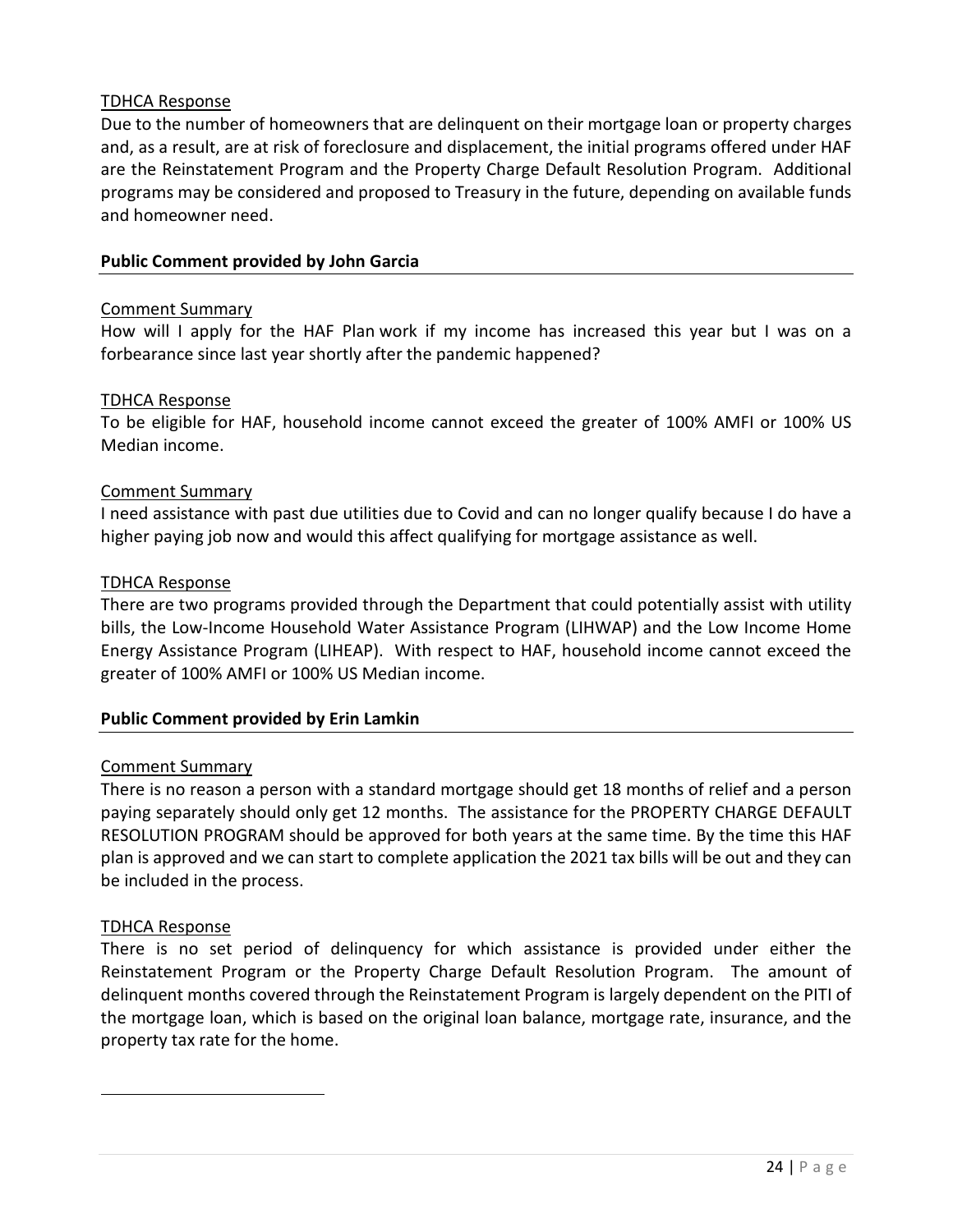Due to the number of homeowners that are delinquent on their mortgage loan or property charges and, as a result, are at risk of foreclosure and displacement, the initial programs offered under HAF are the Reinstatement Program and the Property Charge Default Resolution Program. Additional programs may be considered and proposed to Treasury in the future, depending on available funds and homeowner need.

# **Public Comment provided by John Garcia**

#### Comment Summary

How will I apply for the HAF Plan work if my income has increased this year but I was on a forbearance since last year shortly after the pandemic happened?

#### TDHCA Response

To be eligible for HAF, household income cannot exceed the greater of 100% AMFI or 100% US Median income.

# Comment Summary

I need assistance with past due utilities due to Covid and can no longer qualify because I do have a higher paying job now and would this affect qualifying for mortgage assistance as well.

#### TDHCA Response

There are two programs provided through the Department that could potentially assist with utility bills, the Low-Income Household Water Assistance Program (LIHWAP) and the Low Income Home Energy Assistance Program (LIHEAP). With respect to HAF, household income cannot exceed the greater of 100% AMFI or 100% US Median income.

# **Public Comment provided by Erin Lamkin**

#### Comment Summary

There is no reason a person with a standard mortgage should get 18 months of relief and a person paying separately should only get 12 months. The assistance for the PROPERTY CHARGE DEFAULT RESOLUTION PROGRAM should be approved for both years at the same time. By the time this HAF plan is approved and we can start to complete application the 2021 tax bills will be out and they can be included in the process.

#### TDHCA Response

There is no set period of delinquency for which assistance is provided under either the Reinstatement Program or the Property Charge Default Resolution Program. The amount of delinquent months covered through the Reinstatement Program is largely dependent on the PITI of the mortgage loan, which is based on the original loan balance, mortgage rate, insurance, and the property tax rate for the home.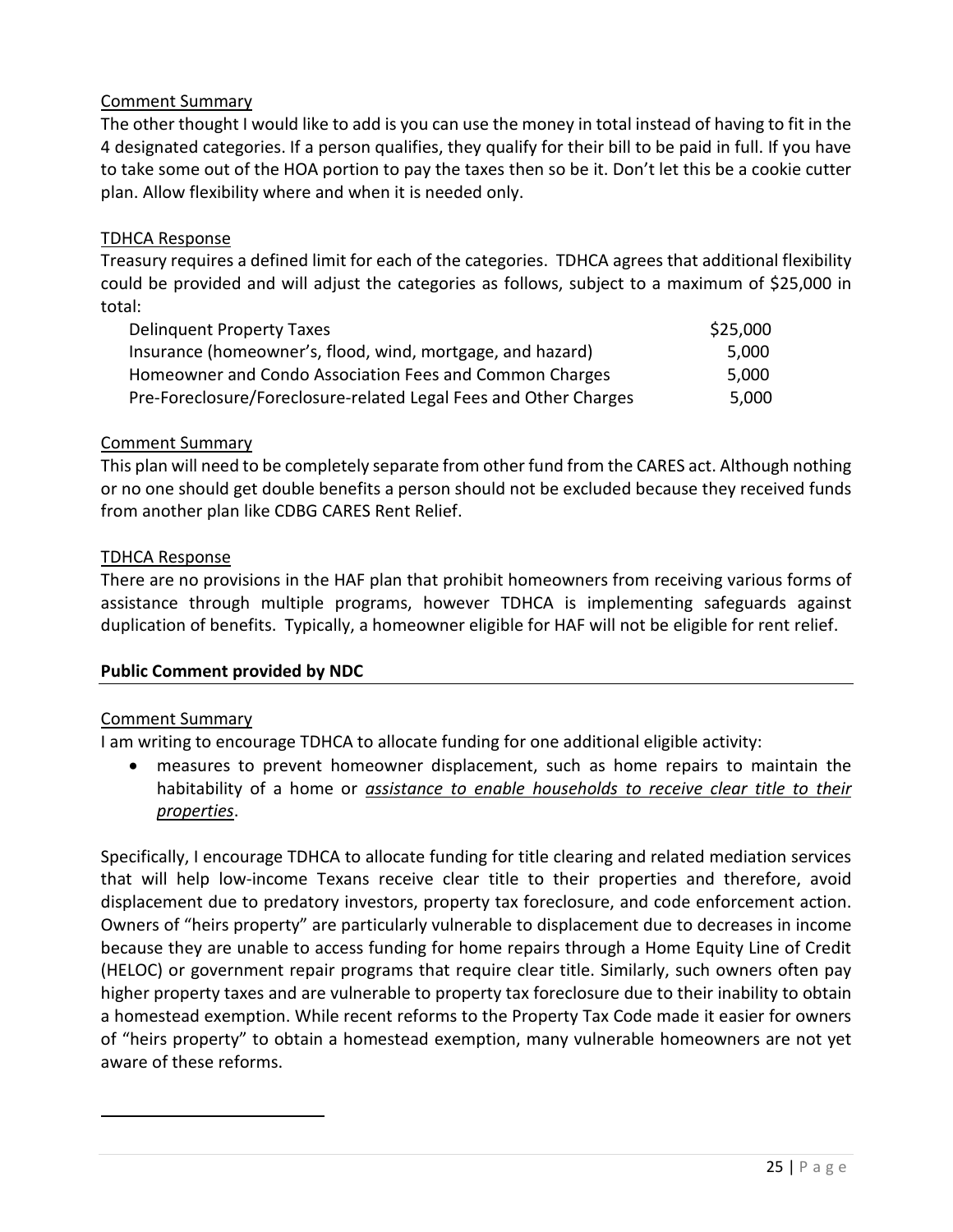The other thought I would like to add is you can use the money in total instead of having to fit in the 4 designated categories. If a person qualifies, they qualify for their bill to be paid in full. If you have to take some out of the HOA portion to pay the taxes then so be it. Don't let this be a cookie cutter plan. Allow flexibility where and when it is needed only.

#### TDHCA Response

Treasury requires a defined limit for each of the categories. TDHCA agrees that additional flexibility could be provided and will adjust the categories as follows, subject to a maximum of \$25,000 in total:

| <b>Delinguent Property Taxes</b>                                 | \$25,000 |
|------------------------------------------------------------------|----------|
| Insurance (homeowner's, flood, wind, mortgage, and hazard)       | 5.000    |
| Homeowner and Condo Association Fees and Common Charges          | 5,000    |
| Pre-Foreclosure/Foreclosure-related Legal Fees and Other Charges | 5.000    |

#### Comment Summary

This plan will need to be completely separate from other fund from the CARES act. Although nothing or no one should get double benefits a person should not be excluded because they received funds from another plan like CDBG CARES Rent Relief.

#### TDHCA Response

There are no provisions in the HAF plan that prohibit homeowners from receiving various forms of assistance through multiple programs, however TDHCA is implementing safeguards against duplication of benefits. Typically, a homeowner eligible for HAF will not be eligible for rent relief.

#### **Public Comment provided by NDC**

#### Comment Summary

I am writing to encourage TDHCA to allocate funding for one additional eligible activity:

• measures to prevent homeowner displacement, such as home repairs to maintain the habitability of a home or *assistance to enable households to receive clear title to their properties*.

Specifically, I encourage TDHCA to allocate funding for title clearing and related mediation services that will help low-income Texans receive clear title to their properties and therefore, avoid displacement due to predatory investors, property tax foreclosure, and code enforcement action. Owners of "heirs property" are particularly vulnerable to displacement due to decreases in income because they are unable to access funding for home repairs through a Home Equity Line of Credit (HELOC) or government repair programs that require clear title. Similarly, such owners often pay higher property taxes and are vulnerable to property tax foreclosure due to their inability to obtain a homestead exemption. While recent reforms to the Property Tax Code made it easier for owners of "heirs property" to obtain a homestead exemption, many vulnerable homeowners are not yet aware of these reforms.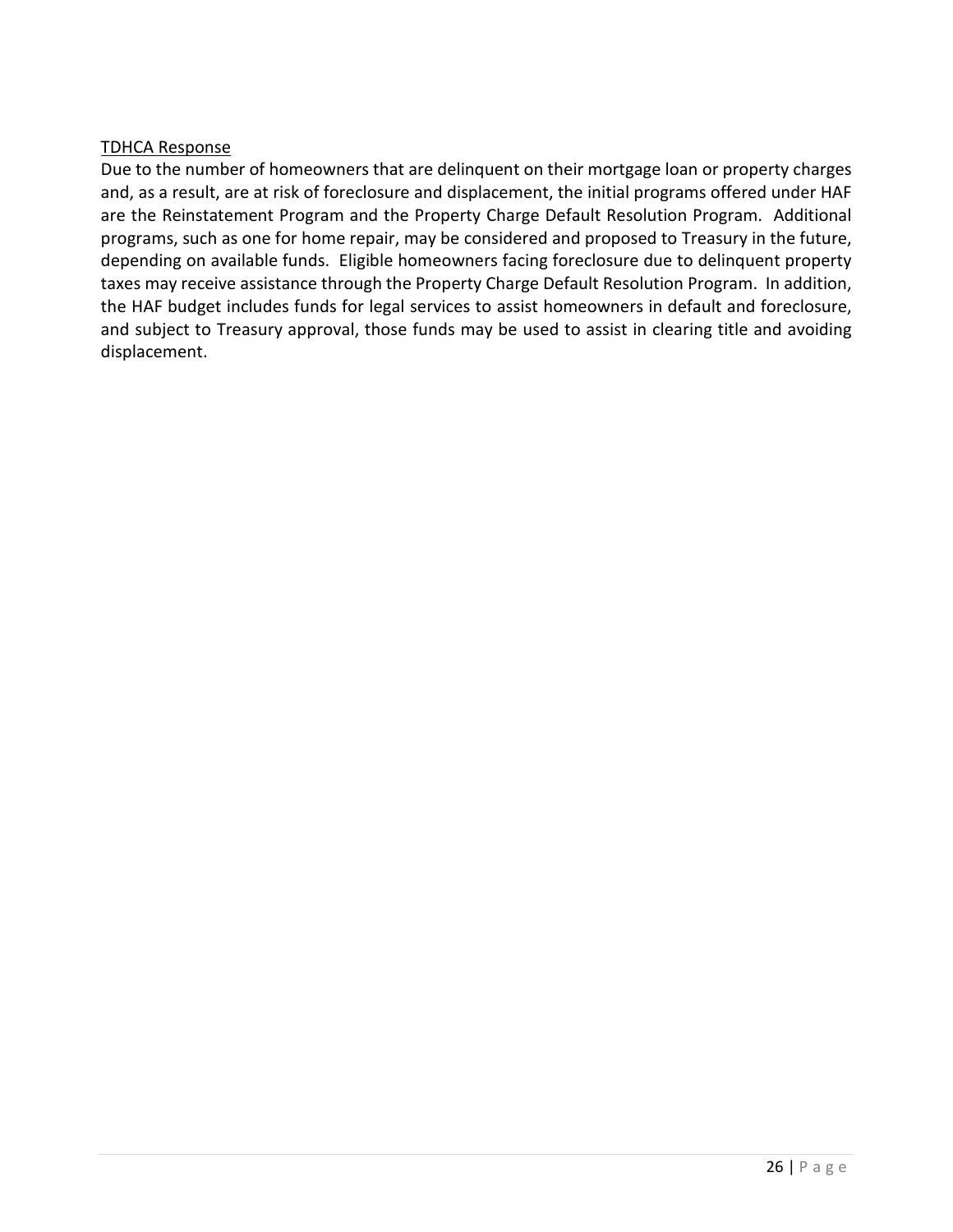Due to the number of homeowners that are delinquent on their mortgage loan or property charges and, as a result, are at risk of foreclosure and displacement, the initial programs offered under HAF are the Reinstatement Program and the Property Charge Default Resolution Program. Additional programs, such as one for home repair, may be considered and proposed to Treasury in the future, depending on available funds. Eligible homeowners facing foreclosure due to delinquent property taxes may receive assistance through the Property Charge Default Resolution Program. In addition, the HAF budget includes funds for legal services to assist homeowners in default and foreclosure, and subject to Treasury approval, those funds may be used to assist in clearing title and avoiding displacement.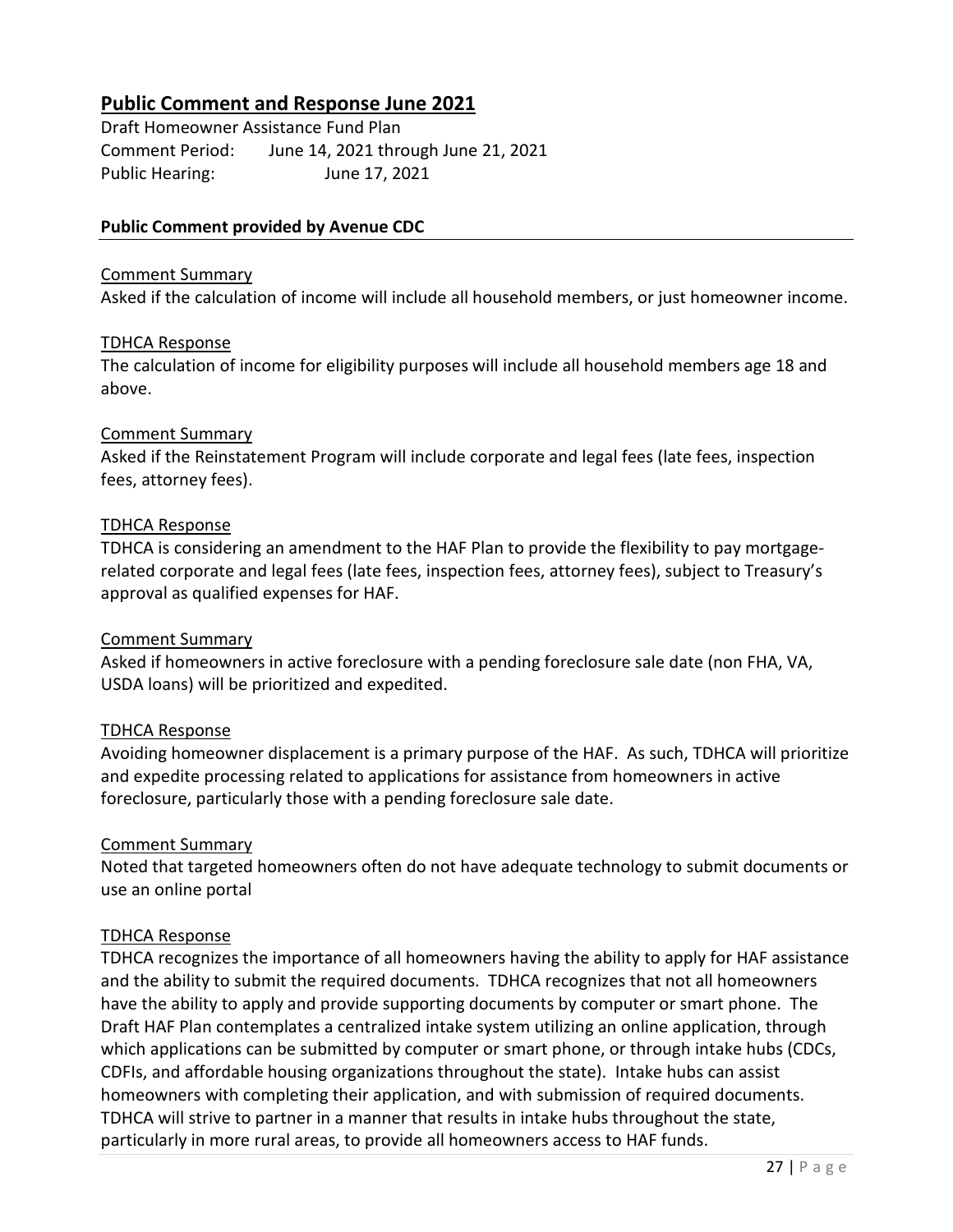# **Public Comment and Response June 2021**

Draft Homeowner Assistance Fund Plan Comment Period: June 14, 2021 through June 21, 2021 Public Hearing: June 17, 2021

#### **Public Comment provided by Avenue CDC**

#### Comment Summary

Asked if the calculation of income will include all household members, or just homeowner income.

#### TDHCA Response

The calculation of income for eligibility purposes will include all household members age 18 and above.

#### Comment Summary

Asked if the Reinstatement Program will include corporate and legal fees (late fees, inspection fees, attorney fees).

#### TDHCA Response

TDHCA is considering an amendment to the HAF Plan to provide the flexibility to pay mortgagerelated corporate and legal fees (late fees, inspection fees, attorney fees), subject to Treasury's approval as qualified expenses for HAF.

#### Comment Summary

Asked if homeowners in active foreclosure with a pending foreclosure sale date (non FHA, VA, USDA loans) will be prioritized and expedited.

#### TDHCA Response

Avoiding homeowner displacement is a primary purpose of the HAF. As such, TDHCA will prioritize and expedite processing related to applications for assistance from homeowners in active foreclosure, particularly those with a pending foreclosure sale date.

#### Comment Summary

Noted that targeted homeowners often do not have adequate technology to submit documents or use an online portal

#### TDHCA Response

TDHCA recognizes the importance of all homeowners having the ability to apply for HAF assistance and the ability to submit the required documents. TDHCA recognizes that not all homeowners have the ability to apply and provide supporting documents by computer or smart phone. The Draft HAF Plan contemplates a centralized intake system utilizing an online application, through which applications can be submitted by computer or smart phone, or through intake hubs (CDCs, CDFIs, and affordable housing organizations throughout the state). Intake hubs can assist homeowners with completing their application, and with submission of required documents. TDHCA will strive to partner in a manner that results in intake hubs throughout the state, particularly in more rural areas, to provide all homeowners access to HAF funds.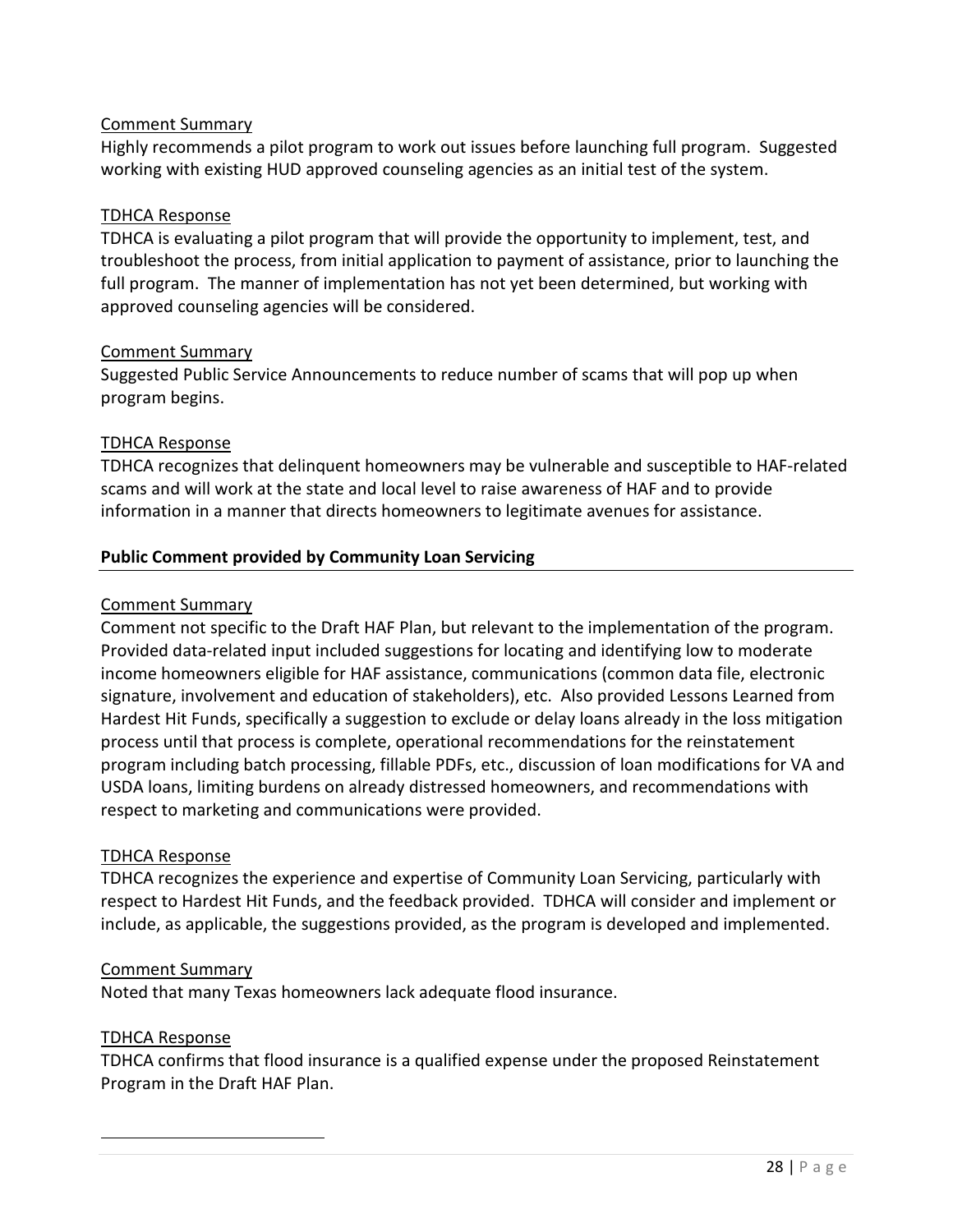Highly recommends a pilot program to work out issues before launching full program. Suggested working with existing HUD approved counseling agencies as an initial test of the system.

#### TDHCA Response

TDHCA is evaluating a pilot program that will provide the opportunity to implement, test, and troubleshoot the process, from initial application to payment of assistance, prior to launching the full program. The manner of implementation has not yet been determined, but working with approved counseling agencies will be considered.

# Comment Summary

Suggested Public Service Announcements to reduce number of scams that will pop up when program begins.

# TDHCA Response

TDHCA recognizes that delinquent homeowners may be vulnerable and susceptible to HAF-related scams and will work at the state and local level to raise awareness of HAF and to provide information in a manner that directs homeowners to legitimate avenues for assistance.

# **Public Comment provided by Community Loan Servicing**

#### Comment Summary

Comment not specific to the Draft HAF Plan, but relevant to the implementation of the program. Provided data-related input included suggestions for locating and identifying low to moderate income homeowners eligible for HAF assistance, communications (common data file, electronic signature, involvement and education of stakeholders), etc. Also provided Lessons Learned from Hardest Hit Funds, specifically a suggestion to exclude or delay loans already in the loss mitigation process until that process is complete, operational recommendations for the reinstatement program including batch processing, fillable PDFs, etc., discussion of loan modifications for VA and USDA loans, limiting burdens on already distressed homeowners, and recommendations with respect to marketing and communications were provided.

#### TDHCA Response

TDHCA recognizes the experience and expertise of Community Loan Servicing, particularly with respect to Hardest Hit Funds, and the feedback provided. TDHCA will consider and implement or include, as applicable, the suggestions provided, as the program is developed and implemented.

#### Comment Summary

Noted that many Texas homeowners lack adequate flood insurance.

#### TDHCA Response

TDHCA confirms that flood insurance is a qualified expense under the proposed Reinstatement Program in the Draft HAF Plan.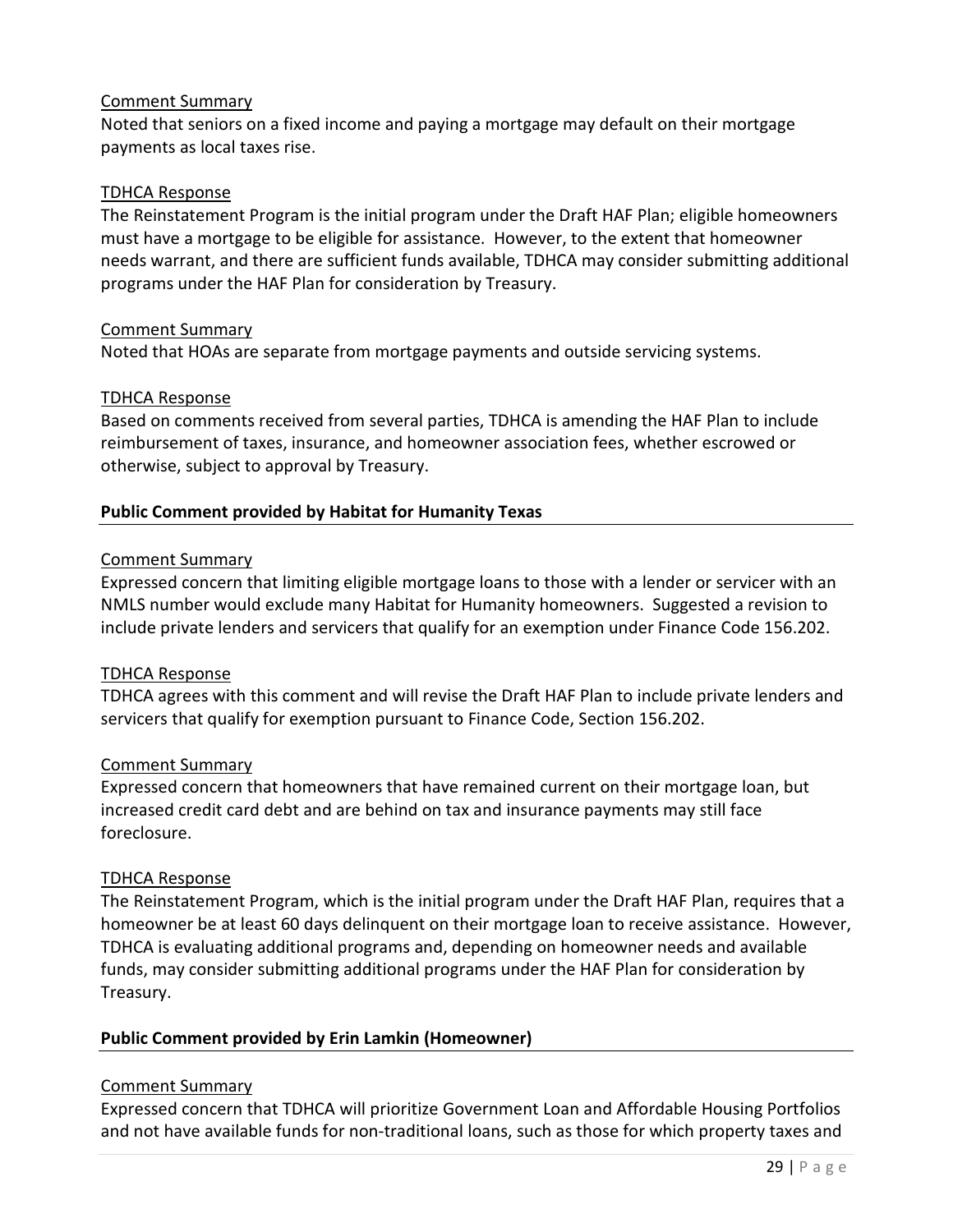Noted that seniors on a fixed income and paying a mortgage may default on their mortgage payments as local taxes rise.

#### TDHCA Response

The Reinstatement Program is the initial program under the Draft HAF Plan; eligible homeowners must have a mortgage to be eligible for assistance. However, to the extent that homeowner needs warrant, and there are sufficient funds available, TDHCA may consider submitting additional programs under the HAF Plan for consideration by Treasury.

#### Comment Summary

Noted that HOAs are separate from mortgage payments and outside servicing systems.

#### TDHCA Response

Based on comments received from several parties, TDHCA is amending the HAF Plan to include reimbursement of taxes, insurance, and homeowner association fees, whether escrowed or otherwise, subject to approval by Treasury.

#### **Public Comment provided by Habitat for Humanity Texas**

#### Comment Summary

Expressed concern that limiting eligible mortgage loans to those with a lender or servicer with an NMLS number would exclude many Habitat for Humanity homeowners. Suggested a revision to include private lenders and servicers that qualify for an exemption under Finance Code 156.202.

#### TDHCA Response

TDHCA agrees with this comment and will revise the Draft HAF Plan to include private lenders and servicers that qualify for exemption pursuant to Finance Code, Section 156.202.

#### Comment Summary

Expressed concern that homeowners that have remained current on their mortgage loan, but increased credit card debt and are behind on tax and insurance payments may still face foreclosure.

#### TDHCA Response

The Reinstatement Program, which is the initial program under the Draft HAF Plan, requires that a homeowner be at least 60 days delinquent on their mortgage loan to receive assistance. However, TDHCA is evaluating additional programs and, depending on homeowner needs and available funds, may consider submitting additional programs under the HAF Plan for consideration by Treasury.

#### **Public Comment provided by Erin Lamkin (Homeowner)**

#### Comment Summary

Expressed concern that TDHCA will prioritize Government Loan and Affordable Housing Portfolios and not have available funds for non-traditional loans, such as those for which property taxes and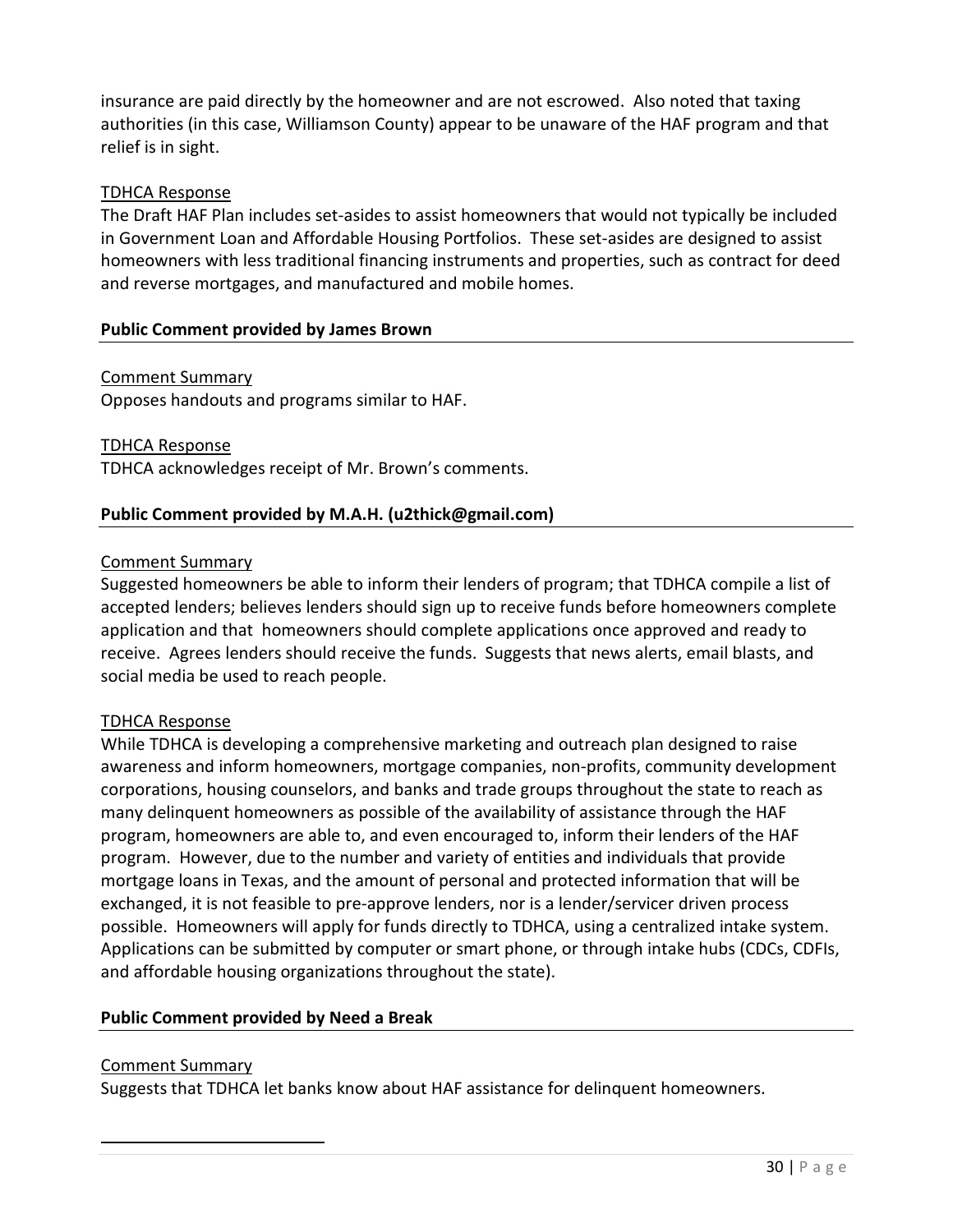insurance are paid directly by the homeowner and are not escrowed. Also noted that taxing authorities (in this case, Williamson County) appear to be unaware of the HAF program and that relief is in sight.

# TDHCA Response

The Draft HAF Plan includes set-asides to assist homeowners that would not typically be included in Government Loan and Affordable Housing Portfolios. These set-asides are designed to assist homeowners with less traditional financing instruments and properties, such as contract for deed and reverse mortgages, and manufactured and mobile homes.

# **Public Comment provided by James Brown**

# Comment Summary

Opposes handouts and programs similar to HAF.

#### TDHCA Response

TDHCA acknowledges receipt of Mr. Brown's comments.

# **Public Comment provided by M.A.H. [\(u2thick@gmail.com\)](mailto:u2thick@gmail.com)**

#### Comment Summary

Suggested homeowners be able to inform their lenders of program; that TDHCA compile a list of accepted lenders; believes lenders should sign up to receive funds before homeowners complete application and that homeowners should complete applications once approved and ready to receive. Agrees lenders should receive the funds. Suggests that news alerts, email blasts, and social media be used to reach people.

#### TDHCA Response

While TDHCA is developing a comprehensive marketing and outreach plan designed to raise awareness and inform homeowners, mortgage companies, non-profits, community development corporations, housing counselors, and banks and trade groups throughout the state to reach as many delinquent homeowners as possible of the availability of assistance through the HAF program, homeowners are able to, and even encouraged to, inform their lenders of the HAF program. However, due to the number and variety of entities and individuals that provide mortgage loans in Texas, and the amount of personal and protected information that will be exchanged, it is not feasible to pre-approve lenders, nor is a lender/servicer driven process possible. Homeowners will apply for funds directly to TDHCA, using a centralized intake system. Applications can be submitted by computer or smart phone, or through intake hubs (CDCs, CDFIs, and affordable housing organizations throughout the state).

#### **Public Comment provided by Need a Break**

#### Comment Summary

Suggests that TDHCA let banks know about HAF assistance for delinquent homeowners.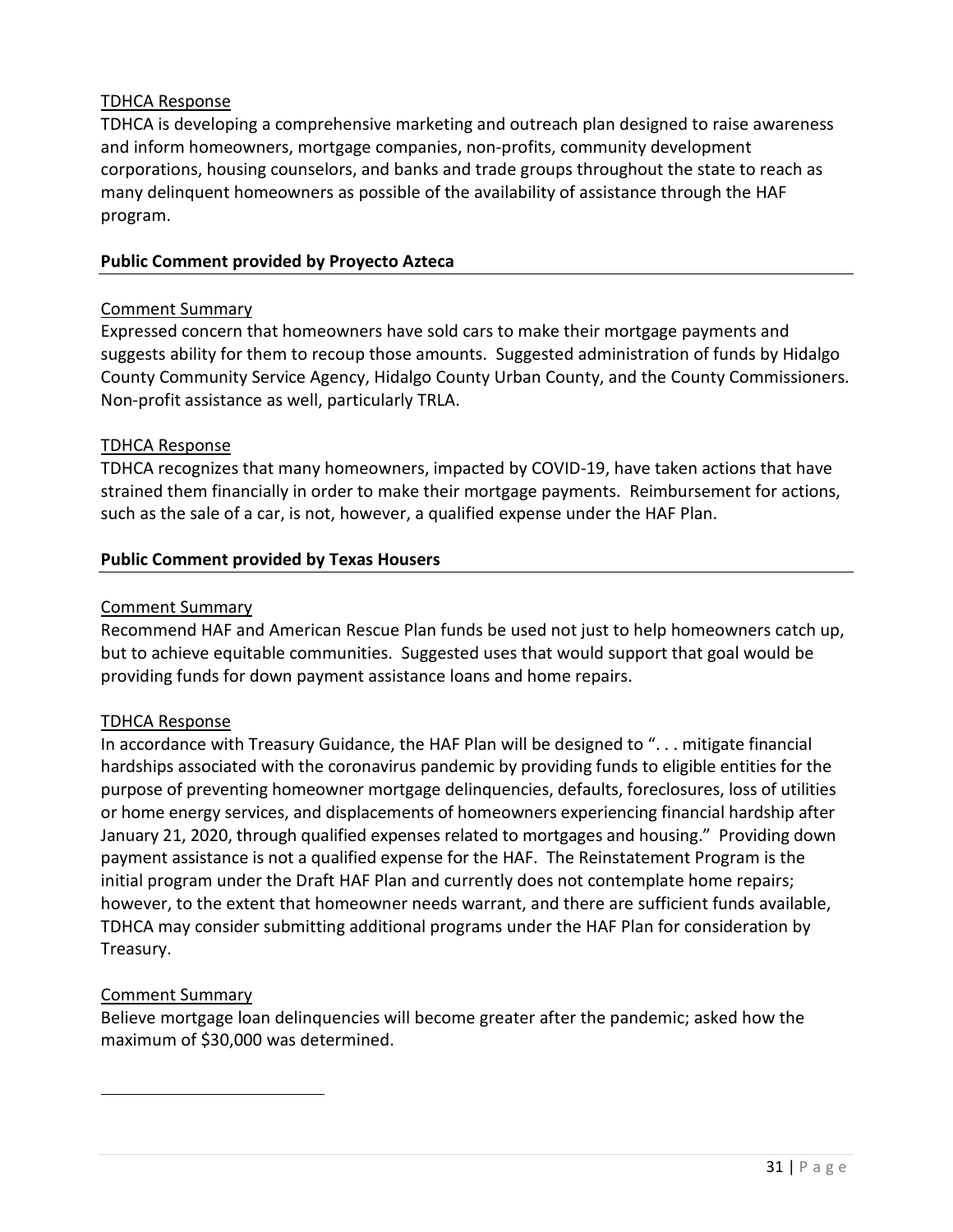TDHCA is developing a comprehensive marketing and outreach plan designed to raise awareness and inform homeowners, mortgage companies, non-profits, community development corporations, housing counselors, and banks and trade groups throughout the state to reach as many delinquent homeowners as possible of the availability of assistance through the HAF program.

#### **Public Comment provided by Proyecto Azteca**

#### Comment Summary

Expressed concern that homeowners have sold cars to make their mortgage payments and suggests ability for them to recoup those amounts. Suggested administration of funds by Hidalgo County Community Service Agency, Hidalgo County Urban County, and the County Commissioners. Non-profit assistance as well, particularly TRLA.

#### TDHCA Response

TDHCA recognizes that many homeowners, impacted by COVID-19, have taken actions that have strained them financially in order to make their mortgage payments. Reimbursement for actions, such as the sale of a car, is not, however, a qualified expense under the HAF Plan.

# **Public Comment provided by Texas Housers**

#### Comment Summary

Recommend HAF and American Rescue Plan funds be used not just to help homeowners catch up, but to achieve equitable communities. Suggested uses that would support that goal would be providing funds for down payment assistance loans and home repairs.

#### TDHCA Response

In accordance with Treasury Guidance, the HAF Plan will be designed to ". . . mitigate financial hardships associated with the coronavirus pandemic by providing funds to eligible entities for the purpose of preventing homeowner mortgage delinquencies, defaults, foreclosures, loss of utilities or home energy services, and displacements of homeowners experiencing financial hardship after January 21, 2020, through qualified expenses related to mortgages and housing." Providing down payment assistance is not a qualified expense for the HAF. The Reinstatement Program is the initial program under the Draft HAF Plan and currently does not contemplate home repairs; however, to the extent that homeowner needs warrant, and there are sufficient funds available, TDHCA may consider submitting additional programs under the HAF Plan for consideration by Treasury.

#### Comment Summary

Believe mortgage loan delinquencies will become greater after the pandemic; asked how the maximum of \$30,000 was determined.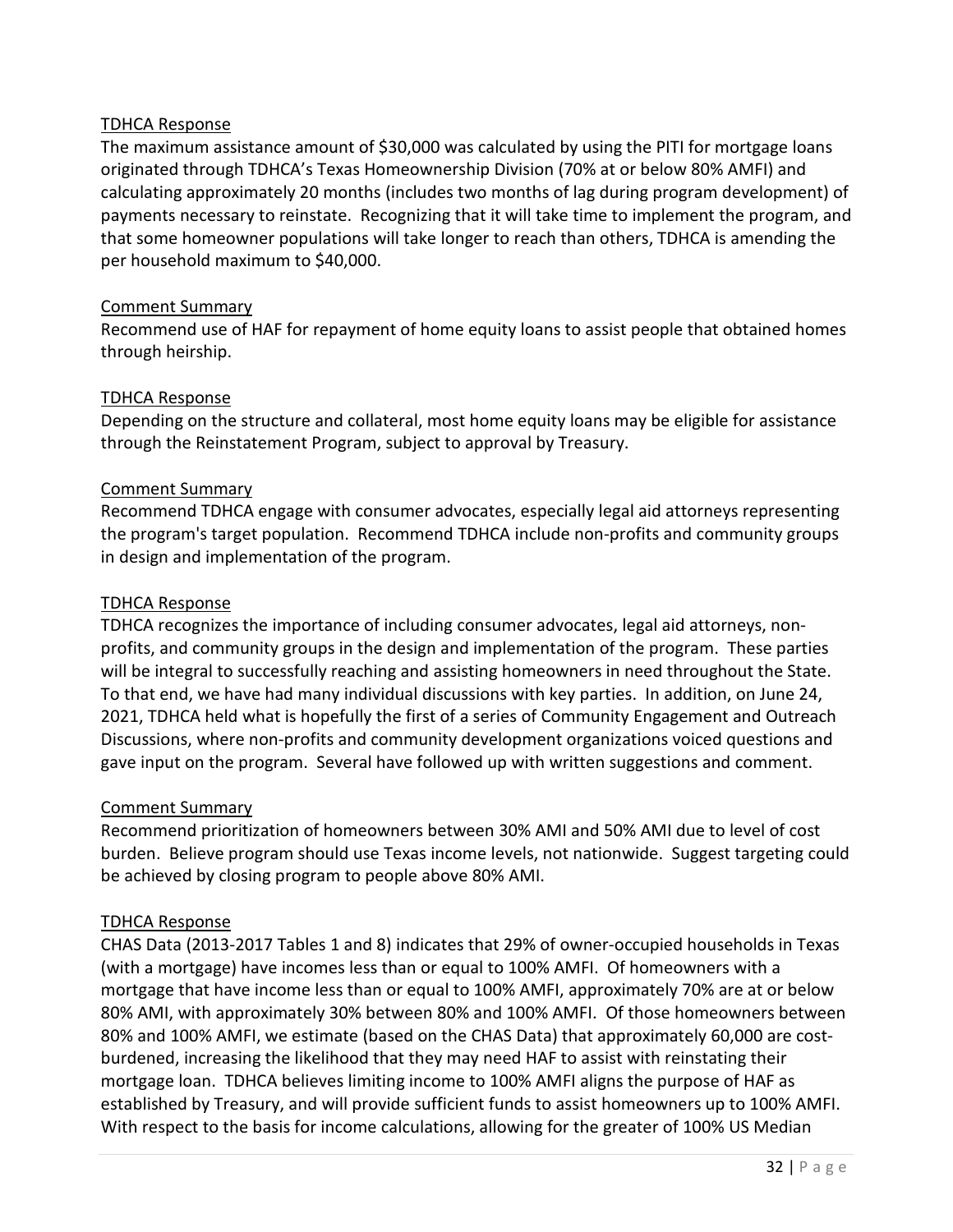The maximum assistance amount of \$30,000 was calculated by using the PITI for mortgage loans originated through TDHCA's Texas Homeownership Division (70% at or below 80% AMFI) and calculating approximately 20 months (includes two months of lag during program development) of payments necessary to reinstate. Recognizing that it will take time to implement the program, and that some homeowner populations will take longer to reach than others, TDHCA is amending the per household maximum to \$40,000.

# Comment Summary

Recommend use of HAF for repayment of home equity loans to assist people that obtained homes through heirship.

# TDHCA Response

Depending on the structure and collateral, most home equity loans may be eligible for assistance through the Reinstatement Program, subject to approval by Treasury.

# Comment Summary

Recommend TDHCA engage with consumer advocates, especially legal aid attorneys representing the program's target population. Recommend TDHCA include non-profits and community groups in design and implementation of the program.

#### TDHCA Response

TDHCA recognizes the importance of including consumer advocates, legal aid attorneys, nonprofits, and community groups in the design and implementation of the program. These parties will be integral to successfully reaching and assisting homeowners in need throughout the State. To that end, we have had many individual discussions with key parties. In addition, on June 24, 2021, TDHCA held what is hopefully the first of a series of Community Engagement and Outreach Discussions, where non-profits and community development organizations voiced questions and gave input on the program. Several have followed up with written suggestions and comment.

#### Comment Summary

Recommend prioritization of homeowners between 30% AMI and 50% AMI due to level of cost burden. Believe program should use Texas income levels, not nationwide. Suggest targeting could be achieved by closing program to people above 80% AMI.

#### TDHCA Response

CHAS Data (2013-2017 Tables 1 and 8) indicates that 29% of owner-occupied households in Texas (with a mortgage) have incomes less than or equal to 100% AMFI. Of homeowners with a mortgage that have income less than or equal to 100% AMFI, approximately 70% are at or below 80% AMI, with approximately 30% between 80% and 100% AMFI. Of those homeowners between 80% and 100% AMFI, we estimate (based on the CHAS Data) that approximately 60,000 are costburdened, increasing the likelihood that they may need HAF to assist with reinstating their mortgage loan. TDHCA believes limiting income to 100% AMFI aligns the purpose of HAF as established by Treasury, and will provide sufficient funds to assist homeowners up to 100% AMFI. With respect to the basis for income calculations, allowing for the greater of 100% US Median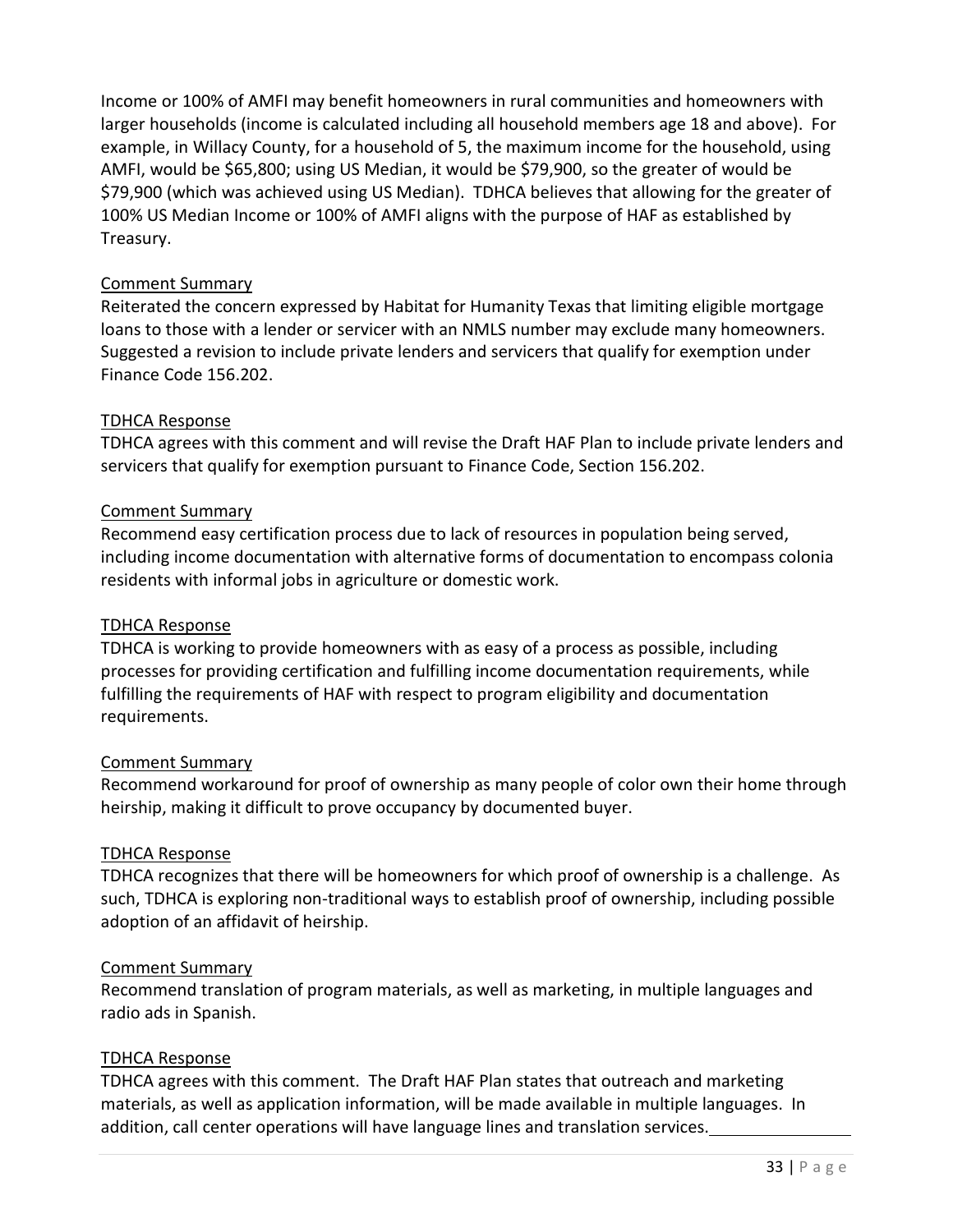Income or 100% of AMFI may benefit homeowners in rural communities and homeowners with larger households (income is calculated including all household members age 18 and above). For example, in Willacy County, for a household of 5, the maximum income for the household, using AMFI, would be \$65,800; using US Median, it would be \$79,900, so the greater of would be \$79,900 (which was achieved using US Median). TDHCA believes that allowing for the greater of 100% US Median Income or 100% of AMFI aligns with the purpose of HAF as established by Treasury.

# Comment Summary

Reiterated the concern expressed by Habitat for Humanity Texas that limiting eligible mortgage loans to those with a lender or servicer with an NMLS number may exclude many homeowners. Suggested a revision to include private lenders and servicers that qualify for exemption under Finance Code 156.202.

# TDHCA Response

TDHCA agrees with this comment and will revise the Draft HAF Plan to include private lenders and servicers that qualify for exemption pursuant to Finance Code, Section 156.202.

#### Comment Summary

Recommend easy certification process due to lack of resources in population being served, including income documentation with alternative forms of documentation to encompass colonia residents with informal jobs in agriculture or domestic work.

#### TDHCA Response

TDHCA is working to provide homeowners with as easy of a process as possible, including processes for providing certification and fulfilling income documentation requirements, while fulfilling the requirements of HAF with respect to program eligibility and documentation requirements.

#### Comment Summary

Recommend workaround for proof of ownership as many people of color own their home through heirship, making it difficult to prove occupancy by documented buyer.

#### TDHCA Response

TDHCA recognizes that there will be homeowners for which proof of ownership is a challenge. As such, TDHCA is exploring non-traditional ways to establish proof of ownership, including possible adoption of an affidavit of heirship.

#### Comment Summary

Recommend translation of program materials, as well as marketing, in multiple languages and radio ads in Spanish.

#### TDHCA Response

TDHCA agrees with this comment. The Draft HAF Plan states that outreach and marketing materials, as well as application information, will be made available in multiple languages. In addition, call center operations will have language lines and translation services.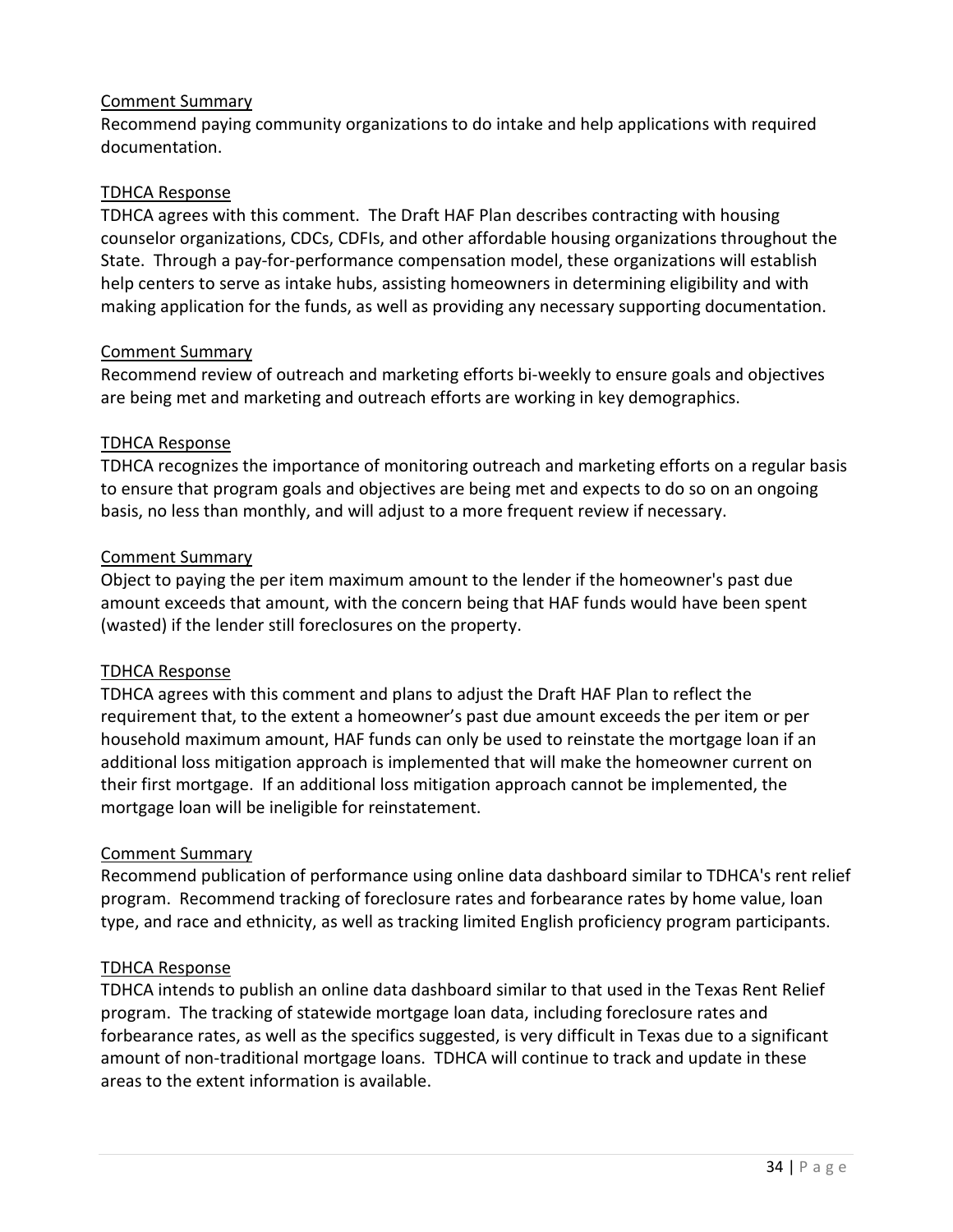Recommend paying community organizations to do intake and help applications with required documentation.

#### TDHCA Response

TDHCA agrees with this comment. The Draft HAF Plan describes contracting with housing counselor organizations, CDCs, CDFIs, and other affordable housing organizations throughout the State. Through a pay-for-performance compensation model, these organizations will establish help centers to serve as intake hubs, assisting homeowners in determining eligibility and with making application for the funds, as well as providing any necessary supporting documentation.

#### Comment Summary

Recommend review of outreach and marketing efforts bi-weekly to ensure goals and objectives are being met and marketing and outreach efforts are working in key demographics.

# TDHCA Response

TDHCA recognizes the importance of monitoring outreach and marketing efforts on a regular basis to ensure that program goals and objectives are being met and expects to do so on an ongoing basis, no less than monthly, and will adjust to a more frequent review if necessary.

# Comment Summary

Object to paying the per item maximum amount to the lender if the homeowner's past due amount exceeds that amount, with the concern being that HAF funds would have been spent (wasted) if the lender still foreclosures on the property.

# TDHCA Response

TDHCA agrees with this comment and plans to adjust the Draft HAF Plan to reflect the requirement that, to the extent a homeowner's past due amount exceeds the per item or per household maximum amount, HAF funds can only be used to reinstate the mortgage loan if an additional loss mitigation approach is implemented that will make the homeowner current on their first mortgage. If an additional loss mitigation approach cannot be implemented, the mortgage loan will be ineligible for reinstatement.

#### Comment Summary

Recommend publication of performance using online data dashboard similar to TDHCA's rent relief program. Recommend tracking of foreclosure rates and forbearance rates by home value, loan type, and race and ethnicity, as well as tracking limited English proficiency program participants.

# TDHCA Response

TDHCA intends to publish an online data dashboard similar to that used in the Texas Rent Relief program. The tracking of statewide mortgage loan data, including foreclosure rates and forbearance rates, as well as the specifics suggested, is very difficult in Texas due to a significant amount of non-traditional mortgage loans. TDHCA will continue to track and update in these areas to the extent information is available.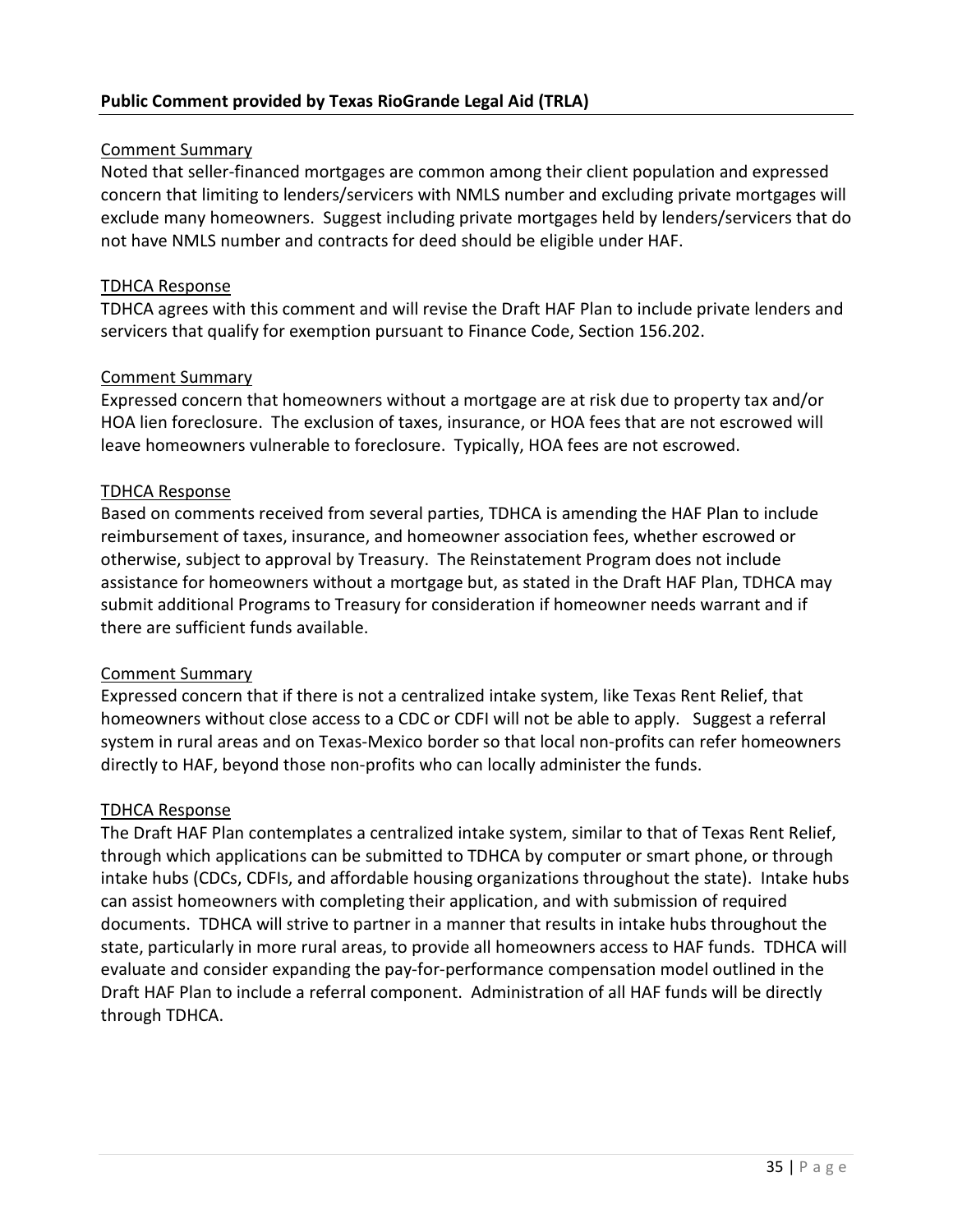Noted that seller-financed mortgages are common among their client population and expressed concern that limiting to lenders/servicers with NMLS number and excluding private mortgages will exclude many homeowners. Suggest including private mortgages held by lenders/servicers that do not have NMLS number and contracts for deed should be eligible under HAF.

#### TDHCA Response

TDHCA agrees with this comment and will revise the Draft HAF Plan to include private lenders and servicers that qualify for exemption pursuant to Finance Code, Section 156.202.

# Comment Summary

Expressed concern that homeowners without a mortgage are at risk due to property tax and/or HOA lien foreclosure. The exclusion of taxes, insurance, or HOA fees that are not escrowed will leave homeowners vulnerable to foreclosure. Typically, HOA fees are not escrowed.

# TDHCA Response

Based on comments received from several parties, TDHCA is amending the HAF Plan to include reimbursement of taxes, insurance, and homeowner association fees, whether escrowed or otherwise, subject to approval by Treasury. The Reinstatement Program does not include assistance for homeowners without a mortgage but, as stated in the Draft HAF Plan, TDHCA may submit additional Programs to Treasury for consideration if homeowner needs warrant and if there are sufficient funds available.

#### Comment Summary

Expressed concern that if there is not a centralized intake system, like Texas Rent Relief, that homeowners without close access to a CDC or CDFI will not be able to apply. Suggest a referral system in rural areas and on Texas-Mexico border so that local non-profits can refer homeowners directly to HAF, beyond those non-profits who can locally administer the funds.

#### TDHCA Response

The Draft HAF Plan contemplates a centralized intake system, similar to that of Texas Rent Relief, through which applications can be submitted to TDHCA by computer or smart phone, or through intake hubs (CDCs, CDFIs, and affordable housing organizations throughout the state). Intake hubs can assist homeowners with completing their application, and with submission of required documents. TDHCA will strive to partner in a manner that results in intake hubs throughout the state, particularly in more rural areas, to provide all homeowners access to HAF funds. TDHCA will evaluate and consider expanding the pay-for-performance compensation model outlined in the Draft HAF Plan to include a referral component. Administration of all HAF funds will be directly through TDHCA.